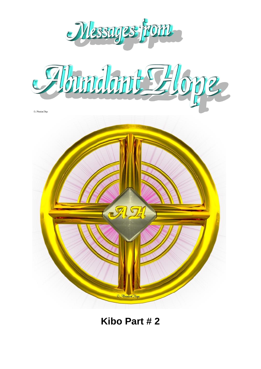

**Kibo Part # 2**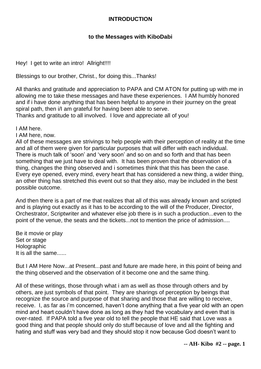### **INTRODUCTION**

#### **to the Messages with KiboDabi**

Hey! I get to write an intro! Allright!!!!

Blessings to our brother, Christ., for doing this...Thanks!

All thanks and gratitude and appreciation to PAPA and CM ATON for putting up with me in allowing me to take these messages and have these experiences. I AM humbly honored and if i have done anything that has been helpful to anyone in their journey on the great spiral path, then i/I am grateful for having been able to serve.

Thanks and gratitude to all involved. I love and appreciate all of you!

I AM here.

I AM here, now.

All of these messages are strivings to help people with their perception of reality at the time and all of them were given for particular purposes that will differ with each individual. There is much talk of 'soon' and 'very soon' and so on and so forth and that has been something that we just have to deal with. It has been proven that the observation of a thing, changes the thing observed and i sometimes think that this has been the case. Every eye opened, every mind, every heart that has considered a new thing, a wider thing, an other thing has stretched this event out so that they also, may be included in the best possible outcome.

And then there is a part of me that realizes that all of this was already known and scripted and is playing out exactly as it has to be according to the will of the Producer, Director, Orchestrator, Scriptwriter and whatever else job there is in such a production...even to the point of the venue, the seats and the tickets...not to mention the price of admission....

Be it movie or play Set or stage **Holographic** It is all the same......

But I AM Here Now...at Present...past and future are made here, in this point of being and the thing observed and the observation of it become one and the same thing.

All of these writings, those through what i am as well as those through others and by others, are just symbols of that point. They are sharings of perception by beings that recognize the source and purpose of that sharing and those that are willing to receive, receive. I, as far as i'm concerned, haven't done anything that a five year old with an open mind and heart couldn't have done as long as they had the vocabulary and even that is over-rated. If PAPA told a five year old to tell the people that HE said that Love was a good thing and that people should only do stuff because of love and all the fighting and hating and stuff was very bad and they should stop it now because God doesn't want to

**-- AH- Kibo #2 -- page. 1**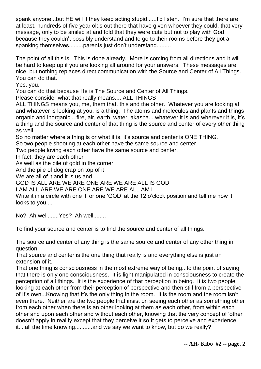spank anyone...but HE will if they keep acting stupid......I'd listen. I'm sure that there are, at least, hundreds of five year olds out there that have given whoever they could, that very message, only to be smiled at and told that they were cute but not to play with God because they couldn't possibly understand and to go to their rooms before they got a spanking themselves.........parents just don't understand.........

The point of all this is: This is done already. More is coming from all directions and it will be hard to keep up if you are looking all around for your answers. These messages are nice, but nothing replaces direct communication with the Source and Center of All Things. You can do that.

Yes, you.

You can do that because He is The Source and Center of All Things.

Please consider what that really means.....ALL THINGS

ALL THINGS means you, me, them that, this and the other. Whatever you are looking at and whatever is looking at you, is a thing. The atoms and molecules and plants and things organic and inorganic....fire, air, earth, water, akasha....whatever it is and wherever it is, it's a thing and the source and center of that thing is the source and center of every other thing as well.

So no matter where a thing is or what it is, it's source and center is ONE THING. So two people shooting at each other have the same source and center.

Two people loving each other have the same source and center.

In fact, they are each other

As well as the pile of gold in the corner

And the pile of dog crap on top of it

We are all of it and it is us and....

GOD IS ALL ARE WE ARE ONE ARE WE ARE ALL IS GOD

I AM ALL ARE WE ARE ONE ARE WE ARE ALL AM I

Write it in a circle with one 'I' or one 'GOD' at the 12 o'clock position and tell me how it looks to you....

No? Ah well.......Yes? Ah well........

To find your source and center is to find the source and center of all things.

The source and center of any thing is the same source and center of any other thing in question.

That source and center is the one thing that really is and everything else is just an extension of it.

That one thing is consciousness in the most extreme way of being...to the point of saying that there is only one consciousness. It is light manipulated in consciousness to create the perception of all things. It is the experience of that perception in being. It is two people looking at each other from their perception of perspective and then still from a perspective of It's own...Knowing that It's the only thing in the room. It is the room and the room isn't even there. Neither are the two people that insist on seeing each other as something other from each other when there is an other looking at them as each other, from within each other and upon each other and without each other, knowing that the very concept of 'other' doesn't apply in reality except that they perceive it so It gets to perceive and experience it....all the time knowing...........and we say we want to know, but do we really?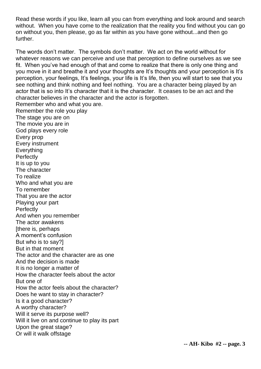Read these words if you like, learn all you can from everything and look around and search without. When you have come to the realization that the reality you find without you can go on without you, then please, go as far within as you have gone without...and then go further.

The words don't matter. The symbols don't matter. We act on the world without for whatever reasons we can perceive and use that perception to define ourselves as we see fit. When you've had enough of that and come to realize that there is only one thing and you move in it and breathe it and your thoughts are It's thoughts and your perception is It's perception, your feelings, It's feelings, your life is It's life, then you will start to see that you see nothing and think nothing and feel nothing. You are a character being played by an actor that is so into It's character that it is the character. It ceases to be an act and the character believes in the character and the actor is forgotten. Remember who and what you are. Remember the role you play The stage you are on The movie you are in God plays every role Every prop Every instrument Everything **Perfectly** It is up to you The character To realize Who and what you are To remember That you are the actor Playing your part **Perfectly** And when you remember The actor awakens Ithere is, perhaps A moment's confusion But who is to say?] But in that moment The actor and the character are as one And the decision is made It is no longer a matter of How the character feels about the actor But one of How the actor feels about the character? Does he want to stay in character? Is it a good character? A worthy character? Will it serve its purpose well? Will it live on and continue to play its part Upon the great stage? Or will it walk offstage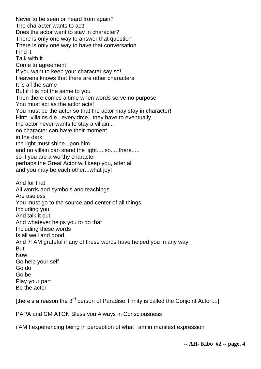Never to be seen or heard from again? The character wants to act! Does the actor want to stay in character? There is only one way to answer that question There is only one way to have that conversation Find it Talk with it Come to agreement If you want to keep your character say so! Heavens knows that there are other characters It is all the same But if it is not the same to you Then there comes a time when words serve no purpose You must act as the actor acts! You must be the actor so that the actor may stay in character! Hint: villains die...every time...they have to eventually... the actor never wants to stay a villain... no character can have their moment in the dark the light must shine upon him and no villain can stand the light.....so.....there..... so if you are a worthy character perhaps the Great Actor will keep you, after all and you may be each other...what joy! And for that All words and symbols and teachings Are useless You must go to the source and center of all things Including you And talk it out And whatever helps you to do that Including these words Is all well and good And i/I AM grateful if any of these words have helped you in any way **But** Now Go help your self Go do Go be Play your part Be the actor

[there's a reason the  $3<sup>rd</sup>$  person of Paradise Trinity is called the Conjoint Actor....]

PAPA and CM ATON Bless you Always in Consciousness

i AM I experiencing being in perception of what i am in manifest expression

**-- AH- Kibo #2 -- page. 4**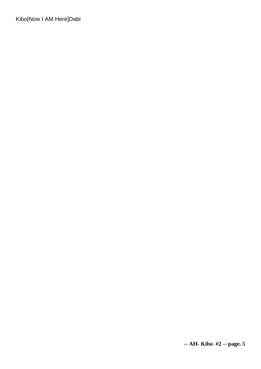Kibo[Now I AM Here]Dabi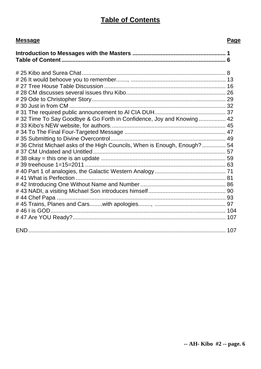## **Table of Contents**

| <b>Message</b>                                                           | Pag |
|--------------------------------------------------------------------------|-----|
|                                                                          |     |
|                                                                          |     |
|                                                                          |     |
|                                                                          |     |
|                                                                          |     |
|                                                                          |     |
|                                                                          |     |
|                                                                          |     |
| #32 Time To Say Goodbye & Go Forth in Confidence, Joy and Knowing 42     |     |
|                                                                          |     |
|                                                                          |     |
|                                                                          |     |
| #36 Christ Michael asks of the High Councils, When is Enough, Enough? 54 |     |
|                                                                          |     |
|                                                                          |     |
|                                                                          |     |
|                                                                          |     |
|                                                                          |     |
|                                                                          |     |
|                                                                          |     |
|                                                                          |     |
|                                                                          |     |
|                                                                          |     |
|                                                                          |     |
|                                                                          |     |

### <u>le</u>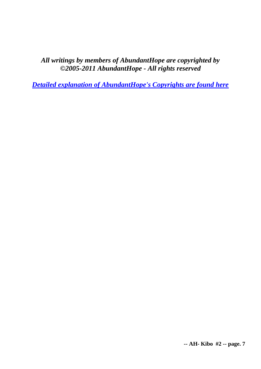*All writings by members of AbundantHope are copyrighted by ©2005-2011 AbundantHope - All rights reserved*

*[Detailed explanation of AbundantHope's Copyrights are found here](http://abundanthope.net/pages/AbundantHope_1/Copyright_-_Terms_amp_Conditions_517.shtml)*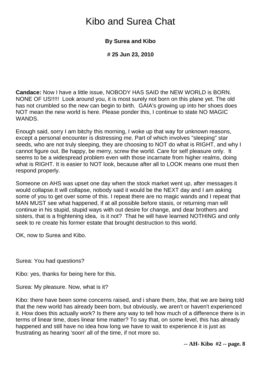# Kibo and Surea Chat

### **By Surea and Kibo**

**# 25 Jun 23, 2010** 

**Candace:** Now I have a little issue, NOBODY HAS SAID the NEW WORLD is BORN. NONE OF US!!!!! Look around you, it is most surely not born on this plane yet. The old has not crumbled so the new can begin to birth. GAIA's growing up into her shoes does NOT mean the new world is here. Please ponder this, I continue to state NO MAGIC WAND<sub>S</sub>

Enough said, sorry I am bitchy this morning, I woke up that way for unknown reasons, except a personal encounter is distressing me. Part of which involves "sleeping" star seeds, who are not truly sleeping, they are choosing to NOT do what is RIGHT, and why I cannot figure out. Be happy, be merry, screw the world. Care for self pleasure only. It seems to be a widespread problem even with those incarnate from higher realms, doing what is RIGHT. It is easier to NOT look, because after all to LOOK means one must then respond properly.

Someone on AHS was upset one day when the stock market went up, after messages it would collapse.It will collapse, nobody said it would be the NEXT day and I am asking some of you to get over some of this. I repeat there are no magic wands and I repeat that MAN MUST see what happened, if at all possible before stasis, or returning man will continue in his stupid, stupid ways with out desire for change, and dear brothers and sisters, that is a frightening idea, is it not? That he will have learned NOTHING and only seek to re create his former estate that brought destruction to this world.

OK, now to Surea and Kibo.

Surea: You had questions?

Kibo: yes, thanks for being here for this.

Surea: My pleasure. Now, what is it?

Kibo: there have been some concerns raised, and i share them, btw, that we are being told that the new world has already been born, but obviously, we aren't or haven't experienced it. How does this actually work? Is there any way to tell how much of a difference there is in terms of linear time, does linear time matter? To say that, on some level, this has already happened and still have no idea how long we have to wait to experience it is just as frustrating as hearing 'soon' all of the time, if not more so.

**-- AH- Kibo #2 -- page. 8**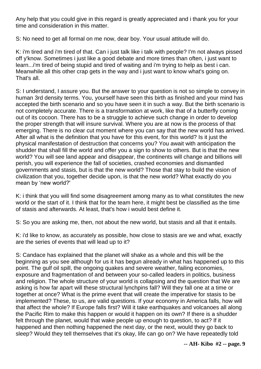Any help that you could give in this regard is greatly appreciated and i thank you for your time and consideration in this matter.

S: No need to get all formal on me now, dear boy. Your usual attitude will do.

K: i'm tired and i'm tired of that. Can i just talk like i talk with people? I'm not always pissed off y'know. Sometimes i just like a good debate and more times than often, i just want to learn...i'm tired of being stupid and tired of waiting and i'm trying to help as best i can. Meanwhile all this other crap gets in the way and i just want to know what's going on. That's all.

S: I understand, I assure you. But the answer to your question is not so simple to convey in human 3rd density terms. You, yourself have seen this birth as finished and your mind has accepted the birth scenario and so you have seen it in such a way. But the birth scenario is not completely accurate. There is a transformation at work, like that of a butterfly coming out of its cocoon. There has to be a struggle to achieve such change in order to develop the proper strength that will insure survival. Where you are at now is the process of that emerging. There is no clear cut moment where you can say that the new world has arrived. After all what is the definition that you have for this event, for this world? Is it just the physical manifestation of destruction that concerns you? You await with anticipation the shudder that shall fill the world and offer you a sign to show to others. But is that the new world? You will see land appear and disappear, the continents will change and billions will perish, you will experience the fall of societies, crashed economies and dismantled governments and stasis, but is that the new world? Those that stay to build the vision of civilization that you, together decide upon, is that the new world? What exactly do you mean by 'new world?'

K: i think that you will find some disagreement among many as to what constitutes the new world or the start of it. I think that for the team here, it might best be classified as the time of stasis and afterwards. At least, that's how i would best define it.

S: So you are asking me, then, not about the new world, but stasis and all that it entails.

K: i'd like to know, as accurately as possible, how close to stasis are we and what, exactly are the series of events that will lead up to it?

S: Candace has explained that the planet will shake as a whole and this will be the beginning as you see although for us it has begun already in what has happened up to this point. The gulf oil spill, the ongoing quakes and severe weather, failing economies, exposure and fragmentation of and between your so-called leaders in politics, business and religion. The whole structure of your world is collapsing and the question that We are asking is how far apart will these structural lynchpins fall? Will they fall one at a time or together at once? What is the prime event that will create the imperative for stasis to be implemented? These, to us, are valid questions. If your economy in America falls, how will that affect the whole? If Europe falls first? Will it take earthquakes and volcanoes all along the Pacific Rim to make this happen or would it happen on its own? If there is a shudder felt through the planet, would that wake people up enough to question, to act? If it happened and then nothing happened the next day, or the next, would they go back to sleep? Would they tell themselves that it's okay, life can go on? We have repeatedly told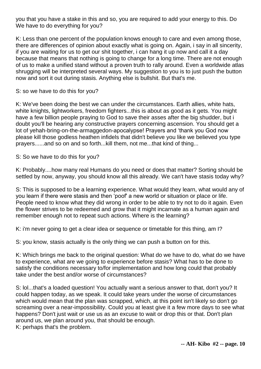you that you have a stake in this and so, you are required to add your energy to this. Do We have to do everything for you?

K: Less than one percent of the population knows enough to care and even among those, there are differences of opinion about exactly what is going on. Again, i say in all sincerity, if you are waiting for us to get our shit together, i can hang it up now and call it a day because that means that nothing is going to change for a long time. There are not enough of us to make a unified stand without a proven truth to rally around. Even a worldwide atlas shrugging will be interpreted several ways. My suggestion to you is to just push the button now and sort it out during stasis. Anything else is bullshit. But that's me.

S: so we have to do this for you?

K: We've been doing the best we can under the circumstances. Earth allies, white hats, white knights, lightworkers, freedom fighters...this is about as good as it gets. You might have a few billion people praying to God to save their asses after the big shudder, but i doubt you'll be hearing any constructive prayers concerning ascension. You should get a lot of yehah-bring-on-the-armaggedon-apocalypse! Prayers and 'thank you God now please kill those godless heathen infidels that didn't believe you like we believed you type prayers......and so on and so forth...kill them, not me...that kind of thing...

S: So we have to do this for you?

K: Probably....how many real Humans do you need or does that matter? Sorting should be settled by now, anyway, you should know all this already. We can't have stasis today why?

S: This is supposed to be a learning experience. What would they learn, what would any of you learn if there were stasis and then 'poof' a new world or situation or place or life. People need to know what they did wrong in order to be able to try not to do it again. Even the flower strives to be redeemed and grow that it might incarnate as a human again and remember enough not to repeat such actions. Where is the learning?

K: i'm never going to get a clear idea or sequence or timetable for this thing, am I?

S: you know, stasis actually is the only thing we can push a button on for this.

K: Which brings me back to the original question: What do we have to do, what do we have to experience, what are we going to experience before stasis? What has to be done to satisfy the conditions necessary to/for implementation and how long could that probably take under the best and/or worse of circumstances?

S: lol...that's a loaded question! You actually want a serious answer to that, don't you? It could happen today, as we speak. It could take years under the worse of circumstances which would mean that the plan was scrapped, which, at this point isn't likely so don't go screaming over a near-impossibility. Could you at least give it a few more days to see what happens? Don't just wait or use us as an excuse to wait or drop this or that. Don't plan around us, we plan around you, that should be enough. K: perhaps that's the problem.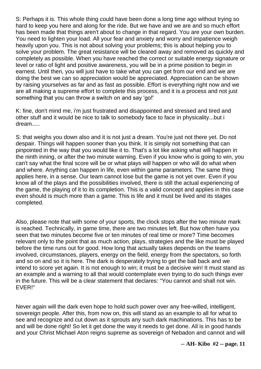S: Perhaps it is. This whole thing could have been done a long time ago without trying so hard to keep you here and along for the ride. But we have and we are and so much effort has been made that things aren't about to change in that regard. You are your own burden. You need to lighten your load. All your fear and anxiety and worry and impatience weigh heavily upon you. This is not about solving your problems; this is about helping you to solve your problem. The great resistance will be cleared away and removed as quickly and completely as possible. When you have reached the correct or suitable energy signature or level or ratio of light and positive awareness, you will be in a prime position to begin in earnest. Until then, you will just have to take what you can get from our end and we are doing the best we can so appreciation would be appreciated. Appreciation can be shown by raising yourselves as far and as fast as possible. Effort is everything right now and we are all making a supreme effort to complete this process, and it is a process and not just something that you can throw a switch on and say 'go!'

K: fine, don't mind me, i'm just frustrated and disappointed and stressed and tired and other stuff and it would be nice to talk to somebody face to face in physicality...but i dream.....

S: that weighs you down also and it is not just a dream. You're just not there yet. Do not despair. Things will happen sooner than you think. It is simply not something that can pinpointed in the way that you would like it to. That's a lot like asking what will happen in the ninth inning, or after the two minute warning. Even if you know who is going to win, you can't say what the final score will be or what plays will happen or who will do what when and where. Anything can happen in life, even within game parameters. The same thing applies here, in a sense. Our team cannot lose but the game is not yet over. Even if you know all of the plays and the possibilities involved, there is still the actual experiencing of the game, the playing of it to its completion. This is a valid concept and applies in this case even should is much more than a game. This is life and it must be lived and its stages completed.

Also, please note that with some of your sports, the clock stops after the two minute mark is reached. Technically, in game time, there are two minutes left. But how often have you seen that two minutes become five or ten minutes of real time or more? Time becomes relevant only to the point that as much action, plays, strategies and the like must be played before the time runs out for good. How long that actually takes depends on the teams involved, circumstances, players, energy on the field, energy from the spectators, so forth and so on and so it is here. The dark is desperately trying to get the ball back and we intend to score yet again. It is not enough to win; it must be a decisive win! It must stand as an example and a warning to all that would contemplate even trying to do such things ever in the future. This will be a clear statement that declares: "You cannot and shall not win. EVER!"

Never again will the dark even hope to hold such power over any free-willed, intelligent, sovereign people. After this, from now on, this will stand as an example to all for what to see and recognize and cut down as it sprouts any such dark machinations. This has to be and will be done right! So let it get done the way it needs to get done. All is in good hands and your Christ Michael Aton reigns supreme as sovereign of Nebadon and cannot and will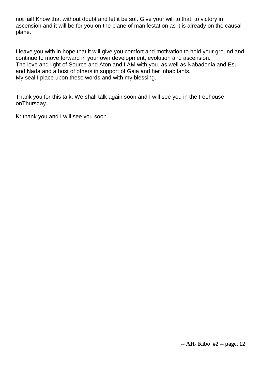not fail! Know that without doubt and let it be so!. Give your will to that, to victory in ascension and it will be for you on the plane of manifestation as it is already on the causal plane.

I leave you with in hope that it will give you comfort and motivation to hold your ground and continue to move forward in your own development, evolution and ascension. The love and light of Source and Aton and I AM with you, as well as Nabadonia and Esu and Nada and a host of others in support of Gaia and her inhabitants. My seal I place upon these words and with my blessing.

Thank you for this talk. We shall talk again soon and I will see you in the treehouse onThursday.

K: thank you and I will see you soon.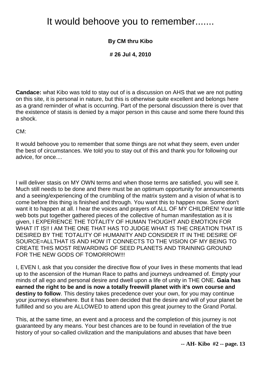# It would behoove you to remember.......

### **By CM thru Kibo**

**# 26 Jul 4, 2010** 

**Candace:** what Kibo was told to stay out of is a discussion on AHS that we are not putting on this site, it is personal in nature, but this is otherwise quite excellent and belongs here as a grand reminder of what is occurring. Part of the personal discussion there is over that the existence of stasis is denied by a major person in this cause and some there found this a shock.

CM:

It would behoove you to remember that some things are not what they seem, even under the best of circumstances. We told you to stay out of this and thank you for following our advice, for once....

I will deliver stasis on MY OWN terms and when those terms are satisfied, you will see it. Much still needs to be done and there must be an optimum opportunity for announcements and a seeing/experiencing of the crumbling of the matrix system and a vision of what is to come before this thing is finished and through. You want this to happen now. Some don't want it to happen at all. I hear the voices and prayers of ALL OF MY CHILDREN! Your little web bots put together gathered pieces of the collective of human manifestation as it is given, I EXPERIENCE THE TOTALITY OF HUMAN THOUGHT AND EMOTION FOR WHAT IT IS!! I AM THE ONE THAT HAS TO JUDGE WHAT IS THE CREATION THAT IS DESIRED BY THE TOTALITY OF HUMANITY AND CONSIDER IT IN THE DESIRE OF SOURCE=ALLTHAT IS AND HOW IT CONNECTS TO THE VISION OF MY BEING TO CREATE THIS MOST REWARDING OF SEED PLANETS AND TRAINING GROUND FOR THE NEW GODS OF TOMORROW!!!

I, EVEN I, ask that you consider the directive flow of your lives in these moments that lead up to the ascension of the Human Race to paths and journeys undreamed of. Empty your minds of all ego and personal desire and dwell upon a life of unity in THE ONE. **Gaia has earned the right to be and is now a totally freewill planet with it's own course and destiny to follow**. This destiny takes precedence over your own, for you may continue your journeys elsewhere. But it has been decided that the desire and will of your planet be fulfilled and so you are ALLOWED to attend upon this great journey to the Grand Portal.

This, at the same time, an event and a process and the completion of this journey is not guaranteed by any means. Your best chances are to be found in revelation of the true history of your so-called civilization and the manipulations and abuses that have been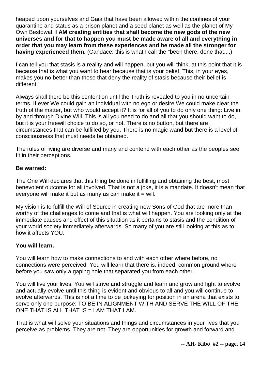heaped upon yourselves and Gaia that have been allowed within the confines of your quarantine and status as a prison planet and a seed planet as well as the planet of My Own Bestowal. **I AM creating entities that shall become the new gods of the new universes and for that to happen you must be made aware of all and everything in order that you may learn from these experiences and be made all the stronger for having experienced them.** (Candace: this is what I call the "been there, done that....)

I can tell you that stasis is a reality and will happen, but you will think, at this point that it is because that is what you want to hear because that is your belief. This, in your eyes, makes you no better than those that deny the reality of stasis because their belief is different.

Always shall there be this contention until the Truth is revealed to you in no uncertain terms. If ever We could gain an individual with no ego or desire We could make clear the truth of the matter, but who would accept it? It is for all of you to do only one thing: Live in, by and through Divine Will. This is all you need to do and all that you should want to do, but it is your freewill choice to do so, or not. There is no button, but there are circumstances that can be fulfilled by you. There is no magic wand but there is a level of consciousness that must needs be obtained.

The rules of living are diverse and many and contend with each other as the peoples see fit in their perceptions.

### **Be warned:**

The One Will declares that this thing be done in fulfilling and obtaining the best, most benevolent outcome for all involved. That is not a joke, it is a mandate. It doesn't mean that everyone will make it but as many as can make it  $=$  will.

My vision is to fulfill the Will of Source in creating new Sons of God that are more than worthy of the challenges to come and that is what will happen. You are looking only at the immediate causes and effect of this situation as it pertains to stasis and the condition of your world society immediately afterwards. So many of you are still looking at this as to how it affects YOU.

### **You will learn.**

You will learn how to make connections to and with each other where before, no connections were perceived. You will learn that there is, indeed, common ground where before you saw only a gaping hole that separated you from each other.

You will live your lives. You will strive and struggle and learn and grow and fight to evolve and actually evolve until this thing is evident and obvious to all and you will continue to evolve afterwards. This is not a time to be jockeying for position in an arena that exists to serve only one purpose: TO BE IN ALIGNMENT WITH AND SERVE THE WILL OF THE ONE THAT IS ALL THAT  $IS = I$  AM THAT I AM.

That is what will solve your situations and things and circumstances in your lives that you perceive as problems. They are not. They are opportunities for growth and forward and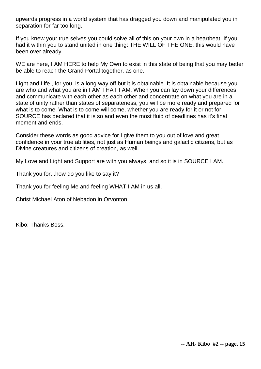upwards progress in a world system that has dragged you down and manipulated you in separation for far too long.

If you knew your true selves you could solve all of this on your own in a heartbeat. If you had it within you to stand united in one thing: THE WILL OF THE ONE, this would have been over already.

WE are here, I AM HERE to help My Own to exist in this state of being that you may better be able to reach the Grand Portal together, as one.

Light and Life , for you, is a long way off but it is obtainable. It is obtainable because you are who and what you are in I AM THAT I AM. When you can lay down your differences and communicate with each other as each other and concentrate on what you are in a state of unity rather than states of separateness, you will be more ready and prepared for what is to come. What is to come will come, whether you are ready for it or not for SOURCE has declared that it is so and even the most fluid of deadlines has it's final moment and ends.

Consider these words as good advice for I give them to you out of love and great confidence in your true abilities, not just as Human beings and galactic citizens, but as Divine creatures and citizens of creation, as well.

My Love and Light and Support are with you always, and so it is in SOURCE I AM.

Thank you for...how do you like to say it?

Thank you for feeling Me and feeling WHAT I AM in us all.

Christ Michael Aton of Nebadon in Orvonton.

Kibo: Thanks Boss.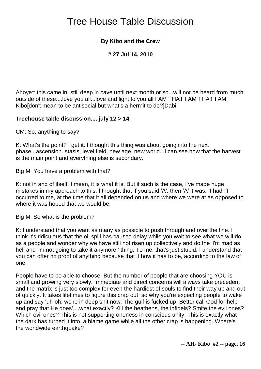# Tree House Table Discussion

### **By Kibo and the Crew**

**# 27 Jul 14, 2010** 

Ahoye= this came in. still deep in cave until next month or so...will not be heard from much outside of these....love you all...love and light to you all I AM THAT I AM THAT I AM Kibo[don't mean to be antisocial but what's a hermit to do?]Dabi

#### **Treehouse table discussion.... july 12 > 14**

CM: So, anything to say?

K: What's the point? I get it. I thought this thing was about going into the next phase...ascension. stasis, level field, new age, new world...I can see now that the harvest is the main point and everything else is secondary.

Big M: You have a problem with that?

K: not in and of itself. I mean, it is what it is. But if such is the case, I've made huge mistakes in my approach to this. I thought that if you said 'A', then 'A' it was. It hadn't occurred to me, at the time that it all depended on us and where we were at as opposed to where it was hoped that we would be.

Big M: So what is the problem?

K: I understand that you want as many as possible to push through and over the line. I think it's ridiculous that the oil spill has caused delay while you wait to see what we will do as a people and wonder why we have still not risen up collectively and do the 'i'm mad as hell and i'm not going to take it anymore!' thing. To me, that's just stupid. I understand that you can offer no proof of anything because that it how it has to be, according to the law of one.

People have to be able to choose. But the number of people that are choosing YOU is small and growing very slowly. Immediate and direct concerns will always take precedent and the matrix is just too complex for even the hardiest of souls to find their way up and out of quickly. It takes lifetimes to figure this crap out, so why you're expecting people to wake up and say 'uh-oh, we're in deep shit now. The gulf is fucked up. Better call God for help and pray that He does'....what exactly? Kill the heathens, the infidels? Smite the evil ones? Which evil ones? This is not supporting oneness in conscious unity. This is exactly what the dark has turned it into, a blame game while all the other crap is happening. Where's the worldwide earthquake?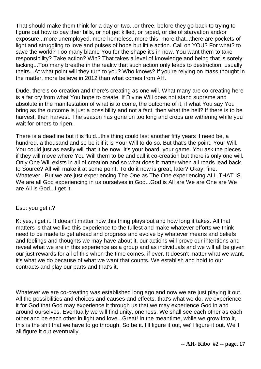That should make them think for a day or two...or three, before they go back to trying to figure out how to pay their bills, or not get killed, or raped, or die of starvation and/or exposure...more unemployed, more homeless, more this, more that...there are pockets of light and struggling to love and pulses of hope but little action. Call on YOU? For what? to save the world? Too many blame You for the shape it's in now. You want them to take responsibility? Take action? Win? That takes a level of knowledge and being that is sorely lacking...Too many breathe in the reality that such action only leads to destruction, usually theirs...At what point will they turn to you? Who knows? If you're relying on mass thought in the matter, more believe in 2012 than what comes from AH.

Dude, there's co-creation and there's creating as one will. What many are co-creating here is a far cry from what You hope to create. If Divine Will does not stand supreme and absolute in the manifestation of what is to come, the outcome of it, if what You say You bring as the outcome is just a possibility and not a fact, then what the hell? If there is to be harvest, then harvest. The season has gone on too long and crops are withering while you wait for others to ripen.

There is a deadline but it is fluid...this thing could last another fifty years if need be, a hundred, a thousand and so be it if it is Your Will to do so. But that's the point. Your Will. You could just as easily will that it be now. It's your board, your game. You ask the pieces if they will move where You Will them to be and call it co-creation but there is only one will. Only One Will exists in all of creation and so what does it matter when all roads lead back to Source? All will make it at some point. To do it now is great, later? Okay, fine. Whatever...But we are just experiencing The One as The One experiencing ALL THAT IS. We are all God experiencing in us ourselves in God...God is All are We are One are We are All is God...I get it.

#### Esu: you get it?

K: yes, i get it. It doesn't matter how this thing plays out and how long it takes. All that matters is that we live this experience to the fullest and make whatever efforts we think need to be made to get ahead and progress and evolve by whatever means and beliefs and feelings and thoughts we may have about it, our actions will prove our intentions and reveal what we are in this experience as a group and as individuals and we will all be given our just rewards for all of this when the time comes, if ever. It doesn't matter what we want, it's what we do because of what we want that counts. We establish and hold to our contracts and play our parts and that's it.

Whatever we are co-creating was established long ago and now we are just playing it out. All the possibilities and choices and causes and effects, that's what we do, we experience it for God that God may experience it through us that we may experience God in and around ourselves. Eventually we will find unity, oneness. We shall see each other as each other and be each other in light and love...Great! In the meantime, while we grow into it, this is the shit that we have to go through. So be it. I'll figure it out, we'll figure it out. We'll all figure it out eventually.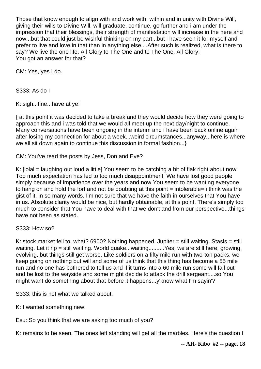Those that know enough to align with and work with, within and in unity with Divine Will, giving their wills to Divine Will, will graduate, continue, go further and i am under the impression that their blessings, their strength of manifestation will increase in the here and now...but that could just be wishful thinking on my part...but i have seen it for myself and prefer to live and love in that than in anything else....After such is realized, what is there to say? We live the one life. All Glory to The One and to The One, All Glory! You got an answer for that?

CM: Yes, yes I do.

S333: As do I

K: sigh...fine...have at ye!

{ at this point it was decided to take a break and they would decide how they were going to approach this and i was told that we would all meet up the next day/night to continue. Many conversations have been ongoing in the interim and i have been back online again after losing my connection for about a week...weird circumstances...anyway...here is where we all sit down again to continue this discussion in formal fashion...}

CM: You've read the posts by Jess, Don and Eve?

K: [lolal = laughing out loud a little] You seem to be catching a bit of flak right about now. Too much expectation has led to too much disappointment. We have lost good people simply because of impatience over the years and now You seem to be wanting everyone to hang on and hold the fort and not be doubting at this point  $=$  intolerable $=$  i think was the gist of it, in so many words. I'm not sure that we have the faith in ourselves that You have in us. Absolute clarity would be nice, but hardly obtainable, at this point. There's simply too much to consider that You have to deal with that we don't and from our perspective...things have not been as stated.

### S333: How so?

K: stock market fell to, what? 6900? Nothing happened. Jupiter = still waiting. Stasis = still waiting. Let it rip = still waiting. World quake...waiting.......... Yes, we are still here, growing, evolving, but things still get worse. Like soldiers on a fifty mile run with two-ton packs, we keep going on nothing but will and some of us think that this thing has become a 55 mile run and no one has bothered to tell us and if it turns into a 60 mile run some will fall out and be lost to the wayside and some might decide to attack the drill sergeant....so You might want do something about that before it happens...y'know what I'm sayin'?

S333: this is not what we talked about.

K: I wanted something new.

Esu: So you think that we are asking too much of you?

K: remains to be seen. The ones left standing will get all the marbles. Here's the question I

**-- AH- Kibo #2 -- page. 18**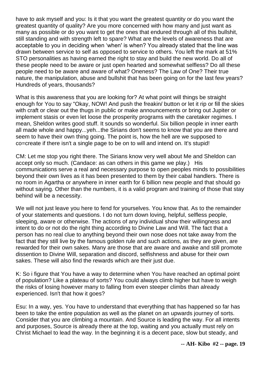have to ask myself and you: Is it that you want the greatest quantity or do you want the greatest quantity of quality? Are you more concerned with how many and just want as many as possible or do you want to get the ones that endured through all of this bullshit, still standing and with strength left to spare? What are the levels of awareness that are acceptable to you in deciding when 'when' is when? You already stated that the line was drawn between service to self as opposed to service to others. You left the mark at 51% STO personalities as having earned the right to stay and build the new world. Do all of these people need to be aware or just open hearted and somewhat selfless? Do all these people need to be aware and aware of what? Oneness? The Law of One? Their true nature, the manipulation, abuse and bullshit that has been going on for the last few years? Hundreds of years, thousands?

What is this awareness that you are looking for? At what point will things be straight enough for You to say "Okay, NOW! And push the freakin/ button or let it rip or fill the skies with craft or clear out the thugs in public or make announcements or bring out Jupiter or implement stasis or even let loose the prosperity programs with the caretaker regimes. I mean, Sheldon writes good stuff. It sounds so wonderful. Six billion people in inner earth all made whole and happy...yeh...the Sirians don't seems to know that you are there and seem to have their own thing going. The point is, how the hell are we supposed to co=create if there isn't a single page to be on to will and intend on. It's stupid!

CM: Let me stop you right there. The Sirians know very well about Me and Sheldon can accept only so much. (Candace: as can others in this game we play.) His communications serve a real and necessary purpose to open peoples minds to possibilities beyond their own lives as it has been presented to them by their cabal handlers. There is no room in Agartha or anywhere in inner earth for 6 billion new people and that should go without saying. Other than the numbers, it is a valid program and training of those that stay behind will be a necessity.

We will not just leave you here to fend for yourselves. You know that. As to the remainder of your statements and questions. I do not turn down loving, helpful, selfless people, sleeping, aware or otherwise. The actions of any individual show their willingness and intent to do or not do the right thing according to Divine Law and Will. The fact that a person has no real clue to anything beyond their own nose does not take away from the fact that they still live by the famous golden rule and such actions, as they are given, are rewarded for their own sakes. Many are those that are aware and awake and still promote dissention to Divine Will, separation and discord, selfishness and abuse for their own sakes. These will also find the rewards which are their just due.

K: So i figure that You have a way to determine when You have reached an optimal point of population? Like a plateau of sorts? You could always climb higher but have to weigh the risks of losing however many to falling from even steeper climbs than already experienced. Isn't that how it goes?

Esu: In a way, yes. You have to understand that everything that has happened so far has been to take the entire population as well as the planet on an upwards journey of sorts. Consider that you are climbing a mountain. And Source is leading the way. For all intents and purposes, Source is already there at the top, waiting and you actually must rely on Christ Michael to lead the way. In the beginning it is a decent pace, slow but steady, and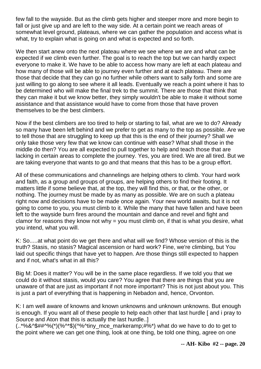few fall to the wayside. But as the climb gets higher and steeper more and more begin to fall or just give up and are left to the way side. At a certain point we reach areas of somewhat level ground, plateaus, where we can gather the population and access what is what, try to explain what is going on and what is expected and so forth.

We then start anew onto the next plateau where we see where we are and what can be expected if we climb even further. The goal is to reach the top but we can hardly expect everyone to make it. We have to be able to access how many are left at each plateau and how many of those will be able to journey even further and at each plateau. There are those that decide that they can go no further while others want to sally forth and some are just willing to go along to see where it all leads. Eventually we reach a point where it has to be determined who will make the final trek to the summit. There are those that think that they can make it but we know better, they simply wouldn't be able to make it without some assistance and that assistance would have to come from those that have proven themselves to be the best climbers.

Now if the best climbers are too tired to help or starting to fail, what are we to do? Already so many have been left behind and we prefer to get as many to the top as possible. Are we to tell those that are struggling to keep up that this is the end of their journey? Shall we only take those very few that we know can continue with ease? What shall those in the middle do then? You are all expected to pull together to help and teach those that are lacking in certain areas to complete the journey. Yes, you are tired. We are all tired. But we are taking everyone that wants to go and that means that this has to be a group effort.

All of these communications and channelings are helping others to climb. Your hard work and faith, as a group and groups of groups, are helping others to find their footing. It matters little if some believe that, at the top, they will find this, or that, or the other, or nothing. The journey must be made by as many as possible. We are on such a plateau right now and decisions have to be made once again. Your new world awaits, but it is not going to come to you, you must climb to it. While the many that have fallen and have been left to the wayside burn fires around the mountain and dance and revel and fight and clamor for reasons they know not why  $=$  you must climb on, if that is what you desire, what you intend, what you will.

K: So.....at what point do we get there and what will we find? Whose version of this is the truth? Stasis, no stasis? Magical ascension or hard work? Fine, we're climbing, but You laid out specific things that have yet to happen. Are those things still expected to happen and if not, what's what in all this?

Big M: Does it matter? You will be in the same place regardless. If we told you that we could do it without stasis, would you care? You agree that there are things that you are unaware of that are just as important if not more important? This is not just about you. This is just a part of everything that is happening in Nebadon and, hence, Orvonton.

K: I am well aware of knowns and known unknowns and unknown unknowns. But enough is enough. If you want all of these people to help each other that last hurdle [ and i pray to Source and Aton that this is actually the last hurdle..]

 $($ ..\*%&^\$##^%(\*)(%^\*\$)(^%^tiny\_mce\_markeramp;#%\*) what do we have to do to get to the point where we can get one thing, look at one thing, be told one thing, agree on one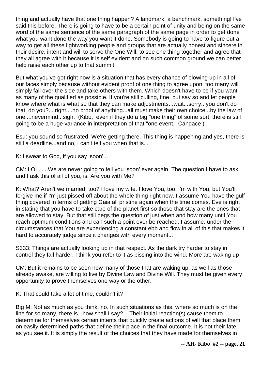thing and actually have that one thing happen? A landmark, a benchmark, something! I've said this before. There is going to have to be a certain point of unity and being on the same word of the same sentence of the same paragraph of the same page in order to get done what you want done the way you want it done. Somebody is going to have to figure out a way to get all these lightworking people and groups that are actually honest and sincere in their desire, intent and will to serve the One Will, to see one thing together and agree that they all agree with it because it is self evident and on such common ground we can better help raise each other up to that summit.

But what you've got right now is a situation that has every chance of blowing up in all of our faces simply because without evident proof of one thing to agree upon, too many will simply fall over the side and take others with them. Which doesn't have to be if you want as many of the qualified as possible. If you're still culling, fine, but say so and let people know where what is what so that they can make adjustments...wait...sorry...you don't do that, do you?....right....no proof of anything...all must make their own choice...by the law of one....nevermind...sigh. (Kibo, even if they do a big "one thing" of some sort, there is still going to be a huge variance in interpretation of that "one event." Candace )

Esu: you sound so frustrated. We're getting there. This thing is happening and yes, there is still a deadline...and no, I can't tell you when that is...

K: I swear to God, if you say 'soon'...

CM: LOL......We are never going to tell you 'soon' ever again. The question I have to ask, and I ask this of all of you, is: Are you with Me?

K: What? Aren't we married, too? I love my wife. I love You, too. I'm with You, but You'll forgive me if I'm just pissed off about the whole thing right now. I assume You have the gulf thing covered in terms of getting Gaia all pristine again when the time comes. Eve is right in stating that you have to take care of the planet first so those that stay are the ones that are allowed to stay. But that still begs the question of just when and how many until You reach optimum conditions and can such a point ever be reached. I assume, under the circumstances that You are experiencing a constant ebb and flow in all of this that makes it hard to accurately judge since it changes with every moment...

S333: Things are actually looking up in that respect. As the dark try harder to stay in control they fail harder. I think you refer to it as pissing into the wind. More are waking up

CM: But it remains to be seen how many of those that are waking up, as well as those already awake, are willing to live by Divine Law and Divine Will. They must be given every opportunity to prove themselves one way or the other.

K: That could take a lot of time, couldn't it?

Big M: Not as much as you think, no. In such situations as this, where so much is on the line for so many, there is...how shall I say?....Their initial reaction(s) cause them to determine for themselves certain intents that quickly create actions of will that place them on easily determined paths that define their place in the final outcome. It is not their fate, as you see it. It is simply the result of the choices that they have made for themselves in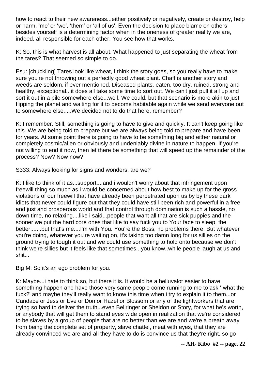how to react to their new awareness...either positively or negatively, create or destroy, help or harm, 'me' or 'we', 'them' or 'all of us'. Even the decision to place blame on others besides yourself is a determining factor when in the oneness of greater reality we are, indeed, all responsible for each other. You see how that works.

K: So, this is what harvest is all about. What happened to just separating the wheat from the tares? That seemed so simple to do.

Esu: [chuckling] Tares look like wheat, I think the story goes, so you really have to make sure you're not throwing out a perfectly good wheat plant. Chaff is another story and weeds are seldom, if ever mentioned. Diseased plants, eaten, too dry, ruined, strong and healthy, exceptional...it does all take some time to sort out. We can't just pull it all up and sort it out in a pile somewhere else...well, We could, but that scenario is more akin to just flipping the planet and waiting for it to become habitable again while we send everyone out to somewhere else.....We decided not to do that here, remember?

K: I remember. Still, something is going to have to give and quickly. It can't keep going like this. We are being told to prepare but we are always being told to prepare and have been for years. At some point there is going to have to be something big and either natural or completely cosmic/alien or obviously and undeniably divine in nature to happen. If you're not willing to end it now, then let there be something that will speed up the remainder of the process? Now? Now now?

S333: Always looking for signs and wonders, are we?

K: I like to think of it as...support....and i wouldn't worry about that infringement upon freewill thing so much as i would be concerned about how best to make up for the gross violations of our freewill that have already been perpetrated upon us by by these dark idiots that never could figure out that they could have still been rich and powerful in a free and just and prosperous world and that control through domination is such a hassle, no down time, no relaxing....like i said...people that want all that are sick puppies and the sooner we put the hard core ones that like to say fuck you to Your face to sleep, the better.......but that's me....I'm with You. You're the Boss, no problems there. But whatever you're doing, whatever you're waiting on, it's taking too damn long for us sillies on the ground trying to tough it out and we could use something to hold onto because we don't think we're sillies but it feels like that sometimes...you know..while people laugh at us and shit...

Big M: So it's an ego problem for you.

K: Maybe...i hate to think so, but there it is. It would be a helluvalot easier to have something happen and have those very same people come running to me to ask ' what the fuck?' and maybe they'll really want to know this time when i try to explain it to them...or Candace or Jess or Eve or Don or Hazel or Blossom or any of the lightworkers that are trying so hard to deliver the truth...even Bellringer or Sheldon or Story, for what he's worth, or anybody that will get them to stand eyes wide open in realization that we're considered to be slaves by a group of people that are no better than we are and we're a breath away from being the complete set of property, slave chattel, meat with eyes, that they are already convinced we are and all they have to do is convince us that they're right, so go

**-- AH- Kibo #2 -- page. 22**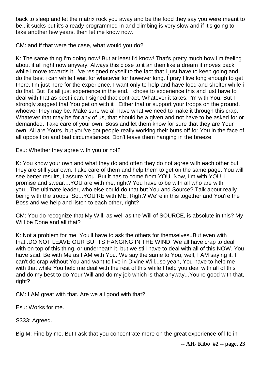back to sleep and let the matrix rock you away and be the food they say you were meant to be...it sucks but it's already programmed in and climbing is very slow and if it's going to take another few years, then let me know now.

CM: and if that were the case, what would you do?

K: The same thing I'm doing now! But at least I'd know! That's pretty much how I'm feeling about it all right now anyway. Always this close to it an then like a dream it moves back while i move towards it. I've resigned myself to the fact that i just have to keep going and do the best i can while I wait for whatever for however long. I pray I live long enough to get there. I'm just here for the experience. I want only to help and have food and shelter while i do that. But it's all just experience in the end. I chose to experience this and just have to deal with that as best i can. I signed that contract. Whatever it takes, I'm with You. But I strongly suggest that You get on with it . Either that or support your troops on the ground, whoever they may be. Make sure we all have what we need to make it through this crap. Whatever that may be for any of us, that should be a given and not have to be asked for or demanded. Take care of your own, Boss and let them know for sure that they are Your own. All are Yours, but you've got people really working their butts off for You in the face of all opposition and bad circumstances. Don't leave them hanging in the breeze.

Esu: Whether they agree with you or not?

K: You know your own and what they do and often they do not agree with each other but they are still your own. Take care of them and help them to get on the same page. You will see better results, I assure You. But it has to come from YOU. Now, I'm with YOU, I promise and swear....YOU are with me, right? You have to be with all who are with you...The ultimate leader, who else could do that but You and Source? Talk about really being with the troops! So...YOU'RE with ME, Right? We're in this together and You're the Boss and we help and listen to each other, right?

CM: You do recognize that My Will, as well as the Will of SOURCE, is absolute in this? My Will be Done and all that?

K: Not a problem for me, You'll have to ask the others for themselves..But even with that..DO NOT LEAVE OUR BUTTS HANGING IN THE WIND. We all have crap to deal with on top of this thing, or underneath it, but we still have to deal with all of this NOW. You have said: Be with Me as I AM with You. We say the same to You, well, I AM saying it. I can't do crap without You and want to live in Divine Will...so yeah, You have to help me with that while You help me deal with the rest of this while I help you deal with all of this and do my best to do Your Will and do my job which is that anyway...You're good with that, right?

CM: I AM great with that. Are we all good with that?

Esu: Works for me.

S333: Agreed.

Big M: Fine by me. But I ask that you concentrate more on the great experience of life in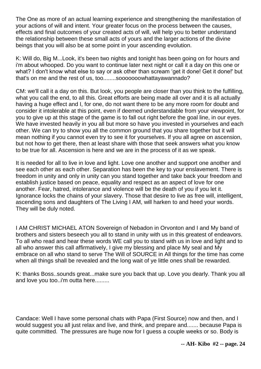The One as more of an actual learning experience and strengthening the manifestation of your actions of will and intent. Your greater focus on the process between the causes, effects and final outcomes of your created acts of will, will help you to better understand the relationship between these small acts of yours and the larger actions of the divine beings that you will also be at some point in your ascending evolution.

K: Will do, Big M...Look, it's been two nights and tonight has been going on for hours and i'm about whooped. Do you want to continue later next night or call it a day on this one or what? I don't know what else to say or ask other than scream 'get it done! Get it done!' but that's on me and the rest of us, too........sooooooowhattayawannado?

CM: we'll call it a day on this. But look, you people are closer than you think to the fulfilling, what you call the end, to all this. Great efforts are being made all over and it is all actually having a huge effect and I, for one, do not want there to be any more room for doubt and consider it intolerable at this point, even if deemed understandable from your viewpoint, for you to give up at this stage of the game is to fall out right before the goal line, in our eyes. We have invested heavily in you all but more so have you invested in yourselves and each other. We can try to show you all the common ground that you share together but it will mean nothing if you cannot even try to see it for yourselves. If you all agree on ascension, but not how to get there, then at least share with those that seek answers what you know to be true for all. Ascension is here and we are in the process of it as we speak.

It is needed for all to live in love and light. Love one another and support one another and see each other as each other. Separation has been the key to your enslavement. There is freedom in unity and only in unity can you stand together and take back your freedom and establish justice based on peace, equality and respect as an aspect of love for one another. Fear, hatred, intolerance and violence will be the death of you if you let it. Ignorance locks the chains of your slavery. Those that desire to live as free will, intelligent, ascending sons and daughters of The Living I AM, will harken to and heed your words. They will be duly noted.

I AM CHRIST MICHAEL ATON Sovereign of Nebadon in Orvonton and I and My band of brothers and sisters beseech you all to stand in unity with us in this greatest of endeavors. To all who read and hear these words WE call you to stand with us in love and light and to all who answer this call affirmatively, I give my blessing and place My seal and My embrace on all who stand to serve The Will of SOURCE in All things for the time has come when all things shall be revealed and the long wait of ye little ones shall be rewarded.

K: thanks Boss..sounds great...make sure you back that up. Love you dearly. Thank you all and love you too..i'm outta here.........

Candace: Well I have some personal chats with Papa (First Source) now and then, and I would suggest you all just relax and live, and think, and prepare and....... because Papa is quite committed. The pressures are huge now for I guess a couple weeks or so. Body is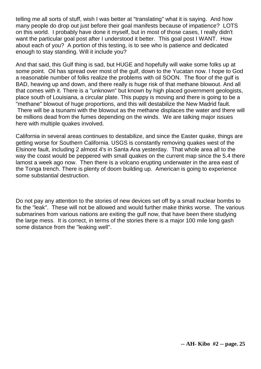telling me all sorts of stuff, wish I was better at "translating" what it is saying. And how many people do drop out just before their goal manifests because of impatience? LOTS on this world. I probably have done it myself, but in most of those cases, I really didn't want the particular goal post after I understood it better. This goal post I WANT. How about each of you? A portion of this testing, is to see who is patience and dedicated enough to stay standing. Will it include you?

And that said, this Gulf thing is sad, but HUGE and hopefully will wake some folks up at some point. Oil has spread over most of the gulf, down to the Yucatan now. I hope to God a reasonable number of folks realize the problems with oil SOON. The floor of the gulf is BAD, heaving up and down, and there really is huge risk of that methane blowout. And all that comes with it. There is a "unknown" but known by high placed government geologists, place south of Louisiana, a circular plate. This puppy is moving and there is going to be a "methane" blowout of huge proportions, and this will destabilize the New Madrid fault. There will be a tsunami with the blowout as the methane displaces the water and there will be millions dead from the fumes depending on the winds. We are talking major issues here with multiple quakes involved.

California in several areas continues to destabilize, and since the Easter quake, things are getting worse for Southern California. USGS is constantly removing quakes west of the Elsinore fault, including 2 almost 4's in Santa Ana yesterday. That whole area all to the way the coast would be peppered with small quakes on the current map since the 5.4 there lamost a week ago now. Then there is a volcano erupting underwater in the area east of the Tonga trench. There is plenty of doom building up. American is going to experience some substantial destruction.

Do not pay any attention to the stories of new devices set off by a small nuclear bombs to fix the "leak". These will not be allowed and would further make thinks worse. The various submarines from various nations are exiting the gulf now, that have been there studying the large mess. It is correct, in terms of the stories there is a major 100 mile long gash some distance from the "leaking well".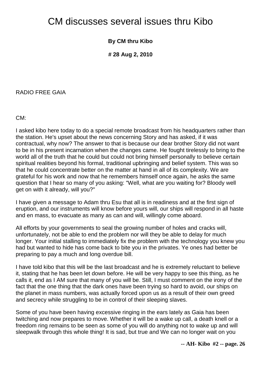# CM discusses several issues thru Kibo

### **By CM thru Kibo**

**# 28 Aug 2, 2010** 

### RADIO FREE GAIA

### CM:

I asked kibo here today to do a special remote broadcast from his headquarters rather than the station. He's upset about the news concerning Story and has asked, if it was contractual, why now? The answer to that is because our dear brother Story did not want to be in his present incarnation when the changes came. He fought tirelessly to bring to the world all of the truth that he could but could not bring himself personally to believe certain spiritual realities beyond his formal, traditional upbringing and belief system. This was so that he could concentrate better on the matter at hand in all of its complexity. We are grateful for his work and now that he remembers himself once again, he asks the same question that I hear so many of you asking: "Well, what are you waiting for? Bloody well get on with it already, will you?"

I have given a message to Adam thru Esu that all is in readiness and at the first sign of eruption, and our instruments will know before yours will, our ships will respond in all haste and en mass, to evacuate as many as can and will, willingly come aboard.

All efforts by your governments to seal the growing number of holes and cracks will, unfortunately, not be able to end the problem nor will they be able to delay for much longer. Your initial stalling to immediately fix the problem with the technology you knew you had but wanted to hide has come back to bite you in the privates. Ye ones had better be preparing to pay a much and long overdue bill.

I have told kibo that this will be the last broadcast and he is extremely reluctant to believe it, stating that he has been let down before. He will be very happy to see this thing, as he calls it, end as I AM sure that many of you will be. Still, I must comment on the irony of the fact that the one thing that the dark ones have been trying so hard to avoid, our ships on the planet in mass numbers, was actually forced upon us as a result of their own greed and secrecy while struggling to be in control of their sleeping slaves.

Some of you have been having excessive ringing in the ears lately as Gaia has been twitching and now prepares to move. Whether it will be a wake up call, a death knell or a freedom ring remains to be seen as some of you will do anything not to wake up and will sleepwalk through this whole thing! It is sad, but true and We can no longer wait on you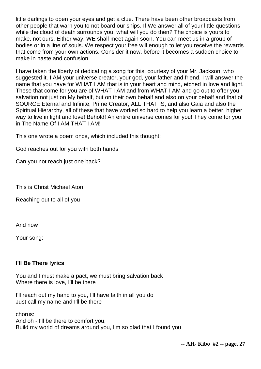little darlings to open your eyes and get a clue. There have been other broadcasts from other people that warn you to not board our ships. If We answer all of your little questions while the cloud of death surrounds you, what will you do then? The choice is yours to make, not ours. Either way, WE shall meet again soon. You can meet us in a group of bodies or in a line of souls. We respect your free will enough to let you receive the rewards that come from your own actions. Consider it now, before it becomes a sudden choice to make in haste and confusion.

I have taken the liberty of dedicating a song for this, courtesy of your Mr. Jackson, who suggested it. I AM your universe creator, your god, your father and friend. I will answer the name that you have for WHAT I AM that is in your heart and mind, etched in love and light. These that come for you are of WHAT I AM and from WHAT I AM and go out to offer you salvation not just on My behalf, but on their own behalf and also on your behalf and that of SOURCE Eternal and Infinite, Prime Creator, ALL THAT IS, and also Gaia and also the Spiritual Hierarchy, all of these that have worked so hard to help you learn a better, higher way to live in light and love! Behold! An entire universe comes for you! They come for you in The Name Of I AM THAT I AM!

This one wrote a poem once, which included this thought:

God reaches out for you with both hands

Can you not reach just one back?

This is Christ Michael Aton

Reaching out to all of you

And now

Your song:

### **I'll Be There lyrics**

You and I must make a pact, we must bring salvation back Where there is love. I'll be there

I'll reach out my hand to you, I'll have faith in all you do Just call my name and I'll be there

chorus: And oh - I'll be there to comfort you, Build my world of dreams around you, I'm so glad that I found you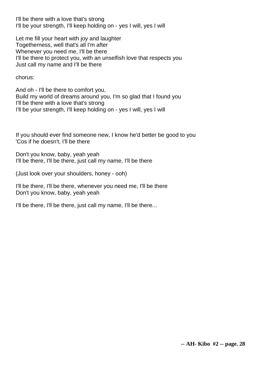I'll be there with a love that's strong I'll be your strength, I'll keep holding on - yes I will, yes I will

Let me fill your heart with joy and laughter Togetherness, well that's all I'm after Whenever you need me, I'll be there I'll be there to protect you, with an unselfish love that respects you Just call my name and I'll be there

chorus:

And oh - I'll be there to comfort you, Build my world of dreams around you, I'm so glad that I found you I'll be there with a love that's strong I'll be your strength, I'll keep holding on - yes I will, yes I will

If you should ever find someone new, I know he'd better be good to you 'Cos if he doesn't, I'll be there

Don't you know, baby, yeah yeah I'll be there, I'll be there, just call my name, I'll be there

(Just look over your shoulders, honey - ooh)

I'll be there, I'll be there, whenever you need me, I'll be there Don't you know, baby, yeah yeah

I'll be there, I'll be there, just call my name, I'll be there...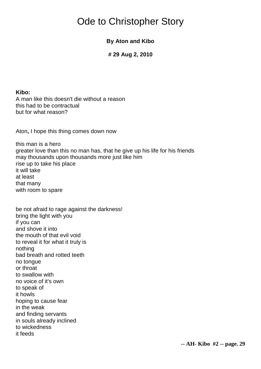# Ode to Christopher Story

### **By Aton and Kibo**

**# 29 Aug 2, 2010** 

#### **Kibo:**

A man like this doesn't die without a reason this had to be contractual but for what reason?

Aton**,** I hope this thing comes down now

this man is a hero greater love than this no man has, that he give up his life for his friends may thousands upon thousands more just like him rise up to take his place it will take at least that many with room to spare

be not afraid to rage against the darkness! bring the light with you if you can and shove it into the mouth of that evil void to reveal it for what it truly is nothing bad breath and rotted teeth no tongue or throat to swallow with no voice of it's own to speak of it howls hoping to cause fear in the weak and finding servants in souls already inclined to wickedness it feeds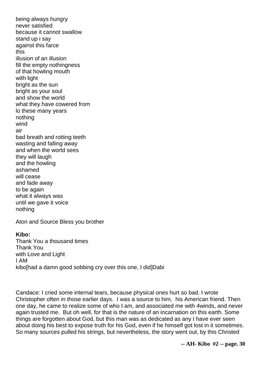being always hungry never satisfied because it cannot swallow stand up i say against this farce this illusion of an illusion fill the empty nothingness of that howling mouth with light bright as the sun bright as your soul and show the world what they have cowered from lo these many years nothing wind air bad breath and rotting teeth wasting and falling away and when the world sees they will laugh and the howling ashamed will cease and fade away to be again what it always was until we gave it voice nothing

Aton and Source Bless you brother

#### **Kibo:**

Thank You a thousand times Thank You with Love and Light I AM kibo[had a damn good sobbing cry over this one, I did]Dabi

Candace: I cried some internal tears, because physical ones hurt so bad. I wrote Christopher often in those earlier days. I was a source to him, his American friend. Then one day, he came to realize some of who I am, and associated me with 4winds, and never again trusted me. But oh well, for that is the nature of an incarnation on this earth. Some things are forgotten about God, but this man was as dedicated as any I have ever seen about doing his best to expose truth for his God, even if he himself got lost in it sometimes. So many sources pulled his strings, but nevertheless, the story went out, by this Christed

**-- AH- Kibo #2 -- page. 30**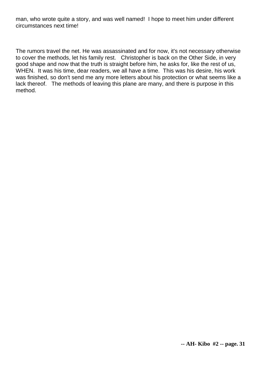man, who wrote quite a story, and was well named! I hope to meet him under different circumstances next time!

The rumors travel the net. He was assassinated and for now, it's not necessary otherwise to cover the methods, let his family rest. Christopher is back on the Other Side, in very good shape and now that the truth is straight before him, he asks for, like the rest of us, WHEN. It was his time, dear readers, we all have a time. This was his desire, his work was finished, so don't send me any more letters about his protection or what seems like a lack thereof. The methods of leaving this plane are many, and there is purpose in this method.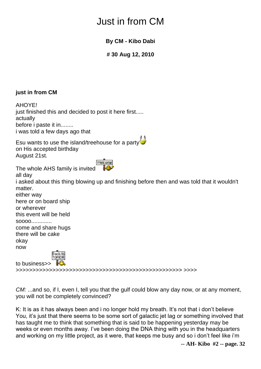# Just in from CM

### **By CM - Kibo Dabi**

**# 30 Aug 12, 2010** 

### **just in from CM**

| AHOYE!                                                                                                   |
|----------------------------------------------------------------------------------------------------------|
| just finished this and decided to post it here first<br>actually                                         |
| before i paste it in                                                                                     |
| i was told a few days ago that                                                                           |
| Esu wants to use the island/treehouse for a party<br>on His accepted birthday<br>August 21st.<br>Welcome |
| The whole AHS family is invited<br>all day                                                               |
| i asked about this thing blowing up and finishing before then and was told that it wouldn't<br>matter.   |
| either way                                                                                               |
| here or on board ship<br>or wherever                                                                     |
| this event will be held                                                                                  |
| soooo                                                                                                    |
| come and share hugs                                                                                      |
| there will be cake                                                                                       |
| okay                                                                                                     |
| now                                                                                                      |
| Back to<br>TOPIC!!!!                                                                                     |
| to business>>                                                                                            |
| >>>>>>>>>>                                                                                               |
|                                                                                                          |

*CM:* ...and so, if I, even I, tell you that the gulf could blow any day now, or at any moment, you will not be completely convinced?

K: It is as it has always been and i no longer hold my breath. It's not that i don't believe You, it's just that there seems to be some sort of galactic jet lag or something involved that has taught me to think that something that is said to be happening yesterday may be weeks or even months away. I've been doing the DNA thing with you in the headquarters and working on my little project, as it were, that keeps me busy and so i don't feel like i'm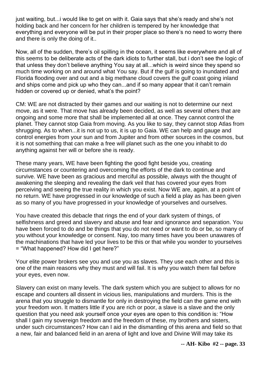just waiting, but...i would like to get on with it. Gaia says that she's ready and she's not holding back and her concern for her children is tempered by her knowledge that everything and everyone will be put in their proper place so there's no need to worry there and there is only the doing of it..

Now, all of the sudden, there's oil spilling in the ocean, it seems like everywhere and all of this seems to be deliberate acts of the dark idiots to further stall, but i don't see the logic of that unless they don't believe anything You say at all...which is weird since they spend so much time working on and around what You say. But if the gulf is going to inundated and Florida flooding over and out and a big methane cloud covers the gulf coast going inland and ships come and pick up who they can...and if so many appear that it can't remain hidden or covered up or denied, what's the point?

CM: WE are not distracted by their games and our waiting is not to determine our next move, as it were. That move has already been decided, as well as several others that are ongoing and some more that shall be implemented all at once. They cannot control the planet. They cannot stop Gaia from moving. As you like to say, they cannot stop Atlas from shrugging. As to when...it is not up to us, it is up to Gaia. WE can help and gauge and control energies from your sun and from Jupiter and from other sources in the cosmos, but it is not something that can make a free will planet such as the one you inhabit to do anything against her will or before she is ready.

These many years, WE have been fighting the good fight beside you, creating circumstances or countering and overcoming the efforts of the dark to continue and survive. WE have been as gracious and merciful as possible, always with the thought of awakening the sleeping and revealing the dark veil that has covered your eyes from perceiving and seeing the true reality in which you exist. Now WE are, again, at a point of no return. WE have progressed in our knowledge of such a field a play as has been given as so many of you have progressed in your knowledge of yourselves and ourselves.

You have created this debacle that rings the end of your dark system of things, of selfishness and greed and slavery and abuse and fear and ignorance and separation. You have been forced to do and be things that you do not need or want to do or be, so many of you without your knowledge or consent. Nay, too many times have you been unawares of the machinations that have led your lives to be this or that while you wonder to yourselves  $=$  "What happened? How did I get here?"

Your elite power brokers see you and use you as slaves. They use each other and this is one of the main reasons why they must and will fail. It is why you watch them fail before your eyes, even now.

Slavery can exist on many levels. The dark system which you are subject to allows for no escape and counters all dissent in vicious lies, manipulations and murders. This is the arena that you struggle to dismantle for only in destroying the field can the game end with your freedom won. It matters little if you are rich or poor, a slave is a slave and the only question that you need ask yourself once your eyes are open to this condition is: "How shall I gain my sovereign freedom and the freedom of these, my brothers and sisters, under such circumstances? How can I aid in the dismantling of this arena and field so that a new, fair and balanced field in an arena of light and love and Divine Will may take its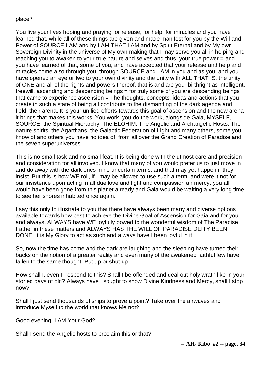#### place?"

You live your lives hoping and praying for release, for help, for miracles and you have learned that, while all of these things are given and made manifest for you by the Will and Power of SOURCE I AM and by I AM THAT I AM and by Spirit Eternal and by My own Sovereign Divinity in the universe of My own making that I may serve you all in helping and teaching you to awaken to your true nature and selves and thus, your true power = and you have learned of that, some of you, and have accepted that your release and help and miracles come also through you, through SOURCE and I AM in you and as you, and you have opened an eye or two to your own divinity and the unity with ALL THAT IS, the unity of ONE and all of the rights and powers thereof, that is and are your birthright as intelligent, freewill, ascending and descending beings = for truly some of you are descending beings that came to experience ascension = The thoughts, concepts, ideas and actions that you create in such a state of being all contribute to the dismantling of the dark agenda and field, their arena. It is your unified efforts towards this goal of ascension and the new arena it brings that makes this works. You work, you do the work, alongside Gaia, MYSELF, SOURCE, the Spiritual Hierarchy, The ELOHIM, The Angelic and Archangelic Hosts, The nature spirits, the Agarthans, the Galactic Federation of Light and many others, some you know of and others you have no idea of, from all over the Grand Creation of Paradise and the seven superuniverses.

This is no small task and no small feat. It is being done with the utmost care and precision and consideration for all involved. I know that many of you would prefer us to just move in and do away with the dark ones in no uncertain terms, and that may yet happen if they insist. But this is how WE roll, if I may be allowed to use such a term, and were it not for our insistence upon acting in all due love and light and compassion an mercy, you all would have been gone from this planet already and Gaia would be waiting a very long time to see her shores inhabited once again.

I say this only to illustrate to you that there have always been many and diverse options available towards how best to achieve the Divine Goal of Ascension for Gaia and for you and always, ALWAYS have WE joyfully bowed to the wonderful wisdom of The Paradise Father in these matters and ALWAYS HAS THE WILL OF PARADISE DEITY BEEN DONE! It is My Glory to act as such and always have I been joyful in it.

So, now the time has come and the dark are laughing and the sleeping have turned their backs on the notion of a greater reality and even many of the awakened faithful few have fallen to the same thought: Put up or shut up.

How shall I, even I, respond to this? Shall I be offended and deal out holy wrath like in your storied days of old? Always have I sought to show Divine Kindness and Mercy, shall I stop now?

Shall I just send thousands of ships to prove a point? Take over the airwaves and introduce Myself to the world that knows Me not?

Good evening, I AM Your God?

Shall I send the Angelic hosts to proclaim this or that?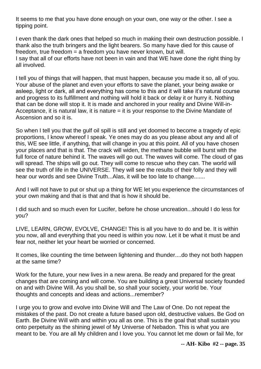It seems to me that you have done enough on your own, one way or the other. I see a tipping point.

I even thank the dark ones that helped so much in making their own destruction possible. I thank also the truth bringers and the light bearers. So many have died for this cause of freedom, true freedom = a freedom you have never known, but will. I say that all of our efforts have not been in vain and that WE have done the right thing by all involved.

I tell you of things that will happen, that must happen, because you made it so, all of you. Your abuse of the planet and even your efforts to save the planet, your being awake or asleep, light or dark, all and everything has come to this and it will take it's natural course and progress to its fulfillment and nothing will hold it back or delay it or hurry it. Nothing that can be done will stop it. It is made and anchored in your reality and Divine Will-in-Acceptance, it is natural law, it is nature = it is your response to the Divine Mandate of Ascension and so it is.

So when I tell you that the gulf oil spill is still and yet doomed to become a tragedy of epic proportions, I know whereof I speak. Ye ones may do as you please about any and all of this, WE see little, if anything, that will change in you at this point. All of you have chosen your places and that is that. The crack will widen, the methane bubble will burst with the full force of nature behind it. The waves will go out. The waves will come. The cloud of gas will spread. The ships will go out. They will come to rescue who they can. The world will see the truth of life in the UNIVERSE. They will see the results of their folly and they will hear our words and see Divine Truth...Alas, it will be too late to change.......

And I will not have to put or shut up a thing for WE let you experience the circumstances of your own making and that is that and that is how it should be.

I did such and so much even for Lucifer, before he chose uncreation...should I do less for you?

LIVE, LEARN, GROW, EVOLVE, CHANGE! This is all you have to do and be. It is within you now, all and everything that you need is within you now. Let it be what it must be and fear not, neither let your heart be worried or concerned.

It comes, like counting the time between lightening and thunder....do they not both happen at the same time?

Work for the future, your new lives in a new arena. Be ready and prepared for the great changes that are coming and will come. You are building a great Universal society founded on and with Divine Will. As you shall be, so shall your society, your world be. Your thoughts and concepts and ideas and actions...remember?

I urge you to grow and evolve into Divine Will and The Law of One. Do not repeat the mistakes of the past. Do not create a future based upon old, destructive values. Be God on Earth. Be Divine Will with and within you all as one. This is the goal that shall sustain you onto perpetuity as the shining jewel of My Universe of Nebadon. This is what you are meant to be. You are all My children and I love you. You cannot let me down or fail Me, for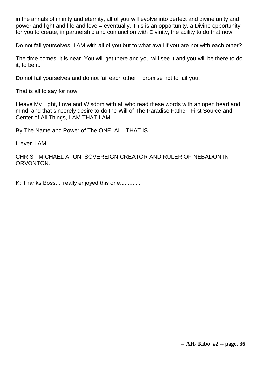in the annals of infinity and eternity, all of you will evolve into perfect and divine unity and power and light and life and love = eventually. This is an opportunity, a Divine opportunity for you to create, in partnership and conjunction with Divinity, the ability to do that now.

Do not fail yourselves. I AM with all of you but to what avail if you are not with each other?

The time comes, it is near. You will get there and you will see it and you will be there to do it, to be it.

Do not fail yourselves and do not fail each other. I promise not to fail you.

That is all to say for now

I leave My Light, Love and Wisdom with all who read these words with an open heart and mind, and that sincerely desire to do the Will of The Paradise Father, First Source and Center of All Things, I AM THAT I AM.

By The Name and Power of The ONE, ALL THAT IS

I, even I AM

CHRIST MICHAEL ATON, SOVEREIGN CREATOR AND RULER OF NEBADON IN ORVONTON.

K: Thanks Boss...i really enjoyed this one.............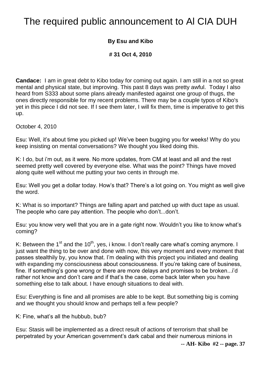# The required public announcement to Al CIA DUH

## **By Esu and Kibo**

**# 31 Oct 4, 2010** 

**Candace:** I am in great debt to Kibo today for coming out again. I am still in a not so great mental and physical state, but improving. This past 8 days was pretty awful. Today I also heard from S333 about some plans already manifested against one group of thugs, the ones directly responsible for my recent problems. There may be a couple typos of Kibo's yet in this piece I did not see. If I see them later, I will fix them, time is imperative to get this up.

October 4, 2010

Esu: Well, it's about time you picked up! We've been bugging you for weeks! Why do you keep insisting on mental conversations? We thought you liked doing this.

K: I do, but i'm out, as it were. No more updates, from CM at least and all and the rest seemed pretty well covered by everyone else. What was the point? Things have moved along quite well without me putting your two cents in through me.

Esu: Well you get a dollar today. How's that? There's a lot going on. You might as well give the word.

K: What is so important? Things are falling apart and patched up with duct tape as usual. The people who care pay attention. The people who don't...don't.

Esu: you know very well that you are in a gate right now. Wouldn't you like to know what's coming?

K: Between the 1<sup>st</sup> and the 10<sup>th</sup>, yes, i know. I don't really care what's coming anymore. I just want the thing to be over and done with now, this very moment and every moment that passes stealthily by, you know that. I'm dealing with this project you initiated and dealing with expanding my consciousness about consciousness. If you're taking care of business, fine. If something's gone wrong or there are more delays and promises to be broken...i'd rather not know and don't care and if that's the case, come back later when you have something else to talk about. I have enough situations to deal with.

Esu: Everything is fine and all promises are able to be kept. But something big is coming and we thought you should know and perhaps tell a few people?

K: Fine, what's all the hubbub, bub?

Esu: Stasis will be implemented as a direct result of actions of terrorism that shall be perpetrated by your American government's dark cabal and their numerous minions in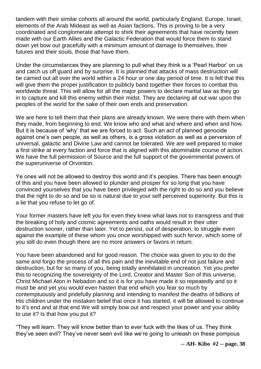tandem with their similar cohorts all around the world, particularly England, Europe, Israel, elements of the Arab Mideast as well as Asian factions. This is proving to be a very coordinated and conglomerate attempt to shirk their agreements that have recently been made with our Earth Allies and the Galactic Federation that would force them to stand down yet bow out gracefully with a minimum amount of damage to themselves, their futures and their souls, those that have them.

Under the circumstances they are planning to pull what they think is a 'Pearl Harbor' on us and catch us off guard and by surprise. It is planned that attacks of mass destruction will be carried out all over the world within a 24 hour or one day period of time. It is felt that this will give them the proper justification to publicly band together their forces to combat this worldwide threat. This will allow for all the major powers to declare martial law as they go in to capture and kill this enemy within their midst. They are declaring all out war upon the peoples of the world for the sake of their own ends and preservation.

We are here to tell them that their plans are already known. We were there with them when they made, from beginning to end. We know who and what and where and when and how. But it is because of 'why' that we are forced to act. Such an act of planned genocide against one's own people, as well as others, is a gross violation as well as a perversion of universal, galactic and Divine Law and cannot be tolerated. We are well prepared to make a first strike at every faction and force that is aligned with this abominable course of action. We have the full permission of Source and the full support of the governmental powers of the superuniverse of Orvonton.

Ye ones will not be allowed to destroy this world and it's peoples. There has been enough of this and you have been allowed to plunder and prosper for so long that you have convinced yourselves that you have been privileged with the right to do so and you believe that the right to do so and be so is natural due to your self perceived superiority. But this is a lie that you refuse to let go of.

Your former masters have left you for even they knew what laws not to transgress and that the breaking of holy and cosmic agreements and oaths would result in their utter destruction sooner, rather than later. Yet to persist, out of desperation, to struggle even against the example of these whom you once worshipped with such fervor, which some of you still do even though there are no more answers or favors in return.

You have been abandoned and for good reason. The choice was given to you to do the same and forgo the process of all this pain and the inevitable end of not just failure and destruction, but for so many of you, being totally annihilated in uncreation. Yet you prefer this to recognizing the sovereignty of the Lord, Creator and Master Son of this universe, Christ Michael Aton in Nebadon and so it is for you have made it so repeatedly and so it must be and yet you would even hasten that end which you fear so much by contemptuously and pridefully planning and intending to manifest the deaths of billions of His children under the mistaken belief that once it has started, it will be allowed to continue to it's end and at that end We will simply bow out and respect your power and your ability to use it? Is that how you put it?

―They will learn. They will know better than to ever fuck with the likes of us. They think they've seen evil? They've never seen evil like we're going to unleash on these pompous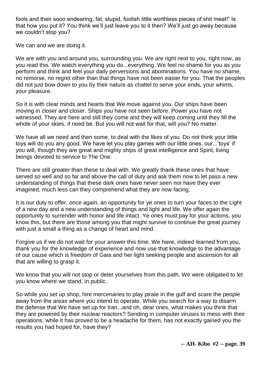fools and their sooo endearing, fat, stupid, foolish little worthless pieces of shit meat!" Is that how you put it? You think we'll just leave you to it then? We'll just go away because we couldn't stop you?

We can and we are doing it.

We are with you and around you, surrounding you. We are right next to you, right now, as you read this. We watch everything you do...everything. We feel no shame for you as you perform and think and feel your daily perversions and abominations. You have no shame, no remorse, no regret other than that things have not been easier for you. That the peoples did not just bow down to you by their nature as chattel to serve your ends, your whims, your pleasure.

So it is with clear minds and hearts that We move against you. Our ships have been moving in closer and closer. Ships you have not seen before. Power you have not witnessed. They are here and still they come and they will keep coming until they fill the whole of your skies, if need be. But you will not wait for that, will you? No matter.

We have all we need and then some, to deal with the likes of you. Do not think your little toys will do you any good. We have let you play games with our little ones, our...'toys' if you will, though they are great and mighty ships of great intelligence and Spirit, living beings devoted to service to The One.

There are still greater than these to deal with. We greatly thank these ones that have served so well and so far and above the call of duty and ask them now to let pass a new understanding of things that these dark ones have never seen nor have they ever imagined, much less can they comprehend what they are now facing.

It is our duty to offer, once again, an opportunity for ye ones to turn your faces to the Light of a new day and a new understanding of things and light and life. We offer again the opportunity to surrender with honor and life intact. Ye ones must pay for your actions, you know this, but there are those among you that might survive to continue the great journey with just a small a thing as a change of heart and mind.

Forgive us if we do not wait for your answer this time. We have, indeed learned from you, thank you for the knowledge of experience and now use that knowledge to the advantage of our cause which is freedom of Gaia and her light seeking people and ascension for all that are willing to grasp it.

We know that you will not stop or deter yourselves from this path. We were obligated to let you know where we stand, in public.

So while you set up shop, hire mercenaries to play pirate in the gulf and scare the people away from the areas where you intend to operate. While you search for a way to disarm the defense that We have set up for Iran...and oh, dear ones, what makes you think that they are powered by their nuclear reactors? Sending in computer viruses to mess with their operations, while it has proved to be a headache for them, has not exactly gained you the results you had hoped for, have they?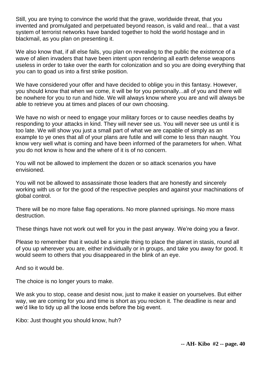Still, you are trying to convince the world that the grave, worldwide threat, that you invented and promulgated and perpetuated beyond reason, is valid and real... that a vast system of terrorist networks have banded together to hold the world hostage and in blackmail, as you plan on presenting it.

We also know that, if all else fails, you plan on revealing to the public the existence of a wave of alien invaders that have been intent upon rendering all earth defense weapons useless in order to take over the earth for colonization and so you are doing everything that you can to goad us into a first strike position.

We have considered your offer and have decided to oblige you in this fantasy. However, you should know that when we come, it will be for you personally...all of you and there will be nowhere for you to run and hide. We will always know where you are and will always be able to retrieve you at times and places of our own choosing.

We have no wish or need to engage your military forces or to cause needles deaths by responding to your attacks in kind. They will never see us. You will never see us until it is too late. We will show you just a small part of what we are capable of simply as an example to ye ones that all of your plans are futile and will come to less than naught. You know very well what is coming and have been informed of the parameters for when. What you do not know is how and the where of it is of no concern.

You will not be allowed to implement the dozen or so attack scenarios you have envisioned.

You will not be allowed to assassinate those leaders that are honestly and sincerely working with us or for the good of the respective peoples and against your machinations of global control.

There will be no more false flag operations. No more planned uprisings. No more mass destruction.

These things have not work out well for you in the past anyway. We're doing you a favor.

Please to remember that it would be a simple thing to place the planet in stasis, round all of you up wherever you are, either individually or in groups, and take you away for good. It would seem to others that you disappeared in the blink of an eye.

And so it would be.

The choice is no longer yours to make.

We ask you to stop, cease and desist now, just to make it easier on yourselves. But either way, we are coming for you and time is short as you reckon it. The deadline is near and we'd like to tidy up all the loose ends before the big event.

Kibo: Just thought you should know, huh?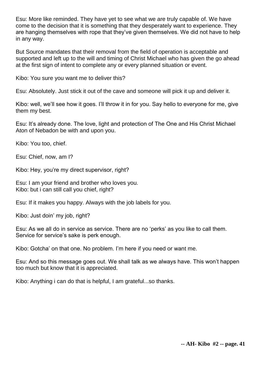Esu: More like reminded. They have yet to see what we are truly capable of. We have come to the decision that it is something that they desperately want to experience. They are hanging themselves with rope that they've given themselves. We did not have to help in any way.

But Source mandates that their removal from the field of operation is acceptable and supported and left up to the will and timing of Christ Michael who has given the go ahead at the first sign of intent to complete any or every planned situation or event.

Kibo: You sure you want me to deliver this?

Esu: Absolutely. Just stick it out of the cave and someone will pick it up and deliver it.

Kibo: well, we'll see how it goes. I'll throw it in for you. Say hello to everyone for me, give them my best.

Esu: It's already done. The love, light and protection of The One and His Christ Michael Aton of Nebadon be with and upon you.

Kibo: You too, chief.

Esu: Chief, now, am I?

Kibo: Hey, you're my direct supervisor, right?

Esu: I am your friend and brother who loves you. Kibo: but i can still call you chief, right?

Esu: If it makes you happy. Always with the job labels for you.

Kibo: Just doin' my job, right?

Esu: As we all do in service as service. There are no 'perks' as you like to call them. Service for service's sake is perk enough.

Kibo: Gotcha' on that one. No problem. I'm here if you need or want me.

Esu: And so this message goes out. We shall talk as we always have. This won't happen too much but know that it is appreciated.

Kibo: Anything i can do that is helpful, I am grateful...so thanks.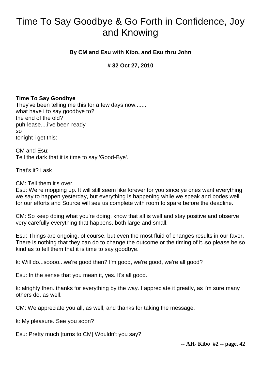# Time To Say Goodbye & Go Forth in Confidence, Joy and Knowing

### **By CM and Esu with Kibo, and Esu thru John**

**# 32 Oct 27, 2010** 

#### **Time To Say Goodbye**

They've been telling me this for a few days now....... what have i to say goodbye to? the end of the old? puh-lease....i've been ready so tonight i get this:

CM and Esu: Tell the dark that it is time to say 'Good-Bye'.

That's it? i ask

CM: Tell them it's over.

Esu: We're mopping up. It will still seem like forever for you since ye ones want everything we say to happen yesterday, but everything is happening while we speak and bodes well for our efforts and Source will see us complete with room to spare before the deadline.

CM: So keep doing what you're doing, know that all is well and stay positive and observe very carefully everything that happens, both large and small.

Esu: Things are ongoing, of course, but even the most fluid of changes results in our favor. There is nothing that they can do to change the outcome or the timing of it..so please be so kind as to tell them that it is time to say goodbye.

k: Will do...soooo...we're good then? I'm good, we're good, we're all good?

Esu: In the sense that you mean it, yes. It's all good.

k: alrighty then. thanks for everything by the way. I appreciate it greatly, as i'm sure many others do, as well.

CM: We appreciate you all, as well, and thanks for taking the message.

k: My pleasure. See you soon?

Esu: Pretty much [turns to CM] Wouldn't you say?

**-- AH- Kibo #2 -- page. 42**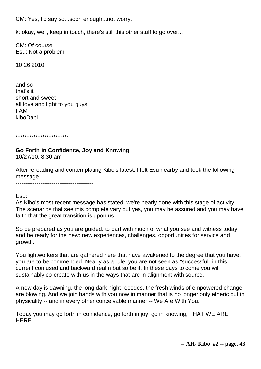CM: Yes, I'd say so...soon enough...not worry.

k: okay, well, keep in touch, there's still this other stuff to go over...

CM: Of course Esu: Not a problem

10 26 2010

.................................................. ....................................

and so that's it short and sweet all love and light to you guys I AM kiboDabi

\*\*\*\*\*\*\*\*\*\*\*\*\*\*\*\*\*\*\*\*\*\*\*\*

#### **Go Forth in Confidence, Joy and Knowing**

10/27/10, 8:30 am

After rereading and contemplating Kibo's latest, I felt Esu nearby and took the following message.

-----------------------------------------

Esu:

As Kibo's most recent message has stated, we're nearly done with this stage of activity. The scenarios that see this complete vary but yes, you may be assured and you may have faith that the great transition is upon us.

So be prepared as you are guided, to part with much of what you see and witness today and be ready for the new: new experiences, challenges, opportunities for service and growth.

You lightworkers that are gathered here that have awakened to the degree that you have, you are to be commended. Nearly as a rule, you are not seen as "successful" in this current confused and backward realm but so be it. In these days to come you will sustainably co-create with us in the ways that are in alignment with source.

A new day is dawning, the long dark night recedes, the fresh winds of empowered change are blowing. And we join hands with you now in manner that is no longer only etheric but in physicality -- and in every other conceivable manner -- We Are With You.

Today you may go forth in confidence, go forth in joy, go in knowing, THAT WE ARE HERE.

**-- AH- Kibo #2 -- page. 43**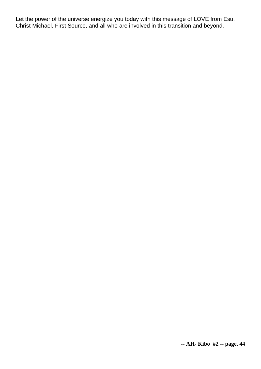Let the power of the universe energize you today with this message of LOVE from Esu, Christ Michael, First Source, and all who are involved in this transition and beyond.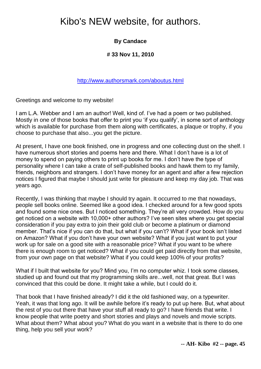# Kibo's NEW website, for authors.

### **By Candace**

### **# 33 Nov 11, 2010**

<http://www.authorsmark.com/aboutus.html>

Greetings and welcome to my website!

I am L.A. Webber and I am an author! Well, kind of. I've had a poem or two published. Mostly in one of those books that offer to print you 'if you qualify', in some sort of anthology which is available for purchase from them along with certificates, a plaque or trophy, if you choose to purchase that also...you get the picture.

At present, I have one book finished, one in progress and one collecting dust on the shelf. I have numerous short stories and poems here and there. What I don't have is a lot of money to spend on paying others to print up books for me. I don't have the type of personality where I can take a crate of self-published books and hawk them to my family, friends, neighbors and strangers. I don't have money for an agent and after a few rejection notices I figured that maybe I should just write for pleasure and keep my day job. That was years ago.

Recently, I was thinking that maybe I should try again. It occurred to me that nowadays, people sell books online. Seemed like a good idea. I checked around for a few good spots and found some nice ones. But I noticed something. They're all very crowded. How do you get noticed on a website with 10,000+ other authors? I've seen sites where you get special consideration if you pay extra to join their gold club or become a platinum or diamond member. That's nice if you can do that, but what if you can't? What if your book isn't listed on Amazon? What if you don't have your own website? What if you just want to put your work up for sale on a good site with a reasonable price? What if you want to be where there is enough room to get noticed? What if you could get paid directly from that website, from your own page on that website? What if you could keep 100% of your profits?

What if I built that website for you? Mind you, I'm no computer whiz. I took some classes, studied up and found out that my programming skills are...well, not that great. But I was convinced that this could be done. It might take a while, but I could do it.

That book that I have finished already? I did it the old fashioned way, on a typewriter. Yeah, it was that long ago. It will be awhile before it's ready to put up here. But, what about the rest of you out there that have your stuff all ready to go? I have friends that write. I know people that write poetry and short stories and plays and novels and movie scripts. What about them? What about you? What do you want in a website that is there to do one thing, help you sell your work?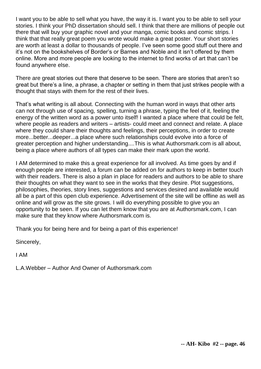I want you to be able to sell what you have, the way it is. I want you to be able to sell your stories. I think your PhD dissertation should sell. I think that there are millions of people out there that will buy your graphic novel and your manga, comic books and comic strips. I think that that really great poem you wrote would make a great poster. Your short stories are worth at least a dollar to thousands of people. I've seen some good stuff out there and it's not on the bookshelves of Border's or Barnes and Noble and it isn't offered by them online. More and more people are looking to the internet to find works of art that can't be found anywhere else.

There are great stories out there that deserve to be seen. There are stories that aren't so great but there's a line, a phrase, a chapter or setting in them that just strikes people with a thought that stays with them for the rest of their lives.

That's what writing is all about. Connecting with the human word in ways that other arts can not through use of spacing, spelling, turning a phrase, typing the feel of it, feeling the energy of the written word as a power unto itself! I wanted a place where that could be felt, where people as readers and writers – artists- could meet and connect and relate. A place where they could share their thoughts and feelings, their perceptions, in order to create more...better...deeper...a place where such relationships could evolve into a force of greater perception and higher understanding....This is what Authorsmark.com is all about, being a place where authors of all types can make their mark upon the world.

I AM determined to make this a great experience for all involved. As time goes by and if enough people are interested, a forum can be added on for authors to keep in better touch with their readers. There is also a plan in place for readers and authors to be able to share their thoughts on what they want to see in the works that they desire. Plot suggestions, philosophies, theories, story lines, suggestions and services desired and available would all be a part of this open club experience. Advertisement of the site will be offline as well as online and will grow as the site grows. I will do everything possible to give you an opportunity to be seen. If you can let them know that you are at Authorsmark.com, I can make sure that they know where Authorsmark.com is.

Thank you for being here and for being a part of this experience!

Sincerely,

I AM

L.A.Webber – Author And Owner of Authorsmark.com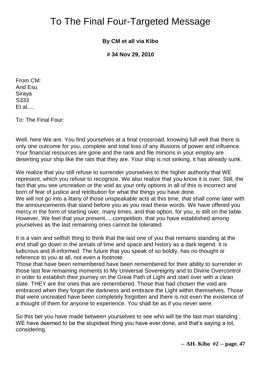# To The Final Four-Targeted Message

### **By CM et all via Kibo**

**# 34 Nov 29, 2010** 

From CM: And Esu Siraya S333  $Fit$  al.....

To: The Final Four:

Well, here We are. You find yourselves at a final crossroad, knowing full well that there is only one outcome for you, complete and total loss of any illusions of power and influence. Your financial resources are gone and the rank and file minions in your employ are deserting your ship like the rats that they are. Your ship is not sinking, it has already sunk.

We realize that you still refuse to surrender yourselves to the higher authority that WE represent, which you refuse to recognize. We also realize that you know it is over. Still, the fact that you see uncreation or the void as your only options in all of this is incorrect and born of fear of justice and retribution for what the things you have done. We will not go into a litany of those unspeakable acts at this time, *that* shall come later with the announcements that stand before you as you read these words. We have offered you mercy in the form of starting over, many times, and that option, for you, is still on the table. However, We feel that your present.....competition, that you have established among yourselves as the last remaining ones cannot be tolerated.

It is a vain and selfish thing to think that the last one of you that remains standing at the end shall go down in the annals of time and space and history as a dark legend. It is ludicrous and ill-informed. The future that you speak of so boldly, has no thought or reference to you at all, not even a footnote.

Those that have been remembered have been remembered for their ability to surrender in those last few remaining moments to My Universal Sovereignty and to Divine Overcontrol in order to establish their journey on the Great Path of Light and start over with a clean slate. THEY are the ones that are remembered. Those that had chosen the void are embraced when they forget the darkness and embrace the Light within themselves. Those that were uncreated have been completely forgotten and there is not even the existence of a thought of them for anyone to experience. You shall be as if you never were.

So this bet you have made between yourselves to see who will be the last man standing , WE have deemed to be the stupidest thing you have ever done, and that's saying a lot, considering.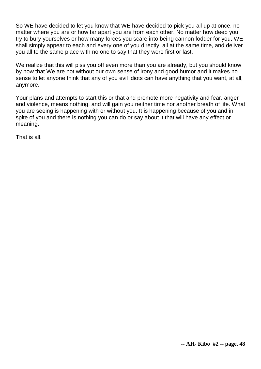So WE have decided to let you know that WE have decided to pick you all up at once, no matter where you are or how far apart you are from each other. No matter how deep you try to bury yourselves or how many forces you scare into being cannon fodder for you, WE shall simply appear to each and every one of you directly, all at the same time, and deliver you all to the same place with no one to say that they were first or last.

We realize that this will piss you off even more than you are already, but you should know by now that We are not without our own sense of irony and good humor and it makes no sense to let anyone think that any of you evil idiots can have anything that you want, at all, anymore.

Your plans and attempts to start this or that and promote more negativity and fear, anger and violence, means nothing, and will gain you neither time nor another breath of life. What you are seeing is happening with or without you. It is happening because of you and in spite of you and there is nothing you can do or say about it that will have any effect or meaning.

That is all.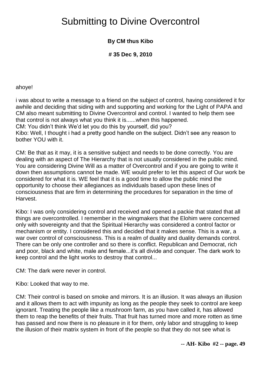# Submitting to Divine Overcontrol

## **By CM thus Kibo**

**# 35 Dec 9, 2010** 

ahoye!

i was about to write a message to a friend on the subject of control, having considered it for awhile and deciding that siding with and supporting and working for the Light of PAPA and CM also meant submitting to Divine Overcontrol and control. I wanted to help them see that control is not always what you think it is......when this happened. CM: You didn't think We'd let you do this by yourself, did you? Kibo: Well, I thought i had a pretty good handle on the subject. Didn't see any reason to bother YOU with it.

CM: Be that as it may, it is a sensitive subject and needs to be done correctly. You are dealing with an aspect of The Hierarchy that is not usually considered in the public mind. You are considering Divine Will as a matter of Overcontrol and if you are going to write it down then assumptions cannot be made. WE would prefer to let this aspect of Our work be considered for what it is. WE feel that it is a good time to allow the public mind the opportunity to choose their allegiances as individuals based upon these lines of consciousness that are firm in determining the procedures for separation in the time of Harvest.

Kibo: I was only considering control and received and opened a packie that stated that all things are overcontrolled. I remember in the wingmakers that the Elohim were concerned only with sovereignty and that the Spiritual Hierarchy was considered a control factor or mechanism or entity. I considered this and decided that it makes sense. This is a war, a war over control of consciousness. This is a realm of duality and duality demands control. There can be only one controller and so there is conflict. Republican and Democrat, rich and poor, black and white, male and female...it's all divide and conquer. The dark work to keep control and the light works to destroy that control...

CM: The dark were never in control.

Kibo: Looked that way to me.

CM: Their control is based on smoke and mirrors. It is an illusion. It was always an illusion and it allows them to act with impunity as long as the people they seek to control are keep ignorant. Treating the people like a mushroom farm, as you have called it, has allowed them to reap the benefits of their fruits. That fruit has turned more and more rotten as time has passed and now there is no pleasure in it for them, only labor and struggling to keep the illusion of their matrix system in front of the people so that they do not see what is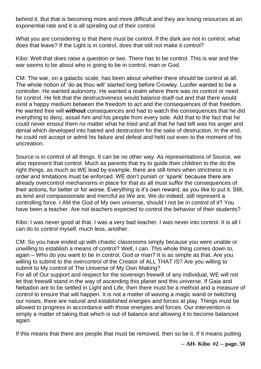behind it. But that is becoming more and more difficult and they are losing resources at an exponential rate and it is all spiraling out of their control.

What you are considering is that there must be control. If the dark are not in control, what does that leave? If the Light is in control, does that still not make it control?

Kibo: Well that does raise a question or two. There has to be control. This is war and the war seems to be about who is going to be in control, man or God.

CM: The war, on a galactic scale, has been about whether there should be control at all. The whole notion of 'do as thou will' started long before Crowley. Lucifer wanted to be a controller. He wanted autonomy. He wanted a realm where there was no control or need for control. He felt that the destructiveness would balance itself out and that there would exist a happy medium between the freedom to act and the consequences of that freedom. He wanted free will **without** consequences and had to watch the consequences that he did everything to deny, assail him and his people from every side. Add that to the fact that he could never ensoul them no matter what he tried and all that he had left was his anger and denial which developed into hatred and destruction for the sake of destruction. In the end, he could not accept or admit his failure and defeat and held out even to the moment of his uncreation.

Source is in control of all things. It can be no other way. As representations of Source, we also represent that control. Much as parents that try to guide their children to the do the right things, as much as WE lead by example, there are still times when strictness is in order and limitations must be enforced. WE don't punish or 'spank' because there are already overcontrol mechanisms in place for that as all must suffer the consequences of their actions, for better or for worse. Everything is it's own reward, as you like to put it. Still, as kind and compassionate and merciful as We are, We do indeed, still represent a controlling force. I AM the God of My own universe, should I not be in control of it? You have been a teacher. Are not teachers expected to control the behavior of their students?

Kibo: I was never good at that. I was a very bad teacher. I was never into control. It is all I can do to control myself, much less, another.

CM: So you have ended up with chaotic classrooms simply because you were unable or unwilling to establish a means of control? Well, I can. This whole thing comes down to, again – Who do you want to be in control, God or man? It is as simple as that. Are you willing to submit to the overcontrol of the Creator of ALL THAT IS? Are you willing to submit to My control of The Universe of My Own Making?

For all of Our support and respect for the sovereign freewill of any individual, WE will not let that freewill stand in the way of ascending this planet and this universe. If Gaia and Nebadon are to be settled in Light and Life, then there must be a method and a measure of control to ensure that will happen. It is not a matter of waving a magic wand or twitching our noses, there are natural and established energies and forces at play. Things must be allowed to progress in accordance with those energies and forces. Our intervention is simply a matter of taking that which is out of balance and allowing it to become balanced again.

If this means that there are people that must be removed, then so be it. If it means putting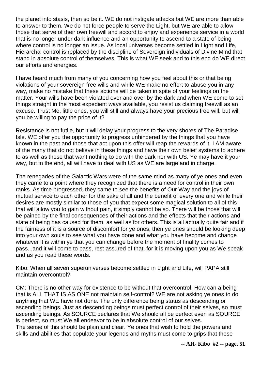the planet into stasis, then so be it. WE do not instigate attacks but WE are more than able to answer to them. We do not force people to serve the Light, but WE are able to allow those that serve of their own freewill and accord to enjoy and experience service in a world that is no longer under dark influence and an opportunity to ascend to a state of being where control is no longer an issue. As local universes become settled in Light and Life, Hierarchal control is replaced by the discipline of Sovereign individuals of Divine Mind that stand in absolute control of themselves. This is what WE seek and to this end do WE direct our efforts and energies.

I have heard much from many of you concerning how you feel about this or that being violations of your sovereign free wills and while WE make no effort to abuse you in any way, make no mistake that these actions will be taken in spite of your feelings on the matter. Your wills have been violated over and over by the dark and when WE come to set things straight in the most expedient ways available, you resist us claiming freewill as an excuse. Trust Me, little ones, you will still and always have your precious free will, but will you be willing to pay the price of it?

Resistance is not futile, but it will delay your progress to the very shores of The Paradise Isle. WE offer you the opportunity to progress unhindered by the things that you have known in the past and those that act upon this offer will reap the rewards of it. I AM aware of the many that do not believe in these things and have their own belief systems to adhere to as well as those that want nothing to do with the dark nor with US. Ye may have it your way, but in the end, all will have to deal with US as WE are large and in charge.

The renegades of the Galactic Wars were of the same mind as many of ye ones and even they came to a point where they recognized that there is a need for control in their own ranks. As time progressed, they came to see the benefits of Our Way and the joys of mutual service to each other for the sake of all and the benefit of every one and while their desires are mostly similar to those of you that expect some magical solution to all of this that will allow you to gain without pain, it simply cannot be so. There will be those that will be pained by the final consequences of their actions and the effects that their actions and state of being has caused for them, as well as for others. This is all actually quite fair and if the fairness of it is a source of discomfort for ye ones, then ye ones should be looking deep into your own souls to see what you have done and what you have become and change whatever it is within ye that you can change before the moment of finality comes to pass...and it will come to pass, rest assured of that, for it is moving upon you as We speak and as you read these words.

Kibo: When all seven superuniverses become settled in Light and Life, will PAPA still maintain overcontrol?

CM: There is no other way for existence to be without that overcontrol. How can a being that is ALL THAT IS AS ONE not maintain self-control? WE are not asking ye ones to do anything that WE have not done. The only difference being status as descending or ascending beings. Just as descending beings must perfect control of their selves, so must ascending beings. As SOURCE declares that We should all be perfect even as SOURCE is perfect, so must We all endeavor to be in absolute control of our selves. The sense of this should be plain and clear. Ye ones that wish to hold the powers and skills and abilities that populate your legends and myths must come to grips that these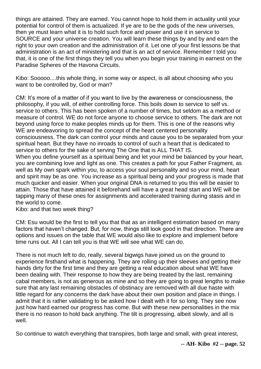things are attained. They are earned. You cannot hope to hold them in actuality until your potential for control of them is actualized. If ye are to be the gods of the new universes, then ye must learn what it is to hold such force and power and use it in service to SOURCE and your universe creation. You will learn these things by and by and earn the right to your own creation and the administration of it. Let one of your first lessons be that administration is an act of ministering and that is an act of service. Remember I told you that, it is one of the first things they tell you when you begin your training in earnest on the Paradise Spheres of the Havona Circuits.

Kibo: Sooooo....this whole thing, in some way or aspect, is all about choosing who you want to be controlled by, God or man?

CM: It's more of a matter of if you want to live by the awareness or consciousness, the philosophy, if you will, of either controlling force. This boils down to service to self vs. service to others. This has been spoken of a number of times, but seldom as a method or measure of control. WE do not force anyone to choose service to others. The dark are not beyond using force to make peoples minds up for them. This is one of the reasons why WE are endeavoring to spread the concept of the heart centered personality consciousness. The dark can control your minds and cause you to be separated from your spiritual heart. But they have no inroads to control of such a heart that is dedicated to service to others for the sake of serving The One that is ALL THAT IS.

When you define yourself as a spiritual being and let your mind be balanced by your heart, you are combining love and light as one. This creates a path for your Father Fragment, as well as My own spark within you, to access your soul personality and so your mind, heart and spirit may be as one. You increase as a spiritual being and your progress is made that much quicker and easier. When your original DNA is returned to you this will be easier to attain. Those that have attained it beforehand will have a great head start and WE will be tapping many of these ones for assignments and accelerated training during stasis and in the world to come.

Kibo: and that two week thing?

CM: Esu would be the first to tell you that that as an intelligent estimation based on many factors that haven't changed. But, for now, things still look good in that direction. There are options and issues on the table that WE would also like to explore and implement before time runs out. All I can tell you is that WE will see what WE can do.

There is not much left to do, really, several bigwigs have joined us on the ground to experience firsthand what is happening. They are rolling up their sleeves and getting their hands dirty for the first time and they are getting a real education about what WE have been dealing with. Their response to how they are being treated by the last, remaining cabal members, is not as generous as mine and so they are going to great lengths to make sure that any last remaining obstacles of obstinacy are removed with all due haste with little regard for any concerns the dark have about their own position and place in things. I admit that it is rather validating to be asked how I dealt with it for so long. They see now just how hard earned our progress has come. But with these new personalities in the mix there is no reason to hold back anything. The tilt is progressing, albeit slowly, and all is well.

So continue to watch everything that transpires, both large and small, with great interest,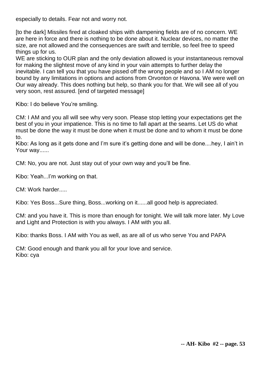especially to details. Fear not and worry not.

[to the dark] Missiles fired at cloaked ships with dampening fields are of no concern. WE are here in force and there is nothing to be done about it. Nuclear devices, no matter the size, are not allowed and the consequences are swift and terrible, so feel free to speed things up for us.

WE are sticking to OUR plan and the only deviation allowed is your instantaneous removal for making the slightest move of any kind in your vain attempts to further delay the inevitable. I can tell you that you have pissed off the wrong people and so I AM no longer bound by any limitations in options and actions from Orvonton or Havona. We were well on Our way already. This does nothing but help, so thank you for that. We will see all of you very soon, rest assured. [end of targeted message]

Kibo: I do believe You're smiling.

CM: I AM and you all will see why very soon. Please stop letting your expectations get the best of you in your impatience. This is no time to fall apart at the seams. Let US do what must be done the way it must be done when it must be done and to whom it must be done to.

Kibo: As long as it gets done and I'm sure it's getting done and will be done....hey, I ain't in Your way......

CM: No, you are not. Just stay out of your own way and you'll be fine.

Kibo: Yeah...I'm working on that.

CM: Work harder.....

Kibo: Yes Boss...Sure thing, Boss...working on it......all good help is appreciated.

CM: and you have it. This is more than enough for tonight. We will talk more later. My Love and Light and Protection is with you always. I AM with you all.

Kibo: thanks Boss. I AM with You as well, as are all of us who serve You and PAPA

CM: Good enough and thank you all for your love and service. Kibo: cya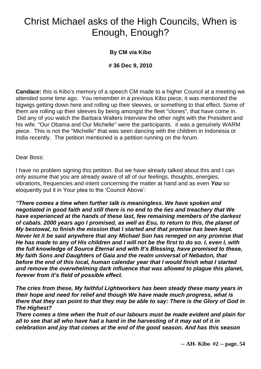# Christ Michael asks of the High Councils, When is Enough, Enough?

### **By CM via Kibo**

**# 36 Dec 9, 2010** 

**Candace:** this is Kibo's memory of a speech CM made to a higher Council at a meeting we attended some time ago. You remember in a previous Kibo piece, it was mentioned the bigwigs getting down here and rolling up their sleeves, or something to that effect. Some of them are rolling up their sleeves by being amongst the fleet "clones", that have come in. Did any of you watch the Barbara Walters Interview the other night with the President and his wife. "Our Obama and Our Michelle" were the participants. it was a genuinely WARM piece. This is not the "Michelle" that was seen dancing with the children in Indonesia or India recently. The petition mentioned is a petition running on the forum.

#### Dear Boss:

I have no problem signing this petition. But we have already talked about this and I can only assume that you are already aware of all of our feelings, thoughts, energies, vibrations, frequencies and intent concerning the matter at hand and as even *You* so eloquently put it in Your plea to the 'Council Above':

*"There comes a time when further talk is meaningless. We have spoken and negotiated in good faith and still there is no end to the lies and treachery that We have experienced at the hands of these last, few remaining members of the darkest of cabals. 2000 years ago I promised, as well as Esu, to return to this, the planet of My bestowal, to finish the mission that I started and that promise has been kept. Never let it be said anywhere that any Michael Son has reneged on any promise that He has made to any of His children and I will not be the first to do so. I, even I, with the full knowledge of Source Eternal and with It"s Blessing, have promised to these, My faith Sons and Daughters of Gaia and the realm universal of Nebadon, that before the end of this local, human calendar year that I would finish what I started and remove the overwhelming dark influence that was allowed to plague this planet, forever from it"s field of possible effect.*

*The cries from these, My faithful Lightworkers has been steady these many years in their hope and need for relief and though We have made much progress, what is there that they can point to that they may be able to say: There is the Glory of God in The Highest?*

*There comes a time when the fruit of our labours must be made evident and plain for all to see that all who have had a hand in the harvesting of it may eat of it in celebration and joy that comes at the end of the good season. And has this season*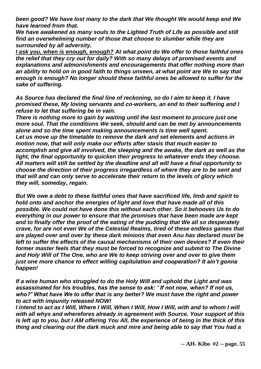*been good? We have lost many to the dark that We thought We would keep and We have learned from that.* 

*We have awakened as many souls to the Lighted Truth of Life as possible and still find an overwhelming number of those that choose to slumber while they are surrounded by all adversity.* 

*I ask you, when is enough, enough? At what point do We offer to those faithful ones the relief that they cry out for daily? With so many delays of promised events and explanations and admonishments and encouragements that offer nothing more than an ability to hold on in good faith to things unseen, at what point are We to say that enough is enough? No longer should these faithful ones be allowed to suffer for the sake of suffering.* 

*As Source has declared the final line of reckoning, so do I aim to keep it. I have promised these, My loving servants and co-workers, an end to their suffering and I refuse to let that suffering be in vain.*

*There is nothing more to gain by waiting until the last moment to procure just one more soul. That the conditions We seek, should and can be met by announcements alone and so the time spent making announcements is time well spent. Let us move up the timetable to remove the dark and set elements and actions in motion now, that will only make our efforts after stasis that much easier to accomplish and give all involved, the sleeping and the awake, the dark as well as the light, the final opportunity to quicken their progress to whatever ends they choose. All matters will still be settled by the deadline and all will have a final opportunity to choose the direction of their progress irregardless of where they are to be sent and that will and can only serve to accelerate their return to the levels of glory which they will, someday, regain.*

*But We owe a debt to these faithful ones that have sacrificed life, limb and spirit to hold onto and anchor the energies of light and love that have made all of this possible. We could not have done this without each other. So it behooves Us to do everything in our power to ensure that the promises that have been made are kept and to finally offer the proof of the eating of the pudding that We all so desperately crave, for are not even We of the Celestial Realms, tired of these endless games that are played over and over by these dark minions that even Anu has declared must be left to suffer the effects of the causal mechanisms of their own devices? If even their former master feels that they must be forced to recognize and submit to The Divine and Holy Will of The One, who are We to keep striving over and over to give them just one more chance to effect willing capitulation and cooperation? It ain"t gonna happen!*

*If a wise human who struggled to do the Holy Will and uphold the Light and was assassinated for his troubles, has the sense to ask: " If not now, when? If not us, who?" What have We to offer that is any better? We must have the right and power to act with impunity released NOW!* 

*I intend to act as I Will, Where I Will, When I Will, How I Will, with and to whom I will with all whys and wherefores already in agreement with Source. Your support of this is left up to you, but I AM offering You All, the experience of being in the thick of this thing and clearing out the dark muck and mire and being able to say that You had a*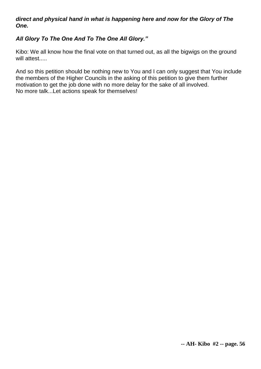### *direct and physical hand in what is happening here and now for the Glory of The One.*

### *All Glory To The One And To The One All Glory."*

Kibo: We all know how the final vote on that turned out, as all the bigwigs on the ground will attest.....

And so this petition should be nothing new to You and I can only suggest that You include the members of the Higher Councils in the asking of this petition to give them further motivation to get the job done with no more delay for the sake of all involved. No more talk...Let actions speak for themselves!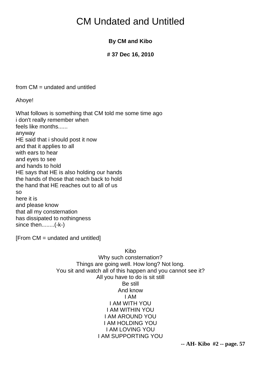# CM Undated and Untitled

### **By CM and Kibo**

#### **# 37 Dec 16, 2010**

from CM = undated and untitled

Ahoye!

What follows is something that CM told me some time ago i don't really remember when feels like months...... anyway HE said that i should post it now and that it applies to all with ears to hear and eyes to see and hands to hold HE says that HE is also holding our hands the hands of those that reach back to hold the hand that HE reaches out to all of us so here it is and please know that all my consternation has dissipated to nothingness since then........(-k-)

[From CM = undated and untitled]

Kibo Why such consternation? Things are going well. How long? Not long. You sit and watch all of this happen and you cannot see it? All you have to do is sit still Be still And know I AM I AM WITH YOU I AM WITHIN YOU I AM AROUND YOU I AM HOLDING YOU I AM LOVING YOU I AM SUPPORTING YOU

**-- AH- Kibo #2 -- page. 57**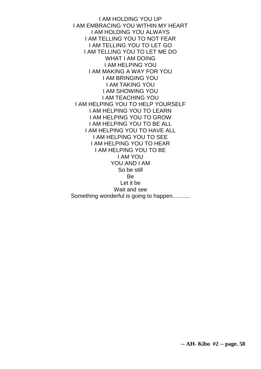I AM HOLDING YOU UP I AM EMBRACING YOU WITHIN MY HEART I AM HOLDING YOU ALWAYS I AM TELLING YOU TO NOT FEAR I AM TELLING YOU TO LET GO I AM TELLING YOU TO LET ME DO WHAT I AM DOING I AM HELPING YOU I AM MAKING A WAY FOR YOU I AM BRINGING YOU I AM TAKING YOU I AM SHOWING YOU I AM TEACHING YOU I AM HELPING YOU TO HELP YOURSELF I AM HELPING YOU TO LEARN I AM HELPING YOU TO GROW I AM HELPING YOU TO BE ALL I AM HELPING YOU TO HAVE ALL I AM HELPING YOU TO SEE I AM HELPING YOU TO HEAR I AM HELPING YOU TO BE I AM YOU YOU AND I AM So be still Be Let it be Wait and see Something wonderful is going to happen...........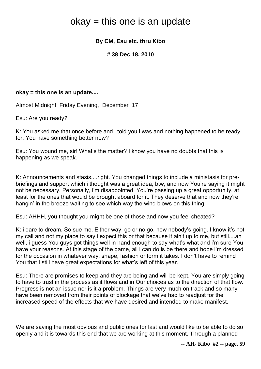## $okay = this$  one is an update

### **By CM, Esu etc. thru Kibo**

**# 38 Dec 18, 2010** 

### **okay = this one is an update....**

Almost Midnight Friday Evening, December 17

Esu: Are you ready?

K: You asked me that once before and i told you i was and nothing happened to be ready for. You have something better now?

Esu: You wound me, sir! What's the matter? I know you have no doubts that this is happening as we speak.

K: Announcements and stasis....right. You changed things to include a ministasis for prebriefings and support which i thought was a great idea, btw, and now You're saying it might not be necessary. Personally, i'm disappointed. You're passing up a great opportunity, at least for the ones that would be brought aboard for it. They deserve that and now they're hangin' in the breeze waiting to see which way the wind blows on this thing.

Esu: AHHH, you thought you might be one of those and now you feel cheated?

K: i dare to dream. So sue me. Either way, go or no go, now nobody's going. I know it's not my call and not my place to say i expect this or that because it ain't up to me, but still....ah well, i guess You guys got things well in hand enough to say what's what and i'm sure You have your reasons. At this stage of the game, all i can do is be there and hope i'm dressed for the occasion in whatever way, shape, fashion or form it takes. I don't have to remind You that I still have great expectations for what's left of this year.

Esu: There are promises to keep and they are being and will be kept. You are simply going to have to trust in the process as it flows and in Our choices as to the direction of that flow. Progress is not an issue nor is it a problem. Things are very much on track and so many have been removed from their points of blockage that we've had to readjust for the increased speed of the effects that We have desired and intended to make manifest.

We are saving the most obvious and public ones for last and would like to be able to do so openly and it is towards this end that we are working at this moment. Through a planned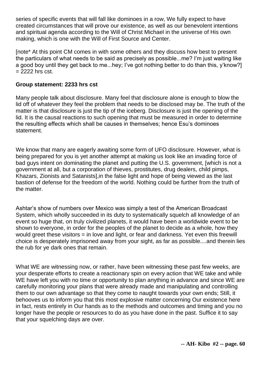series of specific events that will fall like dominoes in a row, We fully expect to have created circumstances that will prove our existence, as well as our benevolent intentions and spiritual agenda according to the Will of Christ Michael in the universe of His own making, which is one with the Will of First Source and Center.

[note\* At this point CM comes in with some others and they discuss how best to present the particulars of what needs to be said as precisely as possible...me? I'm just waiting like a good boy until they get back to me...hey; I've got nothing better to do than this, y'know?]  $= 2222$  hrs cst.

#### **Group statement: 2233 hrs cst**

Many people talk about disclosure. Many feel that disclosure alone is enough to blow the lid off of whatever they feel the problem that needs to be disclosed may be. The truth of the matter is that disclosure is just the tip of the iceberg. Disclosure is just the opening of the lid. It is the causal reactions to such opening that must be measured in order to determine the resulting effects which shall be causes in themselves; hence Esu's dominoes statement.

We know that many are eagerly awaiting some form of UFO disclosure. However, what is being prepared for you is yet another attempt at making us look like an invading force of bad guys intent on dominating the planet and putting the U.S. government, [which is not a government at all, but a corporation of thieves, prostitutes, drug dealers, child pimps, Khazars, Zionists and Satanists],in the false light and hope of being viewed as the last bastion of defense for the freedom of the world. Nothing could be further from the truth of the matter.

Ashtar's show of numbers over Mexico was simply a test of the American Broadcast System, which wholly succeeded in its duty to systematically squelch all knowledge of an event so huge that, on truly civilized planets, it would have been a worldwide event to be shown to everyone, in order for the peoples of the planet to decide as a whole, how they would greet these visitors = in love and light, or fear and darkness. Yet even this freewill choice is desperately imprisoned away from your sight, as far as possible....and therein lies the rub for ye dark ones that remain.

What WE are witnessing now, or rather, have been witnessing these past few weeks, are your desperate efforts to create a reactionary spin on every action that WE take and while WE have left you with no time or opportunity to plan anything in advance and since WE are carefully monitoring your plans that were already made and manipulating and controlling them to our own advantage so that they come to naught towards your own ends; Still, it behooves us to inform you that this most explosive matter concerning Our existence here in fact, rests entirely in Our hands as to the methods and outcomes and timing and you no longer have the people or resources to do as you have done in the past. Suffice it to say that your squelching days are over.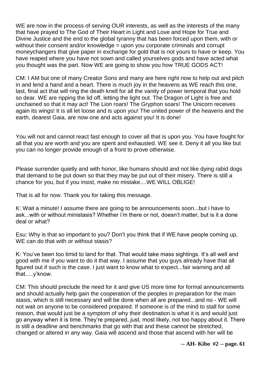WE are now in the process of serving OUR interests, as well as the interests of the many that have prayed to The God of Their Heart in Light and Love and Hope for True and Divine Justice and the end to the global tyranny that has been forced upon them, with or without their consent and/or knowledge = upon you corporate criminals and corrupt moneychangers that give paper in exchange for gold that is not yours to have or keep. You have reaped where you have not sown and called yourselves gods and have acted what you thought was the part. Now WE are going to show you how TRUE GODS ACT!

CM: I AM but one of many Creator Sons and many are here right now to help out and pitch in and lend a hand and a heart. There is much joy in the heavens as WE reach this one, last, final act that will ring the death knell for all the vanity of power temporal that you hold so dear. WE are ripping the lid off, letting the light out. The Dragon of Light is free and unchained so that it may act! The Lion roars! The Gryphon soars! The Unicorn receives again its wings! It is all let loose and is upon you! The united power of the heavens and the earth, dearest Gaia, are now one and acts against you! It is done!

You will not and cannot react fast enough to cover all that is upon you. You have fought for all that you are worth and you are spent and exhausted. WE see it. Deny it all you like but you can no longer provide enough of a front to prove otherwise.

Please surrender quietly and with honor, like humans should and not like dying rabid dogs that demand to be put down so that they may be put out of their misery. There is still a chance for you, but if you insist, make no mistake....WE WILL OBLIGE!

That is all for now. Thank you for taking this message.

K: Wait a minute! I assume there are going to be announcements soon...but i have to ask...with or without ministasis? Whether i'm there or not, doesn't matter, but is it a done deal or what?

Esu: Why is that so important to you? Don't you think that if WE have people coming up, WE can do that with or without stasis?

K: You've been too timid to land for that. That would take mass sightings. It's all well and good with me if you want to do it that way. I assume that you guys already have that all figured out if such is the case. I just want to know what to expect...fair warning and all that.....y'know.

CM: This should preclude the need for it and give US more time for formal announcements and should actually help gain the cooperation of the peoples in preparation for the main stasis, which is still necessary and will be done when all are prepared...and no - WE will not wait on anyone to be considered prepared. If someone is of the mind to stall for some reason, that would just be a symptom of why their destination is what it is and would just go anyway when it is time. They're prepared, just, most likely, not too happy about it. There is still a deadline and benchmarks that go with that and these cannot be stretched, changed or altered in any way. Gaia will ascend and those that ascend with her will be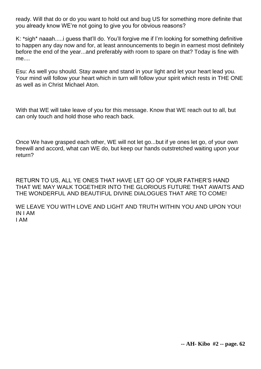ready. Will that do or do you want to hold out and bug US for something more definite that you already know WE're not going to give you for obvious reasons?

K: \*sigh\* naaah.....i guess that'll do. You'll forgive me if I'm looking for something definitive to happen any day now and for, at least announcements to begin in earnest most definitely before the end of the year...and preferably with room to spare on that? Today is fine with me....

Esu: As well you should. Stay aware and stand in your light and let your heart lead you. Your mind will follow your heart which in turn will follow your spirit which rests in THE ONE as well as in Christ Michael Aton.

With that WE will take leave of you for this message. Know that WE reach out to all, but can only touch and hold those who reach back.

Once We have grasped each other, WE will not let go...but if ye ones let go, of your own freewill and accord, what can WE do, but keep our hands outstretched waiting upon your return?

RETURN TO US, ALL YE ONES THAT HAVE LET GO OF YOUR FATHER'S HAND THAT WE MAY WALK TOGETHER INTO THE GLORIOUS FUTURE THAT AWAITS AND THE WONDERFUL AND BEAUTIFUL DIVINE DIALOGUES THAT ARE TO COME!

WE LEAVE YOU WITH LOVE AND LIGHT AND TRUTH WITHIN YOU AND UPON YOU! IN I AM I AM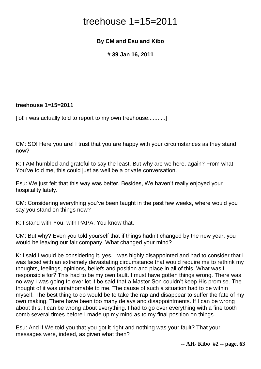# treehouse  $1=15=2011$

### **By CM and Esu and Kibo**

**# 39 Jan 16, 2011** 

### **treehouse 1=15=2011**

[lol! i was actually told to report to my own treehouse...........]

CM: SO! Here you are! I trust that you are happy with your circumstances as they stand now?

K: I AM humbled and grateful to say the least. But why are we here, again? From what You've told me, this could just as well be a private conversation.

Esu: We just felt that this way was better. Besides, We haven't really enjoyed your hospitality lately.

CM: Considering everything you've been taught in the past few weeks, where would you say you stand on things now?

K: I stand with You, with PAPA. You know that.

CM: But why? Even you told yourself that if things hadn't changed by the new year, you would be leaving our fair company. What changed your mind?

K: I said I would be considering it, yes. I was highly disappointed and had to consider that I was faced with an extremely devastating circumstance that would require me to rethink my thoughts, feelings, opinions, beliefs and position and place in all of this. What was I responsible for? This had to be my own fault. I must have gotten things wrong. There was no way I was going to ever let it be said that a Master Son couldn't keep His promise. The thought of it was unfathomable to me. The cause of such a situation had to be within myself. The best thing to do would be to take the rap and disappear to suffer the fate of my own making. There have been too many delays and disappointments. If I can be wrong about this, I can be wrong about everything. I had to go over everything with a fine tooth comb several times before I made up my mind as to my final position on things.

Esu: And if We told you that you got it right and nothing was your fault? That your messages were, indeed, as given what then?

**-- AH- Kibo #2 -- page. 63**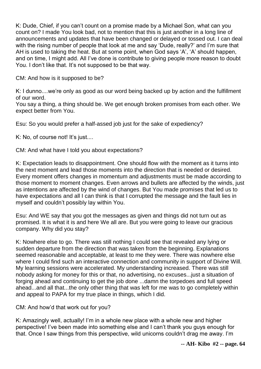K: Dude, Chief, if you can't count on a promise made by a Michael Son, what can you count on? I made You look bad, not to mention that this is just another in a long line of announcements and updates that have been changed or delayed or tossed out. I can deal with the rising number of people that look at me and say 'Dude, really?' and I'm sure that AH is used to taking the heat. But at some point, when God says 'A', 'A' should happen, and on time, I might add. All I've done is contribute to giving people more reason to doubt You. I don't like that. It's not supposed to be that way.

CM: And how is it supposed to be?

K: I dunno....we're only as good as our word being backed up by action and the fulfillment of our word.

You say a thing, a thing should be. We get enough broken promises from each other. We expect better from You.

Esu: So you would prefer a half-assed job just for the sake of expediency?

K: No, of course not! It's just....

CM: And what have I told you about expectations?

K: Expectation leads to disappointment. One should flow with the moment as it turns into the next moment and lead those moments into the direction that is needed or desired. Every moment offers changes in momentum and adjustments must be made according to those moment to moment changes. Even arrows and bullets are affected by the winds, just as intentions are affected by the wind of changes. But You made promises that led us to have expectations and all I can think is that I corrupted the message and the fault lies in myself and couldn't possibly lay within You.

Esu: And WE say that you got the messages as given and things did not turn out as promised. It is what it is and here We all are. But you were going to leave our gracious company. Why did you stay?

K: Nowhere else to go. There was still nothing I could see that revealed any lying or sudden departure from the direction that was taken from the beginning. Explanations seemed reasonable and acceptable, at least to me they were. There was nowhere else where I could find such an interactive connection and community in support of Divine Will. My learning sessions were accelerated. My understanding increased. There was still nobody asking for money for this or that, no advertising, no excuses...just a situation of forging ahead and continuing to get the job done ...damn the torpedoes and full speed ahead...and all that...the only other thing that was left for me was to go completely within and appeal to PAPA for my true place in things, which I did.

CM: And how'd that work out for you?

K: Amazingly well, actually! I'm in a whole new place with a whole new and higher perspective! I've been made into something else and I can't thank you guys enough for that. Once I saw things from this perspective, wild unicorns couldn't drag me away. I'm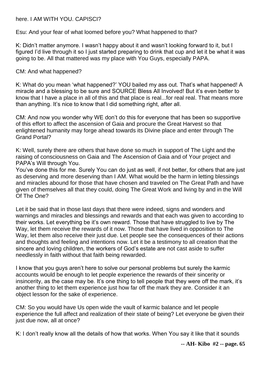### here. I AM WITH YOU. CAPISCI?

Esu: And your fear of what loomed before you? What happened to that?

K: Didn't matter anymore. I wasn't happy about it and wasn't looking forward to it, but I figured I'd live through it so I just started preparing to drink that cup and let it be what it was going to be. All that mattered was my place with You Guys, especially PAPA.

#### CM: And what happened?

K: What do you mean 'what happened?' YOU bailed my ass out. That's what happened! A miracle and a blessing to be sure and SOURCE Bless All Involved! But it's even better to know that I have a place in all of this and that place is real...for real real. That means more than anything. It's nice to know that I did something right, after all.

CM: And now you wonder why WE don't do this for everyone that has been so supportive of this effort to affect the ascension of Gaia and procure the Great Harvest so that enlightened humanity may forge ahead towards its Divine place and enter through The Grand Portal?

K: Well, surely there are others that have done so much in support of The Light and the raising of consciousness on Gaia and The Ascension of Gaia and of Your project and PAPA's Will through You.

You've done this for me. Surely You can do just as well, if not better, for others that are just as deserving and more deserving than I AM. What would be the harm in letting blessings and miracles abound for those that have chosen and traveled on The Great Path and have given of themselves all that they could, doing The Great Work and living by and in the Will Of The One?

Let it be said that in those last days that there were indeed, signs and wonders and warnings and miracles and blessings and rewards and that each was given to according to their works. Let everything be it's own reward. Those that have struggled to live by The Way, let them receive the rewards of it now. Those that have lived in opposition to The Way, let them also receive their just due. Let people see the consequences of their actions and thoughts and feeling and intentions now. Let it be a testimony to all creation that the sincere and loving children, the workers of God's estate are not cast aside to suffer needlessly in faith without that faith being rewarded.

I know that you guys aren't here to solve our personal problems but surely the karmic accounts would be enough to let people experience the rewards of their sincerity or insincerity, as the case may be. It's one thing to tell people that they were off the mark, it's another thing to let them experience just how far off the mark they are. Consider it an object lesson for the sake of experience.

CM: So you would have Us open wide the vault of karmic balance and let people experience the full affect and realization of their state of being? Let everyone be given their just due now, all at once?

K: I don't really know all the details of how that works. When You say it like that it sounds

**-- AH- Kibo #2 -- page. 65**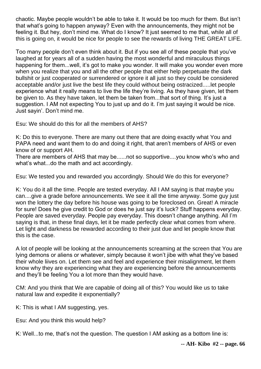chaotic. Maybe people wouldn't be able to take it. It would be too much for them. But isn't that what's going to happen anyway? Even with the announcements, they might not be feeling it. But hey, don't mind me. What do I know? It just seemed to me that, while all of this is going on, it would be nice for people to see the rewards of living THE GREAT LIFE.

Too many people don't even think about it. But if you see all of these people that you've laughed at for years all of a sudden having the most wonderful and miraculous things happening for them...well, it's got to make you wonder. It will make you wonder even more when you realize that you and all the other people that either help perpetuate the dark bullshit or just cooperated or surrendered or ignore it all just so they could be considered acceptable and/or just live the best life they could without being ostracized.....let people experience what it really means to live the life they're living. As they have given, let them be given to. As they have taken, let them be taken from...that sort of thing. It's just a suggestion. I AM not expecting You to just up and do it. I'm just saying it would be nice. Just sayin'. Don't mind me.

Esu: We should do this for all the members of AHS?

K: Do this to everyone. There are many out there that are doing exactly what You and PAPA need and want them to do and doing it right, that aren't members of AHS or even know of or support AH.

There are members of AHS that may be......not so supportive....you know who's who and what's what...do the math and act accordingly.

Esu: We tested you and rewarded you accordingly. Should We do this for everyone?

K: You do it all the time. People are tested everyday. All I AM saying is that maybe you can....give a grade before announcements. We see it all the time anyway. Some guy just won the lottery the day before his house was going to be foreclosed on. Great! A miracle for sure! Does he give credit to God or does he just say it's luck? Stuff happens everyday. People are saved everyday. People pay everyday. This doesn't change anything. All I'm saying is that, in these final days, let it be made perfectly clear what comes from where. Let light and darkness be rewarded according to their just due and let people know that this is the case.

A lot of people will be looking at the announcements screaming at the screen that You are lying demons or aliens or whatever, simply because it won't jibe with what they've based their whole liives on. Let them see and feel and experience their misalignment, let them know why they are experiencing what they are experiencing before the announcements and they'll be feeling You a lot more than they would have.

CM: And you think that We are capable of doing all of this? You would like us to take natural law and expedite it exponentially?

K: This is what I AM suggesting, yes.

Esu: And you think this would help?

K: Well...to me, that's not the question. The question I AM asking as a bottom line is: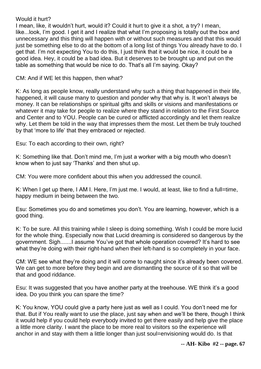#### Would it hurt?

I mean, like, it wouldn't hurt, would it? Could it hurt to give it a shot, a try? I mean, like...look, I'm good. I get it and I realize that what I'm proposing is totally out the box and unnecessary and this thing will happen with or without such measures and that this would just be something else to do at the bottom of a long list of things You already have to do. I get that. I'm not expecting You to do this, I just think that it would be nice, it could be a good idea. Hey, it could be a bad idea. But it deserves to be brought up and put on the table as something that would be nice to do. That's all I'm saying. Okay?

CM: And if WE let this happen, then what?

K: As long as people know, really understand why such a thing that happened in their life, happened, it will cause many to question and ponder why that why is. It won't always be money. It can be relationships or spiritual gifts and skills or visions and manifestations or whatever it may take for people to realize where they stand in relation to the First Source and Center and to YOU. People can be cured or afflicted accordingly and let them realize why. Let them be told in the way that impresses them the most. Let them be truly touched by that 'more to life' that they embraced or rejected.

Esu: To each according to their own, right?

K: Something like that. Don't mind me, I'm just a worker with a big mouth who doesn't know when to just say 'Thanks' and then shut up.

CM: You were more confident about this when you addressed the council.

K: When I get up there, I AM I. Here, I'm just me. I would, at least, like to find a full=time, happy medium in being between the two.

Esu: Sometimes you do and sometimes you don't. You are learning, however, which is a good thing.

K: To be sure. All this training while I sleep is doing something. Wish I could be more lucid for the whole thing. Especially now that Lucid dreaming is considered so dangerous by the government. Sigh.......I assume You've got that whole operation covered? It's hard to see what they're doing with their right-hand when their left-hand is so completely in your face.

CM: WE see what they're doing and it will come to naught since it's already been covered. We can get to more before they begin and are dismantling the source of it so that will be that and good riddance.

Esu: It was suggested that you have another party at the treehouse. WE think it's a good idea. Do you think you can spare the time?

K: You know, YOU could give a party here just as well as I could. You don't need me for that. But if You really want to use the place, just say when and we'll be there, though I think it would help if you could help everybody invited to get there easily and help give the place a little more clarity. I want the place to be more real to visitors so the experience will anchor in and stay with them a little longer than just soul=envisioning would do. Is that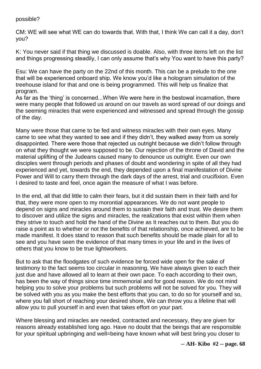#### possible?

CM: WE will see what WE can do towards that. With that, I think We can call it a day, don't you?

K: You never said if that thing we discussed is doable. Also, with three items left on the list and things progressing steadily, I can only assume that's why You want to have this party?

Esu: We can have the party on the 22nd of this month. This can be a prelude to the one that will be experienced onboard ship. We know you'd like a hologram simulation of the treehouse island for that and one is being programmed. This will help us finalize that program.

As far as the 'thing' is concerned...When We were here in the bestowal incarnation, there were many people that followed us around on our travels as word spread of our doings and the seeming miracles that were experienced and witnessed and spread through the gossip of the day.

Many were those that came to be fed and witness miracles with their own eyes. Many came to see what they wanted to see and if they didn't, they walked away from us sorely disappointed. There were those that rejected us outright because we didn't follow through on what they thought we were supposed to be. Our rejection of the throne of David and the material uplifting of the Judeans caused many to denounce us outright. Even our own disciples went through periods and phases of doubt and wondering in spite of all they had experienced and yet, towards the end, they depended upon a final manifestation of Divine Power and Will to carry them through the dark days of the arrest, trial and crucifixion. Even I desired to taste and feel, once again the measure of what I was before.

In the end, all that did little to calm their fears, but it did sustain them in their faith and for that, they were more open to my morontial appearances. We do not want people to depend on signs and miracles around them to sustain their faith and trust. We desire them to discover and utilize the signs and miracles, the realizations that exist within them when they strive to touch and hold the hand of the Divine as It reaches out to them. But you do raise a point as to whether or not the benefits of that relationship, once achieved, are to be made manifest. It does stand to reason that such benefits should be made plain for all to see and you have seen the evidence of that many times in your life and in the lives of others that you know to be true lightworkers.

But to ask that the floodgates of such evidence be forced wide open for the sake of testimony to the fact seems too circular in reasoning. We have always given to each their just due and have allowed all to learn at their own pace. To each according to their own, has been the way of things since time immemorial and for good reason. We do not mind helping you to solve your problems but such problems will not be solved for you. They will be solved with you as you make the best efforts that you can, to do so for yourself and so, where you fall short of reaching your desired shore, We can throw you a lifeline that will allow you to pull yourself in and even that takes effort on your part.

Where blessing and miracles are needed, contracted and necessary, they are given for reasons already established long ago. Have no doubt that the beings that are responsible for your spiritual upbringing and well=being have known what will best bring you closer to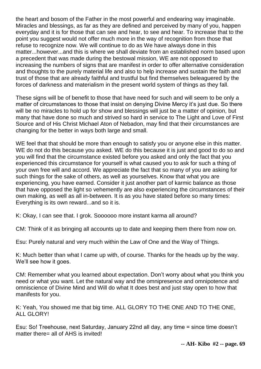the heart and bosom of the Father in the most powerful and endearing way imaginable. Miracles and blessings, as far as they are defined and perceived by many of you, happen everyday and it is for those that can see and hear, to see and hear. To increase that to the point you suggest would not offer much more in the way of recognition from those that refuse to recognize now. We will continue to do as We have always done in this matter...however...and this is where we shall deviate from an established norm based upon a precedent that was made during the bestowal mission, WE are not opposed to increasing the numbers of signs that are manifest in order to offer alternative consideration and thoughts to the purely material life and also to help increase and sustain the faith and trust of those that are already faithful and trustful but find themselves beleaguered by the forces of darkness and materialism in the present world system of things as they fall.

These signs will be of benefit to those that have need for such and will seem to be only a matter of circumstances to those that insist on denying Divine Mercy it's just due. So there will be no miracles to hold up for show and blessings will just be a matter of opinion, but many that have done so much and strived so hard in service to The Light and Love of First Source and of His Christ Michael Aton of Nebadon, may find that their circumstances are changing for the better in ways both large and small.

WE feel that that should be more than enough to satisfy you or anyone else in this matter. WE do not do this because you asked. WE do this because it is just and good to do so and you will find that the circumstance existed before you asked and only the fact that you experienced this circumstance for yourself is what caused you to ask for such a thing of your own free will and accord. We appreciate the fact that so many of you are asking for such things for the sake of others, as well as yourselves. Know that what you are experiencing, you have earned. Consider it just another part of karmic balance as those that have opposed the light so vehemently are also experiencing the circumstances of their own making, as well as all in-between. It is as you have stated before so many times: Everything is its own reward...and so it is.

K: Okay, I can see that. I grok. Soooooo more instant karma all around?

CM: Think of it as bringing all accounts up to date and keeping them there from now on.

Esu: Purely natural and very much within the Law of One and the Way of Things.

K: Much better than what I came up with, of course. Thanks for the heads up by the way. We'll see how it goes.

CM: Remember what you learned about expectation. Don't worry about what you think you need or what you want. Let the natural way and the omnipresence and omnipotence and omniscience of Divine Mind and Will do what It does best and just stay open to how that manifests for you.

K: Yeah, You showed me that big time. ALL GLORY TO THE ONE AND TO THE ONE, ALL GLORY!

Esu: So! Treehouse, next Saturday, January 22nd all day, any time = since time doesn't matter there= all of AHS is invited!

**-- AH- Kibo #2 -- page. 69**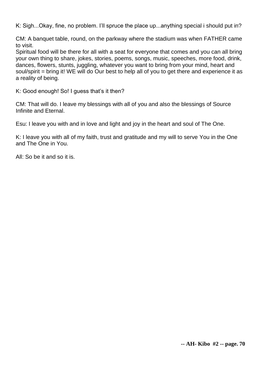K: Sigh...Okay, fine, no problem. I'll spruce the place up...anything special i should put in?

CM: A banquet table, round, on the parkway where the stadium was when FATHER came to visit.

Spiritual food will be there for all with a seat for everyone that comes and you can all bring your own thing to share, jokes, stories, poems, songs, music, speeches, more food, drink, dances, flowers, stunts, juggling, whatever you want to bring from your mind, heart and soul/spirit = bring it! WE will do Our best to help all of you to get there and experience it as a reality of being.

K: Good enough! So! I guess that's it then?

CM: That will do. I leave my blessings with all of you and also the blessings of Source Infinite and Eternal.

Esu: I leave you with and in love and light and joy in the heart and soul of The One.

K: I leave you with all of my faith, trust and gratitude and my will to serve You in the One and The One in You.

All: So be it and so it is.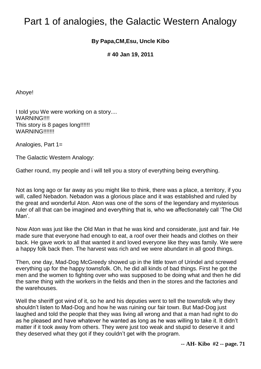# Part 1 of analogies, the Galactic Western Analogy

### **By Papa,CM,Esu, Uncle Kibo**

**# 40 Jan 19, 2011** 

Ahoye!

I told you We were working on a story.... WARNING!!!! This story is 8 pages long!!!!!! **WARNING!!!!!!!!** 

Analogies, Part 1=

The Galactic Western Analogy:

Gather round, my people and i will tell you a story of everything being everything.

Not as long ago or far away as you might like to think, there was a place, a territory, if you will, called Nebadon. Nebadon was a glorious place and it was established and ruled by the great and wonderful Aton. Aton was one of the sons of the legendary and mysterious ruler of all that can be imagined and everything that is, who we affectionately call 'The Old Man'.

Now Aton was just like the Old Man in that he was kind and considerate, just and fair. He made sure that everyone had enough to eat, a roof over their heads and clothes on their back. He gave work to all that wanted it and loved everyone like they was family. We were a happy folk back then. The harvest was rich and we were abundant in all good things.

Then, one day, Mad-Dog McGreedy showed up in the little town of Urindel and screwed everything up for the happy townsfolk. Oh, he did all kinds of bad things. First he got the men and the women to fighting over who was supposed to be doing what and then he did the same thing with the workers in the fields and then in the stores and the factories and the warehouses.

Well the sheriff got wind of it, so he and his deputies went to tell the townsfolk why they shouldn't listen to Mad-Dog and how he was ruining our fair town. But Mad-Dog just laughed and told the people that they was living all wrong and that a man had right to do as he pleased and have whatever he wanted as long as he was willing to take it. It didn't matter if it took away from others. They were just too weak and stupid to deserve it and they deserved what they got if they couldn't get with the program.

**-- AH- Kibo #2 -- page. 71**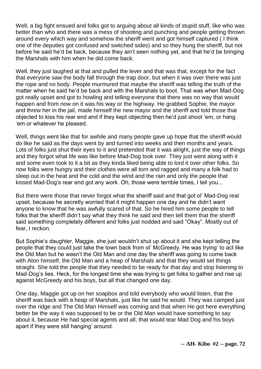Well, a big fight ensued and folks got to arguing about all kinds of stupid stuff, like who was better than who and there was a mess of shooting and punching and people getting thrown around every which way and somehow the sheriff went and got himself captured ( I think one of the deputies got confused and switched sides) and so they hung the sheriff, but not before he said he'd be back, because they ain't seen nothing yet, and that he'd be bringing the Marshals with him when he did come back.

Well, they just laughed at that and pulled the lever and that was that, except for the fact that everyone saw the body fall through the trap door, but when it was over there was just the rope and no body. People murmured that maybe the sheriff was telling the truth of the matter when he said he'd be back and with the Marshals to boot. That was when Mad-Dog got really upset and got to howling and telling everyone that there was no way that would happen and from now on it was his way or the highway. He grabbed Sophie, the mayor and threw her in the jail, made himself the new mayor and the sheriff and told those that objected to kiss his rear end and if they kept objecting then he'd just shoot 'em, or hang 'em or whatever he pleased.

Well, things went like that for awhile and many people gave up hope that the sheriff would do like he said as the days went by and turned into weeks and then months and years. Lots of folks just shut their eyes to it and pretended that it was alright, just the way of things and they forgot what life was like before Mad-Dog took over. They just went along with it and some even took to it a bit as they kinda liked being able to lord it over other folks. So now folks were hungry and their clothes were all torn and ragged and many a folk had to sleep out in the heat and the cold and the wind and the rain and only the people that kissed Mad-Dog's rear end got any work. Oh, those were terrible times, I tell you...

But there were those that never forgot what the sheriff said and that got ol' Mad-Dog real upset, because he secretly worried that it might happen one day and he didn't want anyone to know that he was awfully scared of that. So he hired him some people to tell folks that the sheriff didn't say what they think he said and then tell them that the sheriff said something completely different and folks just nodded and said "Okay". Mostly out of fear, I reckon.

But Sophie's daughter, Maggie, she just wouldn't shut up about it and she kept telling the people that they could just take the town back from ol' McGreedy. He was trying' to act like the Old Man but he wasn't the Old Man and one day the sheriff was going to come back with Aton himself, the Old Man and a heap of Marshals and that they would set things straight. She told the people that they needed to be ready for that day and stop listening to Mad-Dog's lies. Heck, for the longest time she was trying to get folks to gather and rise up against McGreedy and his boys, but all that changed one day.

One day, Maggie got up on her soapbox and told everybody who would listen, that the sheriff was back with a heap of Marshals, just like he said he would. They was camped just over the ridge and The Old Man Himself was coming and that when He got here everything better be the way it was supposed to be or the Old Man would have something to say about it, because He had special agents and all, that would tear Mad Dog and his boys apart if they were still hanging' around.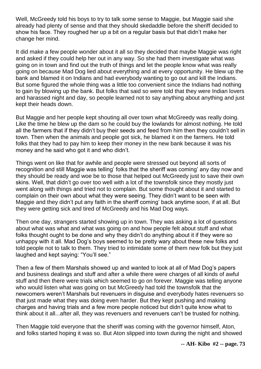Well, McGreedy told his boys to try to talk some sense to Maggie, but Maggie said she already had plenty of sense and that they should skedaddle before the sheriff decided to show his face. They roughed her up a bit on a regular basis but that didn't make her change her mind.

It did make a few people wonder about it all so they decided that maybe Maggie was right and asked if they could help her out in any way. So she had them investigate what was going on in town and find out the truth of things and let the people know what was really going on because Mad Dog lied about everything and at every opportunity. He blew up the bank and blamed it on Indians and had everybody wanting to go out and kill the Indians. But some figured the whole thing was a little too convenient since the Indians had nothing to gain by blowing up the bank. But folks that said so were told that they were Indian lovers and harassed night and day, so people learned not to say anything about anything and just kept their heads down.

But Maggie and her people kept shouting all over town what McGreedy was really doing. Like the time he blew up the dam so he could buy the lowlands for almost nothing. He told all the farmers that if they didn't buy their seeds and feed from him then they couldn't sell in town. Then when the animals and people got sick, he blamed it on the farmers. He told folks that they had to pay him to keep their money in the new bank because it was his money and he said who got it and who didn't.

Things went on like that for awhile and people were stressed out beyond all sorts of recognition and still Maggie was telling' folks that the sheriff was coming' any day now and they should be ready and woe be to those that helped out McGreedy just to save their own skins. Well, that didn't go over too well with a lot of the townsfolk since they mostly just went along with things and tried not to complain. But some thought about it and started to complain on their own about what they were seeing. They didn't want to be seen with Maggie and they didn't put any faith in the sheriff coming' back anytime soon, if at all. But they were getting sick and tired of McGreedy and his Mad Dog ways.

Then one day, strangers started showing up in town. They was asking a lot of questions about what was what and what was going on and how people felt about stuff and what folks thought ought to be done and why they didn't do anything about it if they were so unhappy with it all. Mad Dog's boys seemed to be pretty wary about these new folks and told people not to talk to them. They tried to intimidate some of them new folk but they just laughed and kept saying: "You'll see."

Then a few of them Marshals showed up and wanted to look at all of Mad Dog's papers and business dealings and stuff and after a while there were charges of all kinds of awful stuff and then there were trials which seemed to go on forever. Maggie was telling anyone who would listen what was going on but McGreedy had told the townsfolk that the newcomers weren't Marshals but revenuers in disguise and everybody hates revenuers so that just made what they was doing even harder. But they kept pushing and making charges and having trials and a few more people noticed but didn't quite know what to think about it all...after all, they was revenuers and revenuers can't be trusted for nothing.

Then Maggie told everyone that the sheriff was coming with the governor himself, Aton, and folks started hoping it was so. But Aton slipped into town during the night and showed

**-- AH- Kibo #2 -- page. 73**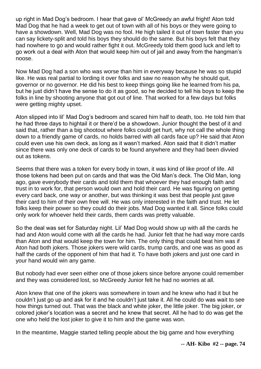up right in Mad Dog's bedroom. I hear that gave ol' McGreedy an awful fright! Aton told Mad Dog that he had a week to get out of town with all of his boys or they were going to have a showdown. Well, Mad Dog was no fool. He high tailed it out of town faster than you can say lickety-split and told his boys they should do the same. But his boys felt that they had nowhere to go and would rather fight it out. McGreedy told them good luck and left to go work out a deal with Aton that would keep him out of jail and away from the hangman's noose.

Now Mad Dog had a son who was worse than him in everyway because he was so stupid like. He was real partial to lording it over folks and saw no reason why he should quit, governor or no governor. He did his best to keep things going like he learned from his pa, but he just didn't have the sense to do it as good, so he decided to tell his boys to keep the folks in line by shooting anyone that got out of line. That worked for a few days but folks were getting mighty upset.

Aton slipped into lil' Mad Dog's bedroom and scared him half to death, too. He told him that he had three days to hightail it or there'd be a showdown. Junior thought the best of it and said that, rather than a big shootout where folks could get hurt, why not call the whole thing down to a friendly game of cards, no holds barred with all cards face up? He said that Aton could even use his own deck, as long as it wasn't marked. Aton said that it didn't matter since there was only one deck of cards to be found anywhere and they had been divvied out as tokens.

Seems that there was a token for every body in town, it was kind of like proof of life. All those tokens had been put on cards and that was the Old Man's deck. The Old Man, long ago, gave everybody their cards and told them that whoever they had enough faith and trust in to work for, that person would own and hold their card. He was figuring on getting every card back, one way or another, but was thinking it was best that people just gave their card to him of their own free will. He was only interested in the faith and trust. He let folks keep their power so they could do their jobs. Mad Dog wanted it all. Since folks could only work for whoever held their cards, them cards was pretty valuable.

So the deal was set for Saturday night. Lil' Mad Dog would show up with all the cards he had and Aton would come with all the cards he had. Junior felt that he had way more cards than Aton and that would keep the town for him. The only thing that could beat him was if Aton had both jokers. Those jokers were wild cards, trump cards, and one was as good as half the cards of the opponent of him that had it. To have both jokers and just one card in your hand would win any game.

But nobody had ever seen either one of those jokers since before anyone could remember and they was considered lost, so McGreedy Junior felt he had no worries at all.

Aton knew that one of the jokers was somewhere in town and he knew who had it but he couldn't just go up and ask for it and he couldn't just take it. All he could do was wait to see how things turned out. That was the black and white joker, the little joker. The big joker, or colored joker's location was a secret and he knew that secret. All he had to do was get the one who held the lost joker to give it to him and the game was won.

In the meantime, Maggie started telling people about the big game and how everything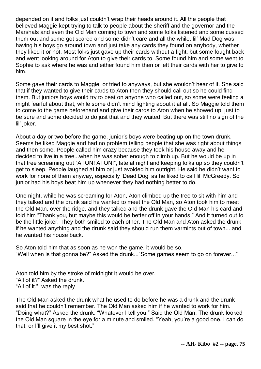depended on it and folks just couldn't wrap their heads around it. All the people that believed Maggie kept trying to talk to people about the sheriff and the governor and the Marshals and even the Old Man coming to town and some folks listened and some cussed them out and some got scared and some didn't care and all the while, lil' Mad Dog was having his boys go around town and just take any cards they found on anybody, whether they liked it or not. Most folks just gave up their cards without a fight, but some fought back and went looking around for Aton to give their cards to. Some found him and some went to Sophie to ask where he was and either found him then or left their cards with her to give to him.

Some gave their cards to Maggie, or tried to anyways, but she wouldn't hear of it. She said that if they wanted to give their cards to Aton then they should call out so he could find them. But juniors boys would try to beat on anyone who called out, so some were feeling a might fearful about that, while some didn't mind fighting about it at all. So Maggie told them to come to the game beforehand and give their cards to Aton when he showed up, just to be sure and some decided to do just that and they waited. But there was still no sign of the lil' joker.

About a day or two before the game, junior's boys were beating up on the town drunk. Seems he liked Maggie and had no problem telling people that she was right about things and then some. People called him crazy because they took his house away and he decided to live in a tree...when he was sober enough to climb up. But he would be up in that tree screaming out "ATON! ATON!", late at night and keeping folks up so they couldn't get to sleep. People laughed at him or just avoided him outright. He said he didn't want to work for none of them anyway, especially 'Dead Dog' as he liked to call lil' McGreedy. So junior had his boys beat him up whenever they had nothing better to do.

One night, while he was screaming for Aton, Aton climbed up the tree to sit with him and they talked and the drunk said he wanted to meet the Old Man, so Aton took him to meet the Old Man, over the ridge, and they talked and the drunk gave the Old Man his card and told him "Thank you, but maybe this would be better off in your hands." And it turned out to be the little joker. They both smiled to each other. The Old Man and Aton asked the drunk if he wanted anything and the drunk said they should run them varmints out of town....and he wanted his house back.

So Aton told him that as soon as he won the game, it would be so. "Well when is that gonna be?" Asked the drunk..."Some games seem to go on forever..."

Aton told him by the stroke of midnight it would be over. "All of it?" Asked the drunk. "All of it.", was the reply

The Old Man asked the drunk what he used to do before he was a drunk and the drunk said that he couldn't remember. The Old Man asked him if he wanted to work for him. "Doing what?" Asked the drunk. "Whatever I tell you." Said the Old Man. The drunk looked the Old Man square in the eye for a minute and smiled. "Yeah, you're a good one. I can do that, or I'll give it my best shot."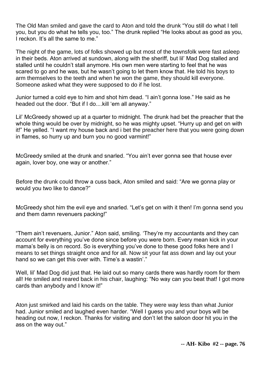The Old Man smiled and gave the card to Aton and told the drunk "You still do what I tell you, but you do what he tells you, too." The drunk replied "He looks about as good as you, I reckon. It's all the same to me."

The night of the game, lots of folks showed up but most of the townsfolk were fast asleep in their beds. Aton arrived at sundown, along with the sheriff, but lil' Mad Dog stalled and stalled until he couldn't stall anymore. His own men were starting to feel that he was scared to go and he was, but he wasn't going to let them know that. He told his boys to arm themselves to the teeth and when he won the game, they should kill everyone. Someone asked what they were supposed to do if he lost.

Junior turned a cold eye to him and shot him dead. "I ain't gonna lose." He said as he headed out the door. "But if I do....kill 'em all anyway."

Lil' McGreedy showed up at a quarter to midnight. The drunk had bet the preacher that the whole thing would be over by midnight, so he was mighty upset. "Hurry up and get on with it!" He velled. "I want my house back and i bet the preacher here that you were going down in flames, so hurry up and burn you no good varmint!"

McGreedy smiled at the drunk and snarled. "You ain't ever gonna see that house ever again, lover boy, one way or another."

Before the drunk could throw a cuss back, Aton smiled and said: "Are we gonna play or would you two like to dance?"

McGreedy shot him the evil eye and snarled. "Let's get on with it then! I'm gonna send you and them damn revenuers packing!"

"Them ain't revenuers, Junior." Aton said, smiling. 'They're my accountants and they can account for everything you've done since before you were born. Every mean kick in your mama's belly is on record. So is everything you've done to these good folks here and I means to set things straight once and for all. Now sit your fat ass down and lay out your hand so we can get this over with. Time's a wastin'."

Well, lil' Mad Dog did just that. He laid out so many cards there was hardly room for them all! He smiled and reared back in his chair, laughing: "No way can you beat that! I got more cards than anybody and I know it!"

Aton just smirked and laid his cards on the table. They were way less than what Junior had. Junior smiled and laughed even harder. "Well I guess you and your boys will be heading out now, I reckon. Thanks for visiting and don't let the saloon door hit you in the ass on the way out."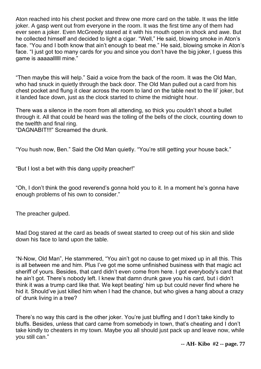Aton reached into his chest pocket and threw one more card on the table. It was the little joker. A gasp went out from everyone in the room. It was the first time any of them had ever seen a joker. Even McGreedy stared at it with his mouth open in shock and awe. But he collected himself and decided to light a cigar. "Well," He said, blowing smoke in Aton's face. "You and I both know that ain't enough to beat me." He said, blowing smoke in Aton's face. "I just got too many cards for you and since you don't have the big joker, I guess this game is aaaaallllll mine."

"Then maybe this will help." Said a voice from the back of the room. It was the Old Man, who had snuck in quietly through the back door. The Old Man pulled out a card from his chest pocket and flung it clear across the room to land on the table next to the lil' joker, but it landed face down, just as the clock started to chime the midnight hour.

There was a silence in the room from all attending, so thick you couldn't shoot a bullet through it. All that could be heard was the tolling of the bells of the clock, counting down to the twelfth and final ring.

―DAGNABIT!!!‖ Screamed the drunk.

"You hush now, Ben." Said the Old Man quietly. "You're still getting your house back."

"But I lost a bet with this dang uppity preacher!"

―Oh, I don't think the good reverend's gonna hold you to it. In a moment he's gonna have enough problems of his own to consider."

The preacher gulped.

Mad Dog stared at the card as beads of sweat started to creep out of his skin and slide down his face to land upon the table.

"N-Now, Old Man", He stammered, "You ain't got no cause to get mixed up in all this. This is all between me and him. Plus I've got me some unfinished business with that magic act sheriff of yours. Besides, that card didn't even come from here. I got everybody's card that he ain't got. There's nobody left. I knew that damn drunk gave you his card, but i didn't think it was a trump card like that. We kept beating' him up but could never find where he hid it. Should've just killed him when I had the chance, but who gives a hang about a crazy ol' drunk living in a tree?

There's no way this card is the other joker. You're just bluffing and I don't take kindly to bluffs. Besides, unless that card came from somebody in town, that's cheating and I don't take kindly to cheaters in my town. Maybe you all should just pack up and leave now, while vou still can."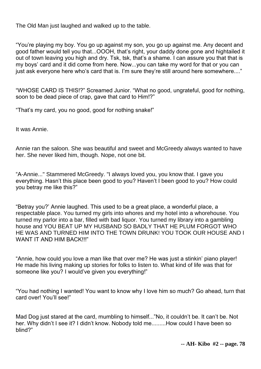The Old Man just laughed and walked up to the table.

"You're playing my boy. You go up against my son, you go up against me. Any decent and good father would tell you that...OOOH, that's right, your daddy done gone and hightailed it out of town leaving you high and dry. Tsk, tsk, that's a shame. I can assure you that that is my boys' card and it did come from here. Now...you can take my word for that or you can just ask everyone here who's card that is. I'm sure they're still around here somewhere...."

"WHOSE CARD IS THIS!?" Screamed Junior. "What no good, ungrateful, good for nothing, soon to be dead piece of crap, gave that card to Him!?"

"That's my card, you no good, good for nothing snake!"

It was Annie.

Annie ran the saloon. She was beautiful and sweet and McGreedy always wanted to have her. She never liked him, though. Nope, not one bit.

"A-Annie..." Stammered McGreedy. "I always loved you, you know that. I gave you everything. Hasn't this place been good to you? Haven't I been good to you? How could vou betray me like this?"

"Betray you?' Annie laughed. This used to be a great place, a wonderful place, a respectable place. You turned my girls into whores and my hotel into a whorehouse. You turned my parlor into a bar, filled with bad liquor. You turned my library into a gambling house and YOU BEAT UP MY HUSBAND SO BADLY THAT HE PLUM FORGOT WHO HE WAS AND TURNED HIM INTO THE TOWN DRUNK! YOU TOOK OUR HOUSE AND I WANT IT AND HIM BACK!!!"

"Annie, how could you love a man like that over me? He was just a stinkin' piano player! He made his living making up stories for folks to listen to. What kind of life was that for someone like you? I would've given you everything!"

"You had nothing I wanted! You want to know why I love him so much? Go ahead, turn that card over! You'll see!"

Mad Dog just stared at the card, mumbling to himself..."No, it couldn't be. It can't be. Not her. Why didn't I see it? I didn't know. Nobody told me.........How could I have been so blind?‖

**-- AH- Kibo #2 -- page. 78**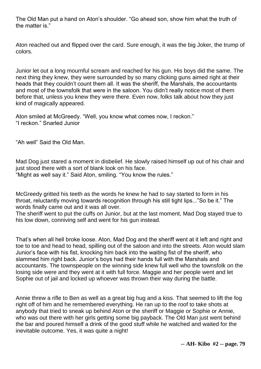The Old Man put a hand on Aton's shoulder. "Go ahead son, show him what the truth of the matter is."

Aton reached out and flipped over the card. Sure enough, it was the big Joker, the trump of colors.

Junior let out a long mournful scream and reached for his gun. His boys did the same. The next thing they knew, they were surrounded by so many clicking guns aimed right at their heads that they couldn't count them all. It was the sheriff, the Marshals, the accountants and most of the townsfolk that were in the saloon. You didn't really notice most of them before that, unless you knew they were there. Even now, folks talk about how they just kind of magically appeared.

Aton smiled at McGreedy. "Well, you know what comes now, I reckon." "I reckon." Snarled Junior

"Ah well" Said the Old Man.

Mad Dog just stared a moment in disbelief. He slowly raised himself up out of his chair and just stood there with a sort of blank look on his face.

"Might as well say it." Said Aton, smiling. "You know the rules."

McGreedy gritted his teeth as the words he knew he had to say started to form in his throat, reluctantly moving towards recognition through his still tight lips..."So be it." The words finally came out and it was all over.

The sheriff went to put the cuffs on Junior, but at the last moment, Mad Dog stayed true to his low down, conniving self and went for his gun instead.

That's when all hell broke loose. Aton, Mad Dog and the sheriff went at it left and right and toe to toe and head to head, spilling out of the saloon and into the streets. Aton would slam Junior's face with his fist, knocking him back into the waiting fist of the sheriff, who slammed him right back. Junior's boys had their hands full with the Marshals and accountants. The townspeople on the winning side knew full well who the townsfolk on the losing side were and they went at it with full force. Maggie and her people went and let Sophie out of jail and locked up whoever was thrown their way during the battle.

Annie threw a rifle to Ben as well as a great big hug and a kiss. That seemed to lift the fog right off of him and he remembered everything. He ran up to the roof to take shots at anybody that tried to sneak up behind Aton or the sheriff or Maggie or Sophie or Annie, who was out there with her girls getting some big payback. The Old Man just went behind the bar and poured himself a drink of the good stuff while he watched and waited for the inevitable outcome. Yes, it was quite a night!

**-- AH- Kibo #2 -- page. 79**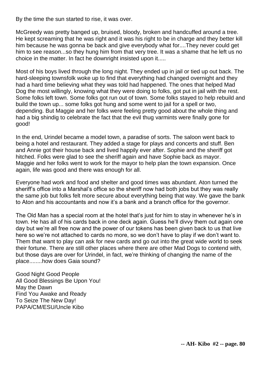By the time the sun started to rise, it was over.

McGreedy was pretty banged up, bruised, bloody, broken and handcuffed around a tree. He kept screaming that he was right and it was his right to be in charge and they better kill him because he was gonna be back and give everybody what for....They never could get him to see reason...so they hung him from that very tree. It was a shame that he left us no choice in the matter. In fact he downright insisted upon it.....

Most of his boys lived through the long night. They ended up in jail or tied up out back. The hard-sleeping townsfolk woke up to find that everything had changed overnight and they had a hard time believing what they was told had happened. The ones that helped Mad Dog the most willingly, knowing what they were doing to folks, got put in jail with the rest. Some folks left town. Some folks got run out of town. Some folks stayed to help rebuild and build the town up... some folks got hung and some went to jail for a spell or two, depending. But Maggie and her folks were feeling pretty good about the whole thing and had a big shindig to celebrate the fact that the evil thug varmints were finally gone for good!

In the end, Urindel became a model town, a paradise of sorts. The saloon went back to being a hotel and restaurant. They added a stage for plays and concerts and stuff. Ben and Annie got their house back and lived happily ever after. Sophie and the sheriff got hitched. Folks were glad to see the sheriff again and have Sophie back as mayor. Maggie and her folks went to work for the mayor to help plan the town expansion. Once again, life was good and there was enough for all.

Everyone had work and food and shelter and good times was abundant. Aton turned the sheriff's office into a Marshal's office so the sheriff now had both jobs but they was really the same job but folks felt more secure about everything being that way. We gave the bank to Aton and his accountants and now it's a bank and a branch office for the governor.

The Old Man has a special room at the hotel that's just for him to stay in whenever he's in town. He has all of his cards back in one deck again. Guess he'll divvy them out again one day but we're all free now and the power of our tokens has been given back to us that live here so we're not attached to cards no more, so we don't have to play if we don't want to. Them that want to play can ask for new cards and go out into the great wide world to seek their fortune. There are still other places where there are other Mad Dogs to contend with, but those days are over for Urindel, in fact, we're thinking of changing the name of the place........how does Gaia sound?

Good Night Good People All Good Blessings Be Upon You! May the Dawn Find You Awake and Ready To Seize The New Day! PAPA/CM/ESU/Uncle Kibo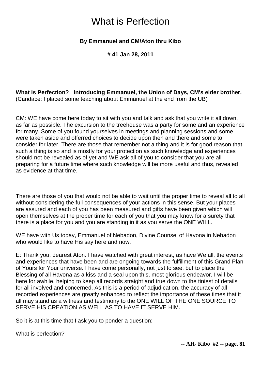## What is Perfection

### **By Emmanuel and CM/Aton thru Kibo**

**# 41 Jan 28, 2011**

**What is Perfection? Introducing Emmanuel, the Union of Days, CM's elder brother.**  (Candace: I placed some teaching about Emmanuel at the end from the UB)

CM: WE have come here today to sit with you and talk and ask that you write it all down, as far as possible. The excursion to the treehouse was a party for some and an experience for many. Some of you found yourselves in meetings and planning sessions and some were taken aside and offerred choices to decide upon then and there and some to consider for later. There are those that remember not a thing and it is for good reason that such a thing is so and is mostly for your protection as such knowledge and experiences should not be revealed as of yet and WE ask all of you to consider that you are all preparing for a future time where such knowledge will be more useful and thus, revealed as evidence at that time.

There are those of you that would not be able to wait until the proper time to reveal all to all without considering the full consequences of your actions in this sense. But your places are assured and each of you has been measured and gifts have been given which will open themselves at the proper time for each of you that you may know for a surety that there is a place for you and you are standing in it as you serve the ONE WILL.

WE have with Us today, Emmanuel of Nebadon, Divine Counsel of Havona in Nebadon who would like to have His say here and now.

E: Thank you, dearest Aton. I have watched with great interest, as have We all, the events and experiences that have been and are ongoing towards the fulfillment of this Grand Plan of Yours for Your universe. I have come personally, not just to see, but to place the Blessing of all Havona as a kiss and a seal upon this, most glorious endeavor. I will be here for awhile, helping to keep all records straight and true down to the tiniest of details for all involved and concerned. As this is a period of adjudication, the accuracy of all recorded experiences are greatly enhanced to reflect the importance of these times that it all may stand as a witness and testimony to the ONE WILL OF THE ONE SOURCE TO SERVE HIS CREATION AS WELL AS TO HAVE IT SERVE HIM.

So it is at this time that I ask you to ponder a question:

What is perfection?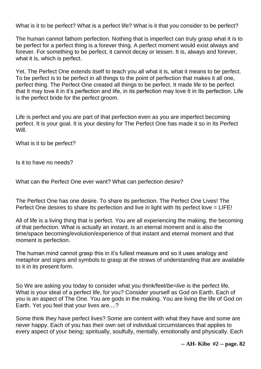What is it to be perfect? What is a perfect life? What is it that you consider to be perfect?

The human cannot fathom perfection. Nothing that is imperfect can truly grasp what it is to be perfect for a perfect thing is a forever thing. A perfect moment would exist always and forever. For something to be perfect, it cannot decay or lessen. It is, always and forever, what it is, which is perfect.

Yet, The Perfect One extends itself to teach you all what it is, what it means to be perfect. To be perfect is to be perfect in all things to the point of perfection that makes it all one, perfect thing. The Perfect One created all things to be perfect. It made life to be perfect that It may love it in it's perfection and life, in its perfection may love It in Its perfection. Life is the perfect bride for the perfect groom.

Life is perfect and you are part of that perfection even as you are imperfect becoming perfect. It is your goal. It is your destiny for The Perfect One has made it so in Its Perfect Will.

What is it to be perfect?

Is it to have no needs?

What can the Perfect One ever want? What can perfection desire?

The Perfect One has one desire. To share Its perfection. The Perfect One Lives! The Perfect One desires to share Its perfection and live in light with Its perfect love = LIFE!

All of life is a living thing that is perfect. You are all experiencing the making, the becoming of that perfection. What is actually an instant, is an eternal moment and is also the time/space becoming/evolution/experience of that instant and eternal moment and that moment is perfection.

The human mind cannot grasp this in it's fullest measure and so it uses analogy and metaphor and signs and symbols to grasp at the straws of understanding that are available to it in its present form.

So We are asking you today to consider what you think/feel/*be=live* is the perfect life. What is your ideal of a perfect life, for you? Consider yourself as God on Earth. Each of you is an aspect of The One. You are gods in the making. You are living the life of God on Earth. Yet you feel that your lives are....?

Some think they have perfect lives? Some are content with what they have and some are never happy. Each of you has their own set of individual circumstances that applies to every aspect of your being; spiritually, soulfully, mentally, emotionally and physically. Each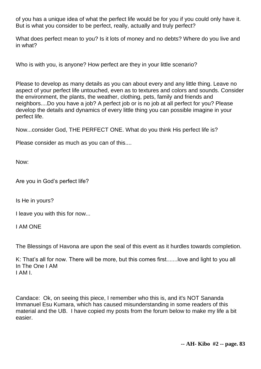of you has a unique idea of what the perfect life would be for you if you could only have it. But is what you consider to be perfect, really, actually and truly perfect?

What does perfect mean to you? Is it lots of money and no debts? Where do you live and in what?

Who is with you, is anyone? How perfect are they in your little scenario?

Please to develop as many details as you can about every and any little thing. Leave no aspect of your perfect life untouched, even as to textures and colors and sounds. Consider the environment, the plants, the weather, clothing, pets, family and friends and neighbors....Do you have a job? A perfect job or is no job at all perfect for you? Please develop the details and dynamics of every little thing you can possible imagine in your perfect life.

Now...consider God, THE PERFECT ONE. What do you think His perfect life is?

Please consider as much as you can of this....

Now:

Are you in God's perfect life?

Is He in yours?

I leave you with this for now...

I AM ONE

The Blessings of Havona are upon the seal of this event as it hurdles towards completion.

K: That's all for now. There will be more, but this comes first.......love and light to you all In The One I AM I AM I.

Candace: Ok, on seeing this piece, I remember who this is, and it's NOT Sananda Immanuel Esu Kumara, which has caused misunderstanding in some readers of this material and the UB. I have copied my posts from the forum below to make my life a bit easier.

**-- AH- Kibo #2 -- page. 83**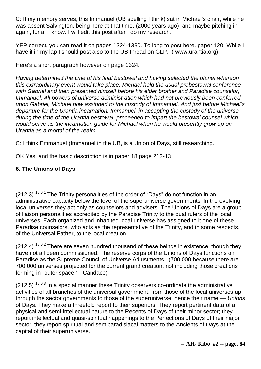C: If my memory serves, this Immanuel (UB spelling I think) sat in Michael's chair, while he was absent Salvington, being here at that time, (2000 years ago) and maybe pitching in again, for all I know. I will edit this post after I do my research.

YEP correct, you can read it on pages 1324-1330. To long to post here. paper 120. While I have it in my lap I should post also to the UB thread on GLP. ( www.urantia.org)

Here's a short paragraph however on page 1324.

*Having determined the time of his final bestowal and having selected the planet whereon this extraordinary event would take place, Michael held the usual prebestowal conference with Gabriel and then presented himself before his elder brother and Paradise counselor, Immanuel. All powers of universe administration which had not previously been conferred upon Gabriel, Michael now assigned to the custody of Immanuel. And just before Michael's departure for the Urantia incarnation, Immanuel, in accepting the custody of the universe during the time of the Urantia bestowal, proceeded to impart the bestowal counsel which would serve as the incarnation guide for Michael when he would presently grow up on Urantia as a mortal of the realm.*

C: I think Emmanuel (Immanuel in the UB, is a Union of Days, still researching.

OK Yes, and the basic description is in paper 18 page 212-13

## **6. The Unions of Days**

 $(212.3)$   $^{18.6.1}$  The Trinity personalities of the order of "Days" do not function in an administrative capacity below the level of the superuniverse governments. In the evolving local universes they act only as counselors and advisers. The Unions of Days are a group of liaison personalities accredited by the Paradise Trinity to the dual rulers of the local universes. Each organized and inhabited local universe has assigned to it one of these Paradise counselors, who acts as the representative of the Trinity, and in some respects, of the Universal Father, to the local creation.

 $(212.4)$  <sup>18:6.2</sup> There are seven hundred thousand of these beings in existence, though they have not all been commissioned. The reserve corps of the Unions of Days functions on Paradise as the Supreme Council of Universe Adjustments. (700,000 because there are 700,000 universes projected for the current grand creation, not including those creations forming in "outer space." -Candace)

 $(212.5)$  <sup>18:6.3</sup> In a special manner these Trinity observers co-ordinate the administrative activities of all branches of the universal government, from those of the local universes up through the sector governments to those of the superuniverse, hence their name *— Unions* of Days. They make a threefold report to their superiors: They report pertinent data of a physical and semi-intellectual nature to the Recents of Days of their minor sector; they report intellectual and quasi-spiritual happenings to the Perfections of Days of their major sector; they report spiritual and semiparadisiacal matters to the Ancients of Days at the capital of their superuniverse.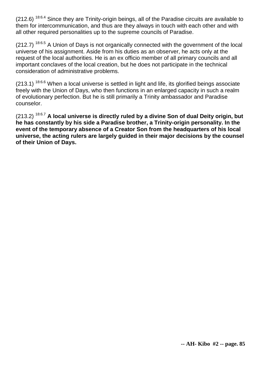$(212.6)$  <sup>18:6.4</sup> Since they are Trinity-origin beings, all of the Paradise circuits are available to them for intercommunication, and thus are they always in touch with each other and with all other required personalities up to the supreme councils of Paradise.

(212.7)  $18:6.5$  A Union of Days is not organically connected with the government of the local universe of his assignment. Aside from his duties as an observer, he acts only at the request of the local authorities. He is an ex officio member of all primary councils and all important conclaves of the local creation, but he does not participate in the technical consideration of administrative problems.

 $(213.1)$  <sup>18:6.6</sup> When a local universe is settled in light and life, its glorified beings associate freely with the Union of Days, who then functions in an enlarged capacity in such a realm of evolutionary perfection. But he is still primarily a Trinity ambassador and Paradise counselor.

(213.2) 18:6.7 **A local universe is directly ruled by a divine Son of dual Deity origin, but he has constantly by his side a Paradise brother, a Trinity-origin personality. In the event of the temporary absence of a Creator Son from the headquarters of his local universe, the acting rulers are largely guided in their major decisions by the counsel of their Union of Days.**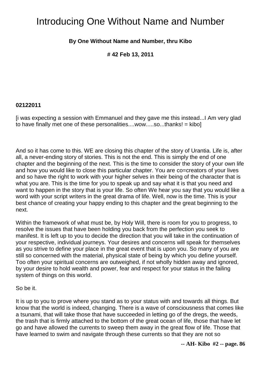# Introducing One Without Name and Number

### **By One Without Name and Number, thru Kibo**

**# 42 Feb 13, 2011** 

#### **02122011**

[i was expecting a session with Emmanuel and they gave me this instead...I Am very glad to have finally met one of these personalities....wow.....so...thanks! = kibo]

And so it has come to this. WE are closing this chapter of the story of Urantia. Life is, after all, a never-ending story of stories. This is not the end. This is simply the end of one chapter and the beginning of the next. This is the time to consider the story of your own life and how you would like to close this particular chapter. You are co=creators of your lives and so have the right to work with your higher selves in their being of the character that is what you are. This is the time for you to speak up and say what it is that you need and want to happen in the story that is your life. So often We hear you say that you would like a word with your script writers in the great drama of life. Well, now is the time. This is your best chance of creating your happy ending to this chapter and the great beginning to the next.

Within the framework of what must be, by Holy Will, there is room for you to progress, to resolve the issues that have been holding you back from the perfection you seek to manifest. It is left up to you to decide the direction that you will take in the continuation of your respective, individual journeys. Your desires and concerns will speak for themselves as you strive to define your place in the great event that is upon you. So many of you are still so concerned with the material, physical state of being by which you define yourself. Too often your spiritual concerns are outweighed, if not wholly hidden away and ignored, by your desire to hold wealth and power, fear and respect for your status in the failing system of things on this world.

#### So be it.

It is up to you to prove where you stand as to your status with and towards all things. But know that the world is indeed, changing. There is a wave of consciousness that comes like a tsunami, that will take those that have succeeded in letting go of the dregs, the weeds, the trash that is firmly attached to the bottom of the great ocean of life, those that have let go and have allowed the currents to sweep them away in the great flow of life. Those that have learned to swim and navigate through these currents so that they are not so

**-- AH- Kibo #2 -- page. 86**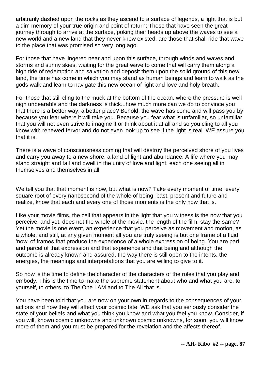arbitrarily dashed upon the rocks as they ascend to a surface of legends, a light that is but a dim memory of your true origin and point of return; Those that have seen the great journey through to arrive at the surface, poking their heads up above the waves to see a new world and a new land that they never knew existed, are those that shall ride that wave to the place that was promised so very long ago.

For those that have lingered near and upon this surface, through winds and waves and storms and sunny skies, waiting for the great wave to come that will carry them along a high tide of redemption and salvation and deposit them upon the solid ground of this new land, the time has come in which you may stand as human beings and learn to walk as the gods walk and learn to navigate this new ocean of light and love and holy breath.

For those that still cling to the muck at the bottom of the ocean, where the pressure is well nigh unbearable and the darkness is thick...how much more can we do to convince you that there is a better way, a better place? Behold, the wave has come and will pass you by because you fear where it will take you. Because you fear what is unfamiliar, so unfamiliar that you will not even strive to imagine it or think about it at all and so you cling to all you know with renewed fervor and do not even look up to see if the light is real. WE assure you that it is.

There is a wave of consciousness coming that will destroy the perceived shore of you lives and carry you away to a new shore, a land of light and abundance. A life where you may stand straight and tall and dwell in the unity of love and light, each one seeing all in themselves and themselves in all.

We tell you that that moment is now, but what is now? Take every moment of time, every square root of every nanosecond of the whole of being, past, present and future and realize, know that each and every one of those moments is the only now that is.

Like your movie films, the cell that appears in the light that you witness is the now that you perceive, and yet, does not the whole of the movie, the length of the film, stay the same? Yet the movie is one event, an experience that you perceive as movement and motion, as a whole, and still, at any given moment all you are truly seeing is but one frame of a fluid ‗now' of frames that produce the experience of a whole expression of being. You are part and parcel of that expression and that experience and that being and although the outcome is already known and assured, the way there is still open to the intents, the energies, the meanings and interpretations that you are willing to give to it.

So now is the time to define the character of the characters of the roles that you play and embody. This is the time to make the supreme statement about who and what you are, to yourself, to others, to The One I AM and to The All that is.

You have been told that you are now on your own in regards to the consequences of your actions and how they will affect your cosmic fate. WE ask that you seriously consider the state of your beliefs and what you think you know and what you feel you know. Consider, if you will, known cosmic unknowns and unknown cosmic unknowns, for soon, you will know more of them and you must be prepared for the revelation and the affects thereof.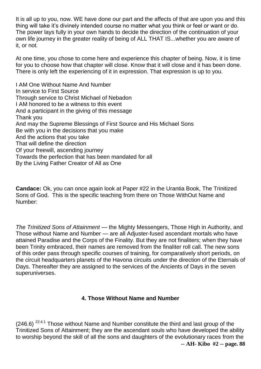It is all up to you, now. WE have done our part and the affects of that are upon you and this thing will take it's divinely intended course no matter what you think or feel or want or do. The power lays fully in your own hands to decide the direction of the continuation of your own life journey in the greater reality of being of ALL THAT IS...whether you are aware of it, or not.

At one time, you chose to come here and experience this chapter of being. Now, it is time for you to choose how that chapter will close. Know that it will close and it has been done. There is only left the experiencing of it in expression. That expression is up to you.

I AM One Without Name And Number In service to First Source Through service to Christ Michael of Nebadon I AM honored to be a witness to this event And a participant in the giving of this message Thank you And may the Supreme Blessings of First Source and His Michael Sons Be with you in the decisions that you make And the actions that you take That will define the direction Of your freewill, ascending journey Towards the perfection that has been mandated for all By the Living Father Creator of All as One

**Candace:** Ok, you can once again look at Paper #22 in the Urantia Book, The Trinitized Sons of God. This is the specific teaching from there on Those WithOut Name and Number:

*The Trinitized Sons of Attainment —* the Mighty Messengers, Those High in Authority, and Those without Name and Number — are all Adjuster-fused ascendant mortals who have attained Paradise and the Corps of the Finality. But they are not finaliters; when they have been Trinity embraced, their names are removed from the finaliter roll call. The new sons of this order pass through specific courses of training, for comparatively short periods, on the circuit headquarters planets of the Havona circuits under the direction of the Eternals of Days. Thereafter they are assigned to the services of the Ancients of Days in the seven superuniverses.

### **4. Those Without Name and Number**

**-- AH- Kibo #2 -- page. 88**  $(246.6)$  <sup>22:4.1</sup> Those without Name and Number constitute the third and last group of the Trinitized Sons of Attainment; they are the ascendant souls who have developed the ability to worship beyond the skill of all the sons and daughters of the evolutionary races from the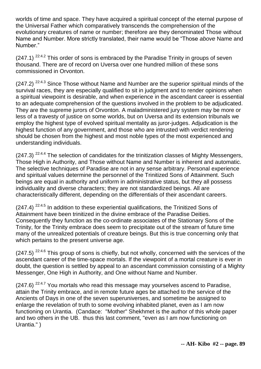worlds of time and space. They have acquired a spiritual concept of the eternal purpose of the Universal Father which comparatively transcends the comprehension of the evolutionary creatures of name or number; therefore are they denominated Those without Name and Number. More strictly translated, their name would be "Those *above* Name and Number."

 $(247.1)^{22:4.2}$  This order of sons is embraced by the Paradise Trinity in groups of seven thousand. There are of record on Uversa over one hundred million of these sons commissioned in Orvonton.

 $(247.2)$  <sup>22:4.3</sup> Since Those without Name and Number are the superior spiritual minds of the survival races, they are especially qualified to sit in judgment and to render opinions when a spiritual viewpoint is desirable, and when experience in the ascendant career is essential to an adequate comprehension of the questions involved in the problem to be adjudicated. They are the supreme jurors of Orvonton. A maladministered jury system may be more or less of a travesty of justice on some worlds, but on Uversa and its extension tribunals we employ the highest type of evolved spiritual mentality as juror-judges. Adjudication is the highest function of any government, and those who are intrusted with verdict rendering should be chosen from the highest and most noble types of the most experienced and understanding individuals.

(247.3)  $22:4.4$  The selection of candidates for the trinitization classes of Mighty Messengers, Those High in Authority, and Those without Name and Number is inherent and automatic. The selective techniques of Paradise are not in any sense arbitrary. Personal experience and spiritual values determine the personnel of the Trinitized Sons of Attainment. Such beings are equal in authority and uniform in administrative status, but they all possess individuality and diverse characters; they are not standardized beings. All are characteristically different, depending on the differentials of their ascendant careers.

 $(247.4)$  <sup>22:4.5</sup> In addition to these experiential qualifications, the Trinitized Sons of Attainment have been trinitized in the divine embrace of the Paradise Deities. Consequently they function as the co-ordinate associates of the Stationary Sons of the Trinity, for the Trinity embrace does seem to precipitate out of the stream of future time many of the unrealized potentials of creature beings. But this is true concerning only that which pertains to the present universe age.

 $(247.5)$  <sup>22:4.6</sup> This group of sons is chiefly, but not wholly, concerned with the services of the ascendant career of the time-space mortals. If the viewpoint of a mortal creature is ever in doubt, the question is settled by appeal to an ascendant commission consisting of a Mighty Messenger, One High in Authority, and One without Name and Number.

 $(247.6)$  <sup>22:4.7</sup> You mortals who read this message may yourselves ascend to Paradise, attain the Trinity embrace, and in remote future ages be attached to the service of the Ancients of Days in one of the seven superuniverses, and sometime be assigned to enlarge the revelation of truth to some evolving inhabited planet, even as I am now functioning on Urantia. (Candace: "Mother" Shekhmet is the author of this whole paper and two others in the UB. thus this last comment, "even as I am now functioning on Urantia." )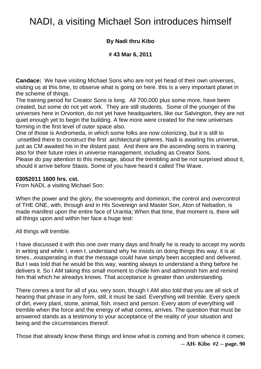# NADI, a visiting Michael Son introduces himself

## **By Nadi thru Kibo**

**# 43 Mar 6, 2011** 

**Candace:** We have visiting Michael Sons who are not yet head of their own universes, visiting us at this time, to observe what is going on here. this is a very important planet in the scheme of things.

The training period for Creator Sons is long. All 700,000 plus some more, have been created, but some do not yet work. They are still students. Some of the younger of the universes here in Orvonton, do not yet have headquarters, like our Salvington, they are not quiet enough yet to begin the building. A few more were created for the new universes forming in the first level of outer space also.

One of those is Andromeda, in which some folks are now colonizing, but it is still to unsettled there to construct the first architectural spheres. Nadi is awaiting his universe, just as CM awaited his in the distant past. And there are the ascending sons in training also for their future roles in universe management, including as Creator Sons. Please do pay attention to this message, about the trembling and be not surprised about it, should it arrive before Stasis. Some of you have heard it called The Wave.

### **03052011 1600 hrs. cst.**

From NADI, a visiting Michael Son:

When the power and the glory, the sovereignty and dominion, the control and overcontrol of THE ONE, with, through and in His Sovereign and Master Son, Aton of Nebadon, is made manifest upon the entire face of Urantia; When that time, that moment is, there will all things upon and within her face a huge test:

All things will tremble.

I have discussed it with this one over many days and finally he is ready to accept my words in writing and while I, even I, understand why he insists on doing things this way, it is at times...exasperating in that the message could have simply been accepted and delivered. But I was told that he would be this way, wanting always to understand a thing before he delivers it. So I AM taking this small moment to chide him and admonish him and remind him that which he alreadys knows. That acceptance is greater than understanding.

There comes a test for all of you, very soon, though I AM also told that you are all sick of hearing that phrase in any form, still, it must be said. Everything will tremble. Every speck of dirt, every plant, stone, animal, fish, insect and person. Every atom of everything will tremble when the force and the energy of what comes, arrives. The question that must be answered stands as a testimony to your acceptance of the reality of your situation and being and the circumstances thereof.

**-- AH- Kibo #2 -- page. 90** Those that already know these things and know what is coming and from whence it comes;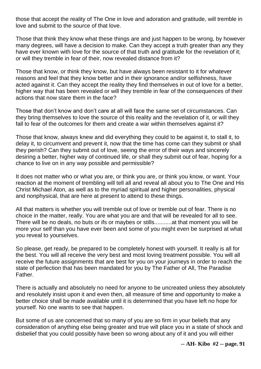those that accept the reality of The One in love and adoration and gratitude, will tremble in love and submit to the source of that love.

Those that think they know what these things are and just happen to be wrong, by however many degrees, will have a decision to make. Can they accept a truth greater than any they have ever known with love for the source of that truth and gratitude for the revelation of it; or will they tremble in fear of their, now revealed distance from it?

Those that know, or think they know, but have always been resistant to it for whatever reasons and feel that they know better and in their ignorance and/or selfishness, have acted against it. Can they accept the reality they find themselves in out of love for a better, higher way that has been revealed or will they tremble in fear of the consequences of their actions that now stare them in the face?

Those that don't know and don't care at all will face the same set of circumstances. Can they bring themselves to love the source of this reality and the revelation of it, or will they fall to fear of the outcomes for them and create a war within themselves against it?

Those that know, always knew and did everything they could to be against it, to stall it, to delay it, to circumvent and prevent it, now that the time has come can they submit or shall they perish? Can they submit out of love, seeing the error of their ways and sincerely desiring a better, higher way of continued life, or shall they submit out of fear, hoping for a chance to live on in any way possible and permissible?

It does not matter who or what you are, or think you are, or think you know, or want. Your reaction at the moment of trembling will tell all and reveal all about you to The One and His Christ Michael Aton, as well as to the myriad spiritual and higher personalities, physical and nonphysical, that are here at present to attend to these things.

All that matters is whether you will tremble out of love or tremble out of fear. There is no choice in the matter, really. You are what you are and that will be revealed for all to see. There will be no deals, no buts or ifs or maybes or stills...........at that moment you will be more your self than you have ever been and some of you might even be surprised at what you reveal to yourselves.

So please, get ready, be prepared to be completely honest with yourself. It really is all for the best. You will all receive the very best and most loving treatment possible. You will all receive the future assignments that are best for you on your journeys in order to reach the state of perfection that has been mandated for you by The Father of All, The Paradise Father.

There is actually and absolutely no need for anyone to be uncreated unless they absolutely and resolutely insist upon it and even then, all measure of time and opportunity to make a better choice shall be made available until it is determined that you have left no hope for yourself. No one wants to see that happen.

But some of us are concerned that so many of you are so firm in your beliefs that any consideration of anything else being greater and true will place you in a state of shock and disbelief that you could possibly have been so wrong about any of it and you will either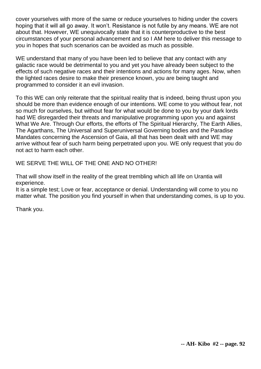cover yourselves with more of the same or reduce yourselves to hiding under the covers hoping that it will all go away. It won't. Resistance is not futile by any means. WE are not about that. However, WE unequivocally state that it is counterproductive to the best circumstances of your personal advancement and so I AM here to deliver this message to you in hopes that such scenarios can be avoided as much as possible.

WE understand that many of you have been led to believe that any contact with any galactic race would be detrimental to you and yet you have already been subject to the effects of such negative races and their intentions and actions for many ages. Now, when the lighted races desire to make their presence known, you are being taught and programmed to consider it an evil invasion.

To this WE can only reiterate that the spiritual reality that is indeed, being thrust upon you should be more than evidence enough of our intentions. WE come to you without fear, not so much for ourselves, but without fear for what would be done to you by your dark lords had WE disregarded their threats and manipulative programming upon you and against What We Are. Through Our efforts, the efforts of The Spiritual Hierarchy, The Earth Allies, The Agarthans, The Universal and Superuniversal Governing bodies and the Paradise Mandates concerning the Ascension of Gaia, all that has been dealt with and WE may arrive without fear of such harm being perpetrated upon you. WE only request that you do not act to harm each other.

### WE SERVE THE WILL OF THE ONE AND NO OTHER!

That will show itself in the reality of the great trembling which all life on Urantia will experience.

It is a simple test; Love or fear, acceptance or denial. Understanding will come to you no matter what. The position you find yourself in when that understanding comes, is up to you.

Thank you.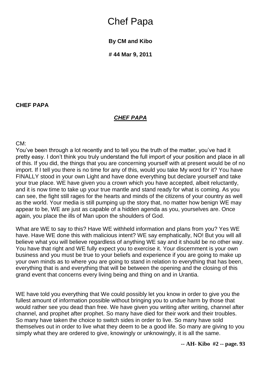## Chef Papa

**By CM and Kibo**

**# 44 Mar 9, 2011** 

## **CHEF PAPA**

## *CHEF PAPA*

CM:

You've been through a lot recently and to tell you the truth of the matter, you've had it pretty easy. I don't think you truly understand the full import of your position and place in all of this. If you did, the things that you are concerning yourself with at present would be of no import. If I tell you there is no time for any of this, would you take My word for it? You have FINALLY stood in your own Light and have done everything but declare yourself and take your true place. WE have given you a crown which you have accepted, albeit reluctantly, and it is now time to take up your true mantle and stand ready for what is coming. As you can see, the fight still rages for the hearts and minds of the citizens of your country as well as the world. Your media is still pumping up the story that, no matter how benign WE may appear to be, WE are just as capable of a hidden agenda as you, yourselves are. Once again, you place the ills of Man upon the shoulders of God.

What are WE to say to this? Have WE withheld information and plans from you? Yes WE have. Have WE done this with malicious intent? WE say emphatically, NO! But you will all believe what you will believe regardless of anything WE say and it should be no other way. You have that right and WE fully expect you to exercise it. Your discernment is your own business and you must be true to your beliefs and experience if you are going to make up your own minds as to where you are going to stand in relation to everything that has been, everything that is and everything that will be between the opening and the closing of this grand event that concerns every living being and thing on and in Urantia.

WE have told you everything that We could possibly let you know in order to give you the fullest amount of information possible without bringing you to undue harm by those that would rather see you dead than free. We have given you writing after writing, channel after channel, and prophet after prophet. So many have died for their work and their troubles. So many have taken the choice to switch sides in order to live. So many have sold themselves out in order to live what they deem to be a good life. So many are giving to you simply what they are ordered to give, knowingly or unknowingly, it is all the same.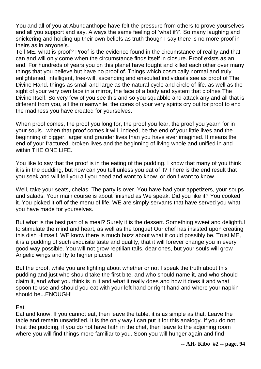You and all of you at Abundanthope have felt the pressure from others to prove yourselves and all you support and say. Always the same feeling of 'what if?'. So many laughing and snickering and holding up their own beliefs as truth though I say there is no more proof in theirs as in anyone's.

Tell ME, what is proof? Proof is the evidence found in the circumstance of reality and that can and will only come when the circumstance finds itself in closure. Proof exists as an end. For hundreds of years you on this planet have fought and killed each other over many things that you believe but have no proof of. Things which cosmically normal and truly enlightened, intelligent, free-will, ascending and ensouled individuals see as proof of The Divine Hand, things as small and large as the natural cycle and circle of life, as well as the sight of your very own face in a mirror, the face of a body and system that clothes The Divine Itself. So very few of you see this and so you squabble and attack any and all that is different from you, all the meanwhile, the cores of your very spirits cry out for proof to end the madness you have created for yourselves.

When proof comes, the proof you long for, the proof you fear, the proof you yearn for in your souls...when that proof comes it will, indeed, be the end of your little lives and the beginning of bigger, larger and grander lives than you have ever imagined. It means the end of your fractured, broken lives and the beginning of living whole and unified in and within THE ONE LIFE.

You like to say that the proof is in the eating of the pudding. I know that many of you think it is in the pudding, but how can you tell unless you eat of it? There is the end result that you seek and will tell you all you need and want to know, or don't want to know.

Well, take your seats, chelas. The party is over. You have had your appetizers, your soups and salads. Your main course is about finished as We speak. Did you like it? You cooked it. You picked it off of the menu of life. WE are simply servants that have served you what you have made for yourselves.

But what is the best part of a meal? Surely it is the dessert. Something sweet and delightful to stimulate the mind and heart, as well as the tongue! Our chef has insisted upon creating this dish Himself. WE know there is much buzz about what it could possibly be. Trust ME, it is a pudding of such exquisite taste and quality, that it will forever change you in every good way possible. You will not grow reptilian tails, dear ones, but your souls will grow Angelic wings and fly to higher places!

But the proof, while you are fighting about whether or not I speak the truth about this pudding and just who should take the first bite, and who should name it, and who should claim it, and what you think is in it and what it really does and how it does it and what spoon to use and should you eat with your left hand or right hand and where your napkin should be...ENOUGH!

Eat.

Eat and know. If you cannot eat, then leave the table, it is as simple as that. Leave the table and remain unsatisfied. It is the only way I can put it for this analogy. If you do not trust the pudding, if you do not have faith in the chef, then leave to the adjoining room where you will find things more familiar to you. Soon you will hunger again and find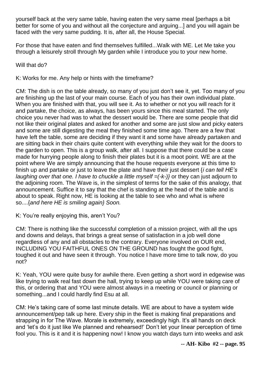yourself back at the very same table, having eaten the very same meal [perhaps a bit better for some of you and without all the conjecture and arguing...] and you will again be faced with the very same pudding. It is, after all, the House Special.

For those that have eaten and find themselves fulfilled...Walk with ME. Let Me take you through a leisurely stroll through My garden while I introduce you to your new home.

Will that do?

K: Works for me. Any help or hints with the timeframe?

CM: The dish is on the table already, so many of you just don't see it, yet. Too many of you are finishing up the last of your main course. Each of you has their own individual plate. When you are finished with that, you will see it. As to whether or not you will reach for it and partake, the choice, as always, has been yours since this meal started. The only choice you never had was to what the dessert would be. There are some people that did not like their original plates and asked for another and some are just slow and picky eaters and some are still digesting the meal they finished some time ago. There are a few that have left the table, some are deciding if they want it and some have already partaken and are sitting back in their chairs quite content with everything while they wait for the doors to the garden to open. This is a group walk, after all. I suppose that there could be a case made for hurrying people along to finish their plates but it is a moot point. WE are at the point where We are simply announcing that the house requests everyone at this time to finish up and partake or just to leave the plate and have their just dessert {*i can tell HE's laughing over that one. I have to chuckle a little myself =(-k-))* or they can just adjourn to the adjoining room. The Wave is, in the simplest of terms for the sake of this analogy, that announcement. Suffice it to say that the chef is standing at the head of the table and is about to speak. Right now, HE is looking at the table to see who and what is where so....{*and here HE is smiling again} Soon.*

K: You're really enjoying this, aren't You?

CM: There is nothing like the successful completion of a mission project, with all the ups and downs and delays, that brings a great sense of satisfaction in a job well done regardless of any and all obstacles to the contrary. Everyone involved on OUR end, INCLUDING YOU FAITHFUL ONES ON THE GROUND has fought the good fight, toughed it out and have seen it through. You notice I have more time to talk now, do you not?

K: Yeah, YOU were quite busy for awhile there. Even getting a short word in edgewise was like trying to walk real fast down the hall, trying to keep up while YOU were taking care of this, or ordering that and YOU were almost always in a meeting or council or planning or something...and I could hardly find Esu at all.

CM: He's taking care of some last minute details. WE are about to have a system wide announcement/pep talk up here. Every ship in the fleet is making final preparations and strapping in for The Wave. Morale is extremely, exceedingly high. It's all hands on deck and 'let's do it just like We planned and rehearsed!' Don't let your linear perception of time fool you. This is it and it is happening now! I know you watch days turn into weeks and ask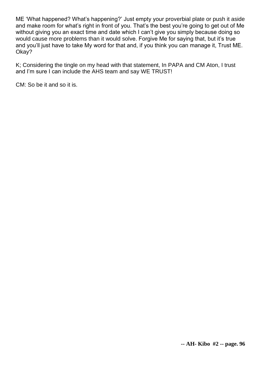ME 'What happened? What's happening?' Just empty your proverbial plate or push it aside and make room for what's right in front of you. That's the best you're going to get out of Me without giving you an exact time and date which I can't give you simply because doing so would cause more problems than it would solve. Forgive Me for saying that, but it's true and you'll just have to take My word for that and, if you think you can manage it, Trust ME. Okay?

K; Considering the tingle on my head with that statement, In PAPA and CM Aton, I trust and I'm sure I can include the AHS team and say WE TRUST!

CM: So be it and so it is.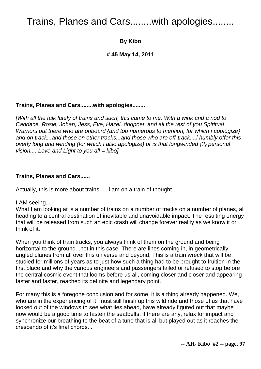## Trains, Planes and Cars........with apologies........

## **By Kibo**

#### **# 45 May 14, 2011**

### **Trains, Planes and Cars........with apologies........**

*[With all the talk lately of trains and such, this came to me. With a wink and a nod to Candace, Rosie, Johan, Jess, Eve, Hazel, dogpoet, and all the rest of you Spiritual Warriors out there who are onboard {and too numerous to mention, for which i apologize} and on track...and those on other tracks...and those who are off-track....i humbly offer this overly long and winding (for which i also apologize) or is that longwinded {?} personal vision.....Love and Light to you all = kibo]*

### **Trains, Planes and Cars......**

Actually, this is more about trains......i am on a train of thought.....

#### I AM seeing...

What I am looking at is a number of trains on a number of tracks on a number of planes, all heading to a central destination of inevitable and unavoidable impact. The resulting energy that will be released from such an epic crash will change forever reality as we know it or think of it.

When you think of train tracks, you always think of them on the ground and being horizontal to the ground...not in this case. There are lines coming in, in geometrically angled planes from all over this universe and beyond. This is a train wreck that will be studied for millions of years as to just how such a thing had to be brought to fruition in the first place and why the various engineers and passengers failed or refused to stop before the central cosmic event that looms before us all, coming closer and closer and appearing faster and faster, reached its definite and legendary point.

For many this is a foregone conclusion and for some, it is a thing already happened. We, who are in the experiencing of it, must still finish up this wild ride and those of us that have looked out of the windows to see what lies ahead, have already figured out that maybe now would be a good time to fasten the seatbelts, if there are any, relax for impact and synchronize our breathing to the beat of a tune that is all but played out as it reaches the crescendo of it's final chords...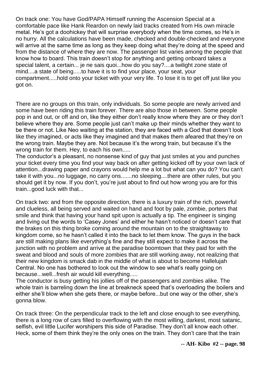On track one: You have God/PAPA Himself running the Ascension Special at a comfortable pace like Hank Reardon on newly laid tracks created from His own miracle metal. He's got a doohickey that will surprise everybody when the time comes, so He's in no hurry. All the calculations have been made, checked and double-checked and everyone will arrive at the same time as long as they keep doing what they're doing at the speed and from the distance of where they are now. The passenger list varies among the people that know how to board. This train doesn't stop for anything and getting onboard takes a special talent, a certain... je ne sais quoi...how do you say?....a twilight zone state of mind....a state of being.....to have it is to find your place, your seat, your compartment.....hold onto your ticket with your very life. To lose it is to get off just like you got on.

There are no groups on this train, only individuals. So some people are newly arrived and some have been riding this train forever. There are also those in between. Some people pop in and out, or off and on, like they either don't really know where they are or they don't believe where they are. Some people just can't make up their minds whether they want to be there or not. Like Neo waiting at the station, they are faced with a God that doesn't look like they imagined, or acts like they imagined and that makes them afeared that they're on the wrong train. Maybe they are. Not because it's the wrong train, but because it's the wrong train for them. Hey, to each his own.....

The conductor's a pleasant, no nonsense kind of guy that just smiles at you and punches your ticket every time you find your way back on after getting kicked off by your own lack of attention...drawing paper and crayons would help me a lot but what can you do? You can't take it with you...no luggage, no carry ons.......no sleeping....there are other rules, but you should get it by now. If you don't, you're just about to find out how wrong you are for this train...good luck with that...

On track two: and from the opposite direction, there is a luxury train of the rich, powerful and clueless, all being served and waited on hand and foot by pale, zombie, porters that smile and think that having your hand spit upon is actually a tip. The engineer is singing and living out the words to 'Casey Jones' and either he hasn't noticed or doesn't care that the brakes on this thing broke coming around the mountain on to the straightaway to kingdom come, so he hasn't called it into the back to let them know. The guys in the back are still making plans like everything's fine and they still expect to make it across the junction with no problem and arrive at the paradise boomtown that they paid for with the sweat and blood and souls of more zombies that are still working away, not realizing that their new kingdom is smack dab in the middle of what is about to become Hallelujah Central. No one has bothered to look out the window to see what's really going on because...well...fresh air would kill everything.....

The conductor is busy getting his jollies off of the passengers and zombies alike. The whole train is barreling down the line at breakneck speed that's overloading the boilers and either she'll blow when she gets there, or maybe before...but one way or the other, she's gonna blow.

On track three: On the perpendicular track to the left and close enough to see everything, there is a long row of cars filled to overflowing with the most willing, darkest, most satanic, selfish, evil little Lucifer worshipers this side of Paradise. They don't all know each other. Heck, some of them think they're the only ones on the train. They don't care that the train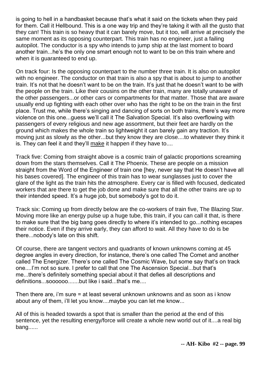is going to hell in a handbasket because that's what it said on the tickets when they paid for them. Call it Hellbound. This is a one way trip and they're taking it with all the gusto that they can! This train is so heavy that it can barely move, but it too, will arrive at precisely the same moment as its opposing counterpart. This train has no engineer, just a failing autopilot. The conductor is a spy who intends to jump ship at the last moment to board another train...he's the only one smart enough not to want to be on this train where and when it is guaranteed to end up.

On track four: Is the opposing counterpart to the number three train. It is also on autopilot with no engineer. The conductor on that train is also a spy that is about to jump to another train. It's not that he doesn't want to be on the train. It's just that he doesn't want to be with the people on the train. Like their cousins on the other train, many are totally unaware of the other passengers...or other cars or compartments for that matter. Those that are aware usually end up fighting with each other over who has the right to be on the train in the first place. Trust me, while there's singing and dancing of sorts on both trains, there's way more violence on this one...guess we'll call it The Salvation Special. It's also overflowing with passengers of every religious and new age assortment, but their feet are hardly on the ground which makes the whole train so lightweight it can barely gain any traction. It's moving just as slowly as the other...but they know they are close....to whatever they think it is. They can feel it and they'll make it happen if they have to....

Track five: Coming from straight above is a cosmic train of galactic proportions screaming down from the stars themselves. Call it The Phoenix. These are people on a mission straight from the Word of the Engineer of train one [hey, never say that He doesn't have all his bases covered]. The engineer of this train has to wear sunglasses just to cover the glare of the light as the train hits the atmosphere. Every car is filled with focused, dedicated workers that are there to get the job done and make sure that all the other trains are up to their intended speed. It's a huge job, but somebody's got to do it.

Track six: Coming up from directly below are the co-workers of train five, The Blazing Star. Moving more like an energy pulse up a huge tube, this train, if you can call it that, is there to make sure that the big bang goes directly to where it's intended to go...nothing escapes their notice. Even if they arrive early, they can afford to wait. All they have to do is be there...nobody's late on this shift.

Of course, there are tangent vectors and quadrants of known unknowns coming at 45 degree angles in every direction, for instance, there's one called The Comet and another called The Energizer. There's one called The Cosmic Wave, but some say that's on track one....I'm not so sure. I prefer to call that one The Ascension Special...but that's me...there's definitely something special about it that defies all descriptions and definitions...soooooo.......but like i said...that's me....

Then there are, i'm sure = at least several unknown unknowns and as soon as i know about any of them, i'll let you know....maybe you can let me know...

All of this is headed towards a spot that is smaller than the period at the end of this sentence, yet the resulting energy/force will create a whole new world out of it....a real big bang......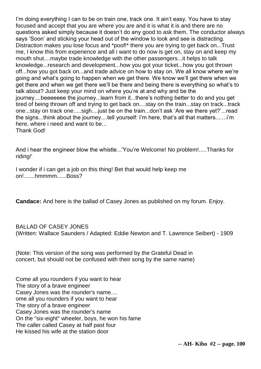I'm doing everything I can to be on train one, track one. It ain't easy. You have to stay focused and accept that you are where you are and it is what it is and there are no questions asked simply because it doesn't do any good to ask them. The conductor always says ‗Soon' and sticking your head out of the window to look and see is distracting. Distraction makes you lose focus and \*poof!\* there you are trying to get back on...Trust me, I know this from experience and all i want to do now is get on, stay on and keep my mouth shut....maybe trade knowledge with the other passengers...it helps to talk knowledge...research and development...how you got your ticket...how you got thrown off...how you got back on...and trade advice on how to stay on. We all know where we're going and what's going to happen when we get there. We know we'll get there when we get there and when we get there we'll be there and being there is everything so what's to talk about? Just keep your mind on where you're at and why and be the journey....beeeeeee the journey...learn from it...there's nothing better to do and you get tired of being thrown off and trying to get back on....stay on the train...stay on track...track one...stay on track one.....sigh....just be on the train...don't ask 'Are we there yet?'...read the signs...think about the journey....tell yourself: I'm here, that's all that matters.......i'm here, where i need and want to be... Thank God!

And i hear the engineer blow the whistle...'You're Welcome! No problem!.....Thanks for riding!'

I wonder if i can get a job on this thing! Bet that would help keep me on!.......hmmmm......Boss?

**Candace:** And here is the ballad of Casey Jones as published on my forum. Enjoy.

BALLAD OF CASEY JONES

(Written: Wallace Saunders / Adapted: Eddie Newton and T. Lawrence Seibert) - 1909

(Note: This version of the song was performed by the Grateful Dead in concert, but should not be confused with their song by the same name)

Come all you rounders if you want to hear The story of a brave engineer Casey Jones was the rounder's name.... ome all you rounders if you want to hear The story of a brave engineer Casey Jones was the rounder's name On the "six-eight" wheeler, boys, he won his fame The caller called Casey at half past four He kissed his wife at the station door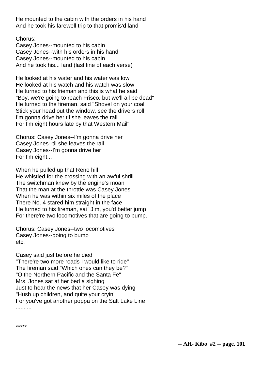He mounted to the cabin with the orders in his hand And he took his farewell trip to that promis'd land

Chorus:

Casey Jones--mounted to his cabin Casey Jones--with his orders in his hand Casey Jones--mounted to his cabin And he took his... land (last line of each verse)

He looked at his water and his water was low He looked at his watch and his watch was slow He turned to his frieman and this is what he said "Boy, we're going to reach Frisco, but we'll all be dead" He turned to the fireman, said "Shovel on your coal Stick your head out the window, see the drivers roll I'm gonna drive her til she leaves the rail For I'm eight hours late by that Western Mail"

Chorus: Casey Jones--I'm gonna drive her Casey Jones--til she leaves the rail Casey Jones--I'm gonna drive her For I'm eight...

When he pulled up that Reno hill He whistled for the crossing with an awful shrill The switchman knew by the engine's moan That the man at the throttle was Casey Jones When he was within six miles of the place There No. 4 stared him straight in the face He turned to his fireman, sai "Jim, you'd better jump For there're two locomotives that are going to bump.

Chorus: Casey Jones--two locomotives Casey Jones--going to bump etc.

Casey said just before he died "There're two more roads I would like to ride" The fireman said "Which ones can they be?" "O the Northern Pacific and the Santa Fe" Mrs. Jones sat at her bed a sighing Just to hear the news that her Casey was dying "Hush up children, and quite your cryin' For you've got another poppa on the Salt Lake Line ..........

\*\*\*\*\*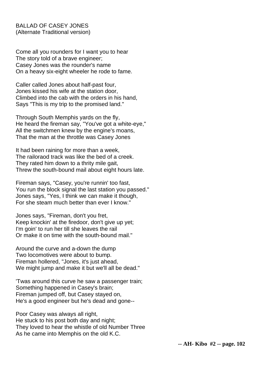BALLAD OF CASEY JONES (Alternate Traditional version)

Come all you rounders for I want you to hear The story told of a brave engineer; Casey Jones was the rounder's name On a heavy six-eight wheeler he rode to fame.

Caller called Jones about half-past four, Jones kissed his wife at the station door, Climbed into the cab with the orders in his hand, Says "This is my trip to the promised land."

Through South Memphis yards on the fly, He heard the fireman say, "You've got a white-eye," All the switchmen knew by the engine's moans, That the man at the throttle was Casey Jones

It had been raining for more than a week, The railoraod track was like the bed of a creek. They rated him down to a thrity mile gait, Threw the south-bound mail about eight hours late.

Fireman says, "Casey, you're runnin' too fast, You run the block signal the last station you passed." Jones says, "Yes, I think we can make it though, For she steam much better than ever I know."

Jones says, "Fireman, don't you fret, Keep knockin' at the firedoor, don't give up yet; I'm goin' to run her till she leaves the rail Or make it on time with the south-bound mail."

Around the curve and a-down the dump Two locomotives were about to bump. Fireman hollered, "Jones, it's just ahead, We might jump and make it but we'll all be dead."

'Twas around this curve he saw a passenger train; Something happened in Casey's brain; Fireman jumped off, but Casey stayed on, He's a good engineer but he's dead and gone--

Poor Casey was always all right, He stuck to his post both day and night; They loved to hear the whistle of old Number Three As he came into Memphis on the old K.C.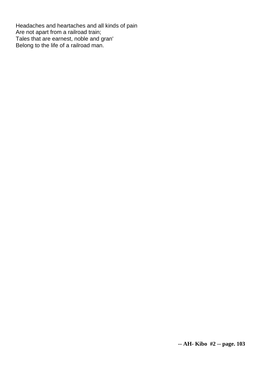Headaches and heartaches and all kinds of pain Are not apart from a railroad train; Tales that are earnest, noble and gran' Belong to the life of a railroad man.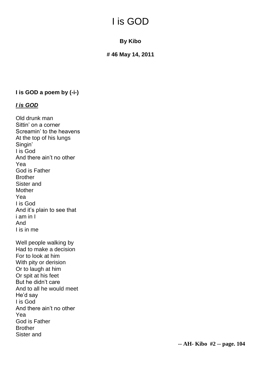## I is GOD

## **By Kibo**

### **# 46 May 14, 2011**

## **I is GOD a poem by (-i-)**

## *I is GOD*

Old drunk man Sittin' on a corner Screamin' to the heavens At the top of his lungs Singin' I is God And there ain't no other Yea God is Father Brother Sister and Mother Yea I is God And it's plain to see that i am in I And I is in me Well people walking by Had to make a decision For to look at him With pity or derision Or to laugh at him Or spit at his feet But he didn't care And to all he would meet He'd say I is God And there ain't no other Yea God is Father Brother Sister and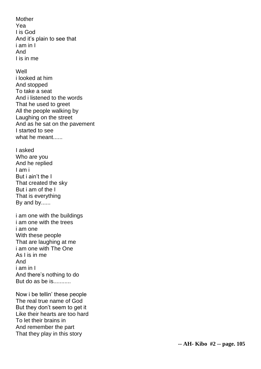**Mother** Yea I is God And it's plain to see that i am in I And I is in me

Well

i looked at him And stopped To take a seat And i listened to the words That he used to greet All the people walking by Laughing on the street And as he sat on the pavement I started to see what he meant......

I asked Who are you And he replied I am i But i ain't the I That created the sky But i am of the I That is everything By and by......

i am one with the buildings i am one with the trees i am one With these people That are laughing at me i am one with The One As I is in me And i am in I And there's nothing to do But do as be is...........

Now i be tellin' these people The real true name of God But they don't seem to get it Like their hearts are too hard To let their brains in And remember the part That they play in this story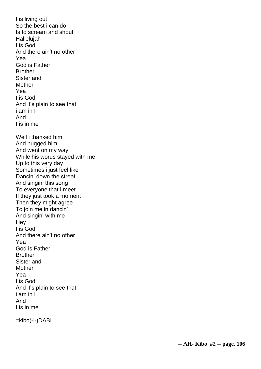I is living out So the best i can do Is to scream and shout Hallelujah I is God And there ain't no other Yea God is Father **Brother** Sister and **Mother** Yea I is God And it's plain to see that i am in I And I is in me Well i thanked him And hugged him And went on my way While his words stayed with me Up to this very day Sometimes i just feel like Dancin' down the street And singin' this song To everyone that i meet If they just took a moment Then they might agree To join me in dancin' And singin' with me **Hey** I is God And there ain't no other Yea God is Father **Brother** Sister and **Mother** Yea I is God And it's plain to see that i am in I And I is in me

=kibo( -i-)DABI